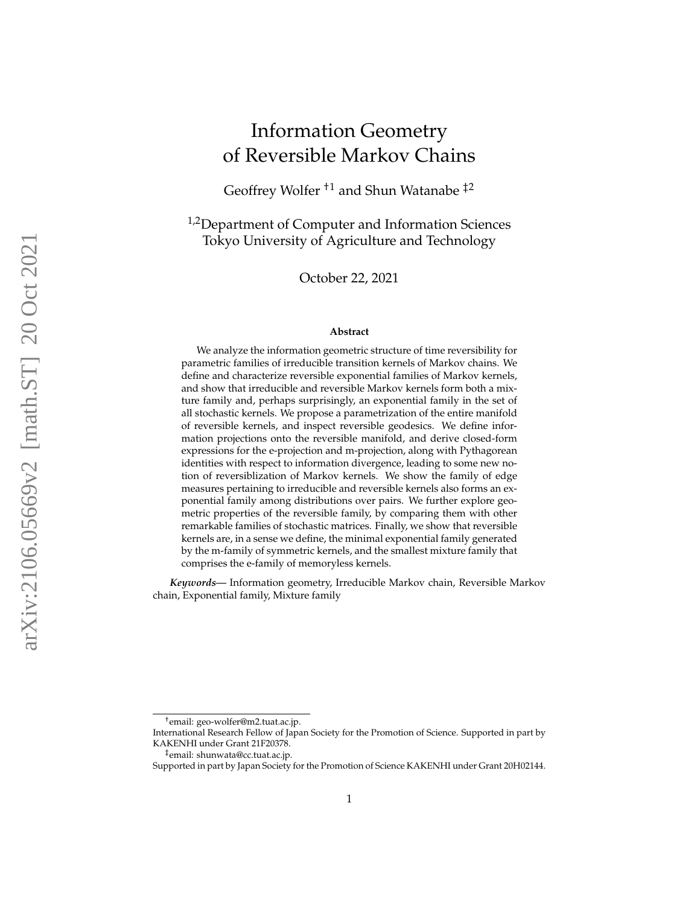# Information Geometry of Reversible Markov Chains

Geoffrey Wolfer †1 and Shun Watanabe ‡2

<sup>1,2</sup>Department of Computer and Information Sciences Tokyo University of Agriculture and Technology

October 22, 2021

#### **Abstract**

We analyze the information geometric structure of time reversibility for parametric families of irreducible transition kernels of Markov chains. We define and characterize reversible exponential families of Markov kernels, and show that irreducible and reversible Markov kernels form both a mixture family and, perhaps surprisingly, an exponential family in the set of all stochastic kernels. We propose a parametrization of the entire manifold of reversible kernels, and inspect reversible geodesics. We define information projections onto the reversible manifold, and derive closed-form expressions for the e-projection and m-projection, along with Pythagorean identities with respect to information divergence, leading to some new notion of reversiblization of Markov kernels. We show the family of edge measures pertaining to irreducible and reversible kernels also forms an exponential family among distributions over pairs. We further explore geometric properties of the reversible family, by comparing them with other remarkable families of stochastic matrices. Finally, we show that reversible kernels are, in a sense we define, the minimal exponential family generated by the m-family of symmetric kernels, and the smallest mixture family that comprises the e-family of memoryless kernels.

*Keywords—* Information geometry, Irreducible Markov chain, Reversible Markov chain, Exponential family, Mixture family

<sup>†</sup> email: geo-wolfer@m2.tuat.ac.jp.

International Research Fellow of Japan Society for the Promotion of Science. Supported in part by KAKENHI under Grant 21F20378.

<sup>‡</sup> email: shunwata@cc.tuat.ac.jp.

Supported in part by Japan Society for the Promotion of Science KAKENHI under Grant 20H02144.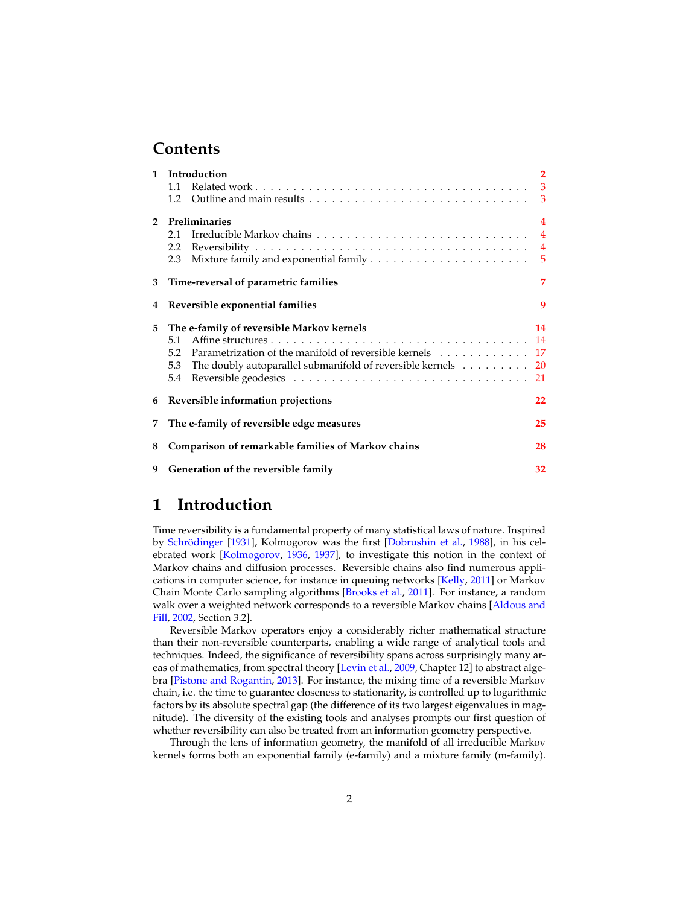### **Contents**

|             | 1 Introduction<br>1.1<br>1.2                                                                                                                                                                                          | $\overline{2}$<br>$\mathbf{3}$<br>3                         |  |  |  |
|-------------|-----------------------------------------------------------------------------------------------------------------------------------------------------------------------------------------------------------------------|-------------------------------------------------------------|--|--|--|
| $2^{\circ}$ | Preliminaries<br>2.1<br>2.2                                                                                                                                                                                           | $\overline{\mathbf{4}}$<br>$\overline{4}$<br>$\overline{5}$ |  |  |  |
| 3           | 7<br>Time-reversal of parametric families                                                                                                                                                                             |                                                             |  |  |  |
| 4           | Reversible exponential families                                                                                                                                                                                       | 9                                                           |  |  |  |
| 5           | The e-family of reversible Markov kernels<br>5.1<br>5.2 Parametrization of the manifold of reversible kernels 17<br>The doubly autoparallel submanifold of reversible kernels $\ldots \ldots \ldots$ 20<br>5.3<br>5.4 | 14<br>21                                                    |  |  |  |
| 6           | Reversible information projections<br>22                                                                                                                                                                              |                                                             |  |  |  |
| 7           | The e-family of reversible edge measures<br>25                                                                                                                                                                        |                                                             |  |  |  |
| 8           | Comparison of remarkable families of Markov chains                                                                                                                                                                    | 28                                                          |  |  |  |
| 9           | Generation of the reversible family<br>32                                                                                                                                                                             |                                                             |  |  |  |

### <span id="page-1-0"></span>**1 Introduction**

Time reversibility is a fundamental property of many statistical laws of nature. Inspired by Schrödinger [\[1931\]](#page-36-0), Kolmogorov was the first [\[Dobrushin et al.,](#page-35-0) [1988\]](#page-35-0), in his celebrated work [\[Kolmogorov,](#page-35-1) [1936,](#page-35-1) [1937\]](#page-36-1), to investigate this notion in the context of Markov chains and diffusion processes. Reversible chains also find numerous applications in computer science, for instance in queuing networks [\[Kelly,](#page-35-2) [2011\]](#page-35-2) or Markov Chain Monte Carlo sampling algorithms [\[Brooks et al.,](#page-34-0) [2011\]](#page-34-0). For instance, a random walk over a weighted network corresponds to a reversible Markov chains [\[Aldous and](#page-34-1) [Fill,](#page-34-1) [2002,](#page-34-1) Section 3.2].

Reversible Markov operators enjoy a considerably richer mathematical structure than their non-reversible counterparts, enabling a wide range of analytical tools and techniques. Indeed, the significance of reversibility spans across surprisingly many areas of mathematics, from spectral theory [\[Levin et al.,](#page-36-2) [2009,](#page-36-2) Chapter 12] to abstract algebra [\[Pistone and Rogantin,](#page-36-3) [2013\]](#page-36-3). For instance, the mixing time of a reversible Markov chain, i.e. the time to guarantee closeness to stationarity, is controlled up to logarithmic factors by its absolute spectral gap (the difference of its two largest eigenvalues in magnitude). The diversity of the existing tools and analyses prompts our first question of whether reversibility can also be treated from an information geometry perspective.

Through the lens of information geometry, the manifold of all irreducible Markov kernels forms both an exponential family (e-family) and a mixture family (m-family).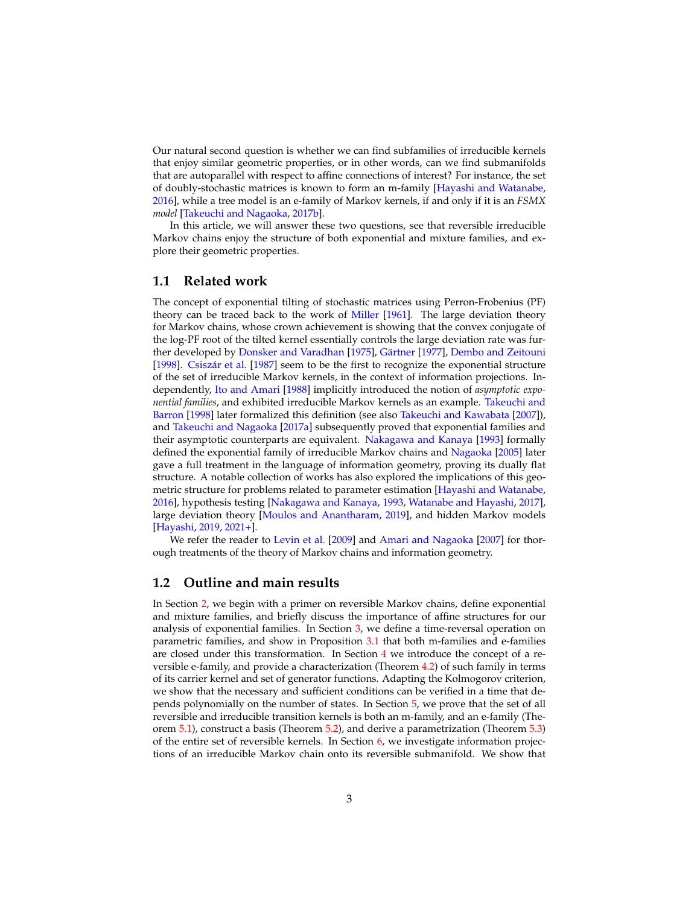Our natural second question is whether we can find subfamilies of irreducible kernels that enjoy similar geometric properties, or in other words, can we find submanifolds that are autoparallel with respect to affine connections of interest? For instance, the set of doubly-stochastic matrices is known to form an m-family [\[Hayashi and Watanabe,](#page-35-3) [2016\]](#page-35-3), while a tree model is an e-family of Markov kernels, if and only if it is an *FSMX model* [\[Takeuchi and Nagaoka,](#page-37-0) [2017b\]](#page-37-0).

In this article, we will answer these two questions, see that reversible irreducible Markov chains enjoy the structure of both exponential and mixture families, and explore their geometric properties.

#### <span id="page-2-0"></span>**1.1 Related work**

The concept of exponential tilting of stochastic matrices using Perron-Frobenius (PF) theory can be traced back to the work of [Miller](#page-36-4) [\[1961\]](#page-36-4). The large deviation theory for Markov chains, whose crown achievement is showing that the convex conjugate of the log-PF root of the tilted kernel essentially controls the large deviation rate was fur-ther developed by [Donsker and Varadhan](#page-35-4) [\[1975\]](#page-35-4), Gärtner [\[1977\]](#page-35-5), [Dembo and Zeitouni](#page-35-6) [\[1998\]](#page-35-6). Csiszár et al. [\[1987\]](#page-35-7) seem to be the first to recognize the exponential structure of the set of irreducible Markov kernels, in the context of information projections. Independently, [Ito and Amari](#page-35-8) [\[1988\]](#page-35-8) implicitly introduced the notion of *asymptotic exponential families*, and exhibited irreducible Markov kernels as an example. [Takeuchi and](#page-37-1) [Barron](#page-37-1) [\[1998\]](#page-37-1) later formalized this definition (see also [Takeuchi and Kawabata](#page-37-2) [\[2007\]](#page-37-2)), and [Takeuchi and Nagaoka](#page-37-3) [\[2017a\]](#page-37-3) subsequently proved that exponential families and their asymptotic counterparts are equivalent. [Nakagawa and Kanaya](#page-36-5) [\[1993\]](#page-36-5) formally defined the exponential family of irreducible Markov chains and [Nagaoka](#page-36-6) [\[2005\]](#page-36-6) later gave a full treatment in the language of information geometry, proving its dually flat structure. A notable collection of works has also explored the implications of this geometric structure for problems related to parameter estimation [\[Hayashi and Watanabe,](#page-35-3) [2016\]](#page-35-3), hypothesis testing [\[Nakagawa and Kanaya,](#page-36-5) [1993,](#page-36-5) [Watanabe and Hayashi,](#page-37-4) [2017\]](#page-37-4), large deviation theory [\[Moulos and Anantharam,](#page-36-7) [2019\]](#page-36-7), and hidden Markov models [\[Hayashi,](#page-35-9) [2019,](#page-35-9) [2021+\]](#page-35-10).

We refer the reader to [Levin et al.](#page-36-2) [\[2009\]](#page-36-2) and [Amari and Nagaoka](#page-34-2) [\[2007\]](#page-34-2) for thorough treatments of the theory of Markov chains and information geometry.

#### <span id="page-2-1"></span>**1.2 Outline and main results**

In Section [2,](#page-3-0) we begin with a primer on reversible Markov chains, define exponential and mixture families, and briefly discuss the importance of affine structures for our analysis of exponential families. In Section [3,](#page-6-0) we define a time-reversal operation on parametric families, and show in Proposition [3.1](#page-6-1) that both m-families and e-families are closed under this transformation. In Section [4](#page-8-0) we introduce the concept of a reversible e-family, and provide a characterization (Theorem [4.2\)](#page-10-0) of such family in terms of its carrier kernel and set of generator functions. Adapting the Kolmogorov criterion, we show that the necessary and sufficient conditions can be verified in a time that depends polynomially on the number of states. In Section [5,](#page-13-0) we prove that the set of all reversible and irreducible transition kernels is both an m-family, and an e-family (Theorem [5.1\)](#page-15-0), construct a basis (Theorem [5.2\)](#page-15-1), and derive a parametrization (Theorem [5.3\)](#page-18-0) of the entire set of reversible kernels. In Section  $6$ , we investigate information projections of an irreducible Markov chain onto its reversible submanifold. We show that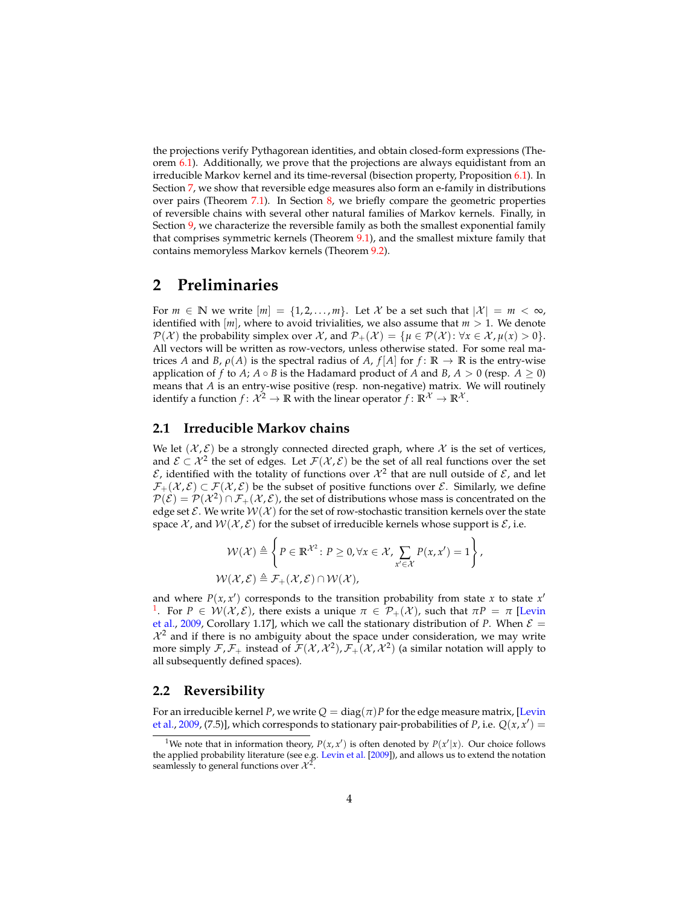the projections verify Pythagorean identities, and obtain closed-form expressions (Theorem [6.1\)](#page-22-0). Additionally, we prove that the projections are always equidistant from an irreducible Markov kernel and its time-reversal (bisection property, Proposition [6.1\)](#page-24-1). In Section [7,](#page-24-0) we show that reversible edge measures also form an e-family in distributions over pairs (Theorem [7.1\)](#page-26-0). In Section [8,](#page-27-0) we briefly compare the geometric properties of reversible chains with several other natural families of Markov kernels. Finally, in Section [9,](#page-31-0) we characterize the reversible family as both the smallest exponential family that comprises symmetric kernels (Theorem [9.1\)](#page-31-1), and the smallest mixture family that contains memoryless Markov kernels (Theorem [9.2\)](#page-33-0).

### <span id="page-3-0"></span>**2 Preliminaries**

For  $m \in \mathbb{N}$  we write  $[m] = \{1, 2, ..., m\}$ . Let X be a set such that  $|\mathcal{X}| = m < \infty$ , identified with  $[m]$ , where to avoid trivialities, we also assume that  $m > 1$ . We denote  $P(\mathcal{X})$  the probability simplex over  $\mathcal{X}$ , and  $P_+(\mathcal{X}) = {\mu \in P(\mathcal{X}) : \forall x \in \mathcal{X}, \mu(x) > 0}.$ All vectors will be written as row-vectors, unless otherwise stated. For some real matrices *A* and *B*,  $\rho(A)$  is the spectral radius of *A*,  $f[A]$  for  $f: \mathbb{R} \to \mathbb{R}$  is the entry-wise application of *f* to *A*;  $A \circ B$  is the Hadamard product of *A* and *B*,  $A > 0$  (resp.  $A > 0$ ) means that *A* is an entry-wise positive (resp. non-negative) matrix. We will routinely identify a function  $f: \mathcal{X}^2 \to \mathbb{R}$  with the linear operator  $f: \mathbb{R}^{\mathcal{X}} \to \mathbb{R}^{\mathcal{X}}$ .

#### <span id="page-3-1"></span>**2.1 Irreducible Markov chains**

We let  $(\mathcal{X}, \mathcal{E})$  be a strongly connected directed graph, where X is the set of vertices, and  $\mathcal{E} \subset \mathcal{X}^2$  the set of edges. Let  $\mathcal{F}(\mathcal{X}, \mathcal{E})$  be the set of all real functions over the set  $\mathcal E$ , identified with the totality of functions over  $\mathcal X^2$  that are null outside of  $\mathcal E$ , and let  $\mathcal{F}_+(\mathcal{X}, \mathcal{E}) \subset \mathcal{F}(\mathcal{X}, \mathcal{E})$  be the subset of positive functions over  $\mathcal{E}$ . Similarly, we define  $\mathcal{P}(\mathcal{E})=\mathcal{P}(\mathcal{X}^2)\cap\mathcal{F}_+(\mathcal{X},\mathcal{E})$ , the set of distributions whose mass is concentrated on the edge set  $\mathcal{E}$ . We write  $\mathcal{W}(\mathcal{X})$  for the set of row-stochastic transition kernels over the state space  $\mathcal{X}$ , and  $\mathcal{W}(\mathcal{X}, \mathcal{E})$  for the subset of irreducible kernels whose support is  $\mathcal{E}$ , i.e.

$$
\mathcal{W}(\mathcal{X}) \triangleq \left\{ P \in \mathbb{R}^{\mathcal{X}^2} : P \geq 0, \forall x \in \mathcal{X}, \sum_{x' \in \mathcal{X}} P(x, x') = 1 \right\},\
$$
  

$$
\mathcal{W}(\mathcal{X}, \mathcal{E}) \triangleq \mathcal{F}_+(\mathcal{X}, \mathcal{E}) \cap \mathcal{W}(\mathcal{X}),
$$

and where  $P(x, x')$  corresponds to the transition probability from state *x* to state  $x'$ <sup>[1](#page-3-3)</sup>. For  $P \in \mathcal{W}(\mathcal{X}, \mathcal{E})$ , there exists a unique  $\pi \in \mathcal{P}_+(\mathcal{X})$ , such that  $\pi P = \pi$  [\[Levin](#page-36-2) [et al.,](#page-36-2) [2009,](#page-36-2) Corollary 1.17], which we call the stationary distribution of *P*. When  $\mathcal{E} =$  $\mathcal{X}^2$  and if there is no ambiguity about the space under consideration, we may write more simply  $\mathcal{F}, \mathcal{F}_+$  instead of  $\mathcal{F}(\mathcal{X}, \mathcal{X}^2), \mathcal{F}_+(\mathcal{X}, \mathcal{X}^2)$  (a similar notation will apply to all subsequently defined spaces).

#### <span id="page-3-2"></span>**2.2 Reversibility**

For an irreducible kernel *P*, we write  $Q = \text{diag}(\pi)P$  for the edge measure matrix, [\[Levin](#page-36-2) [et al.,](#page-36-2) [2009,](#page-36-2) (7.5)], which corresponds to stationary pair-probabilities of *P*, i.e.  $Q(x, x') =$ 

<span id="page-3-3"></span><sup>&</sup>lt;sup>1</sup>We note that in information theory,  $P(x, x')$  is often denoted by  $P(x'|x)$ . Our choice follows the applied probability literature (see e.g. [Levin et al.](#page-36-2) [\[2009\]](#page-36-2)), and allows us to extend the notation seamlessly to general functions over  $\mathcal{X}^2$ .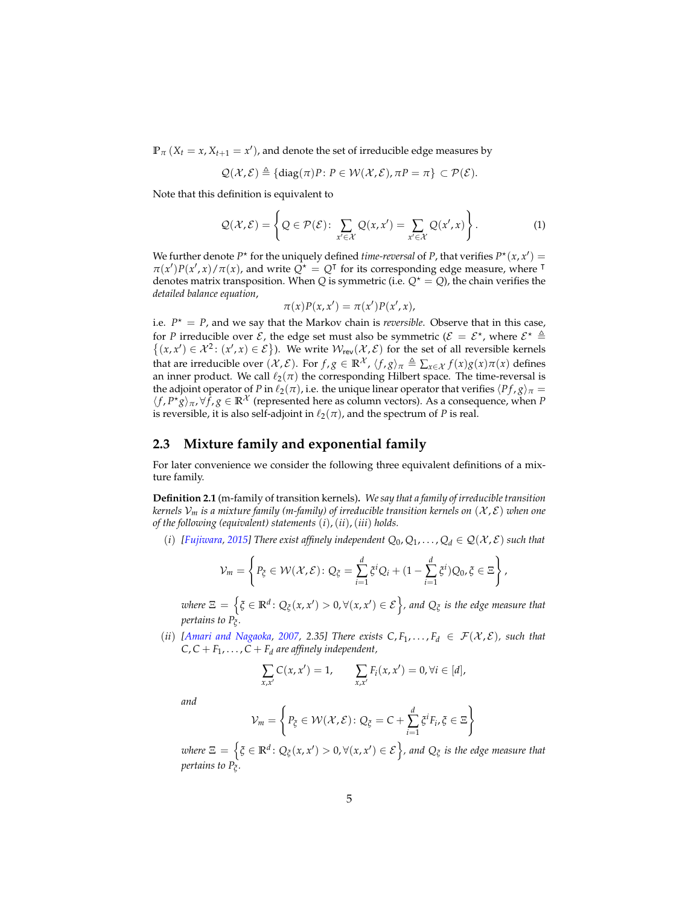$\mathbb{P}_{\pi}$  (*X*<sub>*t*</sub> = *x*, *X*<sub>*t*+1</sub> = *x*<sup>*'*</sup>), and denote the set of irreducible edge measures by

$$
\mathcal{Q}(\mathcal{X},\mathcal{E}) \triangleq \{ \text{diag}(\pi)P \colon P \in \mathcal{W}(\mathcal{X},\mathcal{E}), \pi P = \pi \} \subset \mathcal{P}(\mathcal{E}).
$$

Note that this definition is equivalent to

$$
\mathcal{Q}(\mathcal{X}, \mathcal{E}) = \left\{ Q \in \mathcal{P}(\mathcal{E}) \colon \sum_{x' \in \mathcal{X}} Q(x, x') = \sum_{x' \in \mathcal{X}} Q(x', x) \right\}.
$$
 (1)

We further denote  $P^*$  for the uniquely defined *time-reversal* of *P*, that verifies  $P^*(x, x') =$  $\pi(x')P(x',x)/\pi(x)$ , and write  $Q^* = Q^T$  for its corresponding edge measure, where  $\pi$ denotes matrix transposition. When *Q* is symmetric (i.e.  $Q^* = Q$ ), the chain verifies the *detailed balance equation*,

$$
\pi(x)P(x,x') = \pi(x')P(x',x),
$$

i.e.  $P^* = P$ , and we say that the Markov chain is *reversible*. Observe that in this case, for *P* irreducible over  $\mathcal{E}$ , the edge set must also be symmetric ( $\mathcal{E} = \mathcal{E}^*$ , where  $\mathcal{E}^* \triangleq$  $\{(x, x') \in \mathcal{X}^2 : (x', x) \in \mathcal{E}\}\)$ . We write  $\mathcal{W}_{rev}(\mathcal{X}, \mathcal{E})$  for the set of all reversible kernels that are irreducible over  $(\mathcal{X}, \mathcal{E})$ . For  $f, g \in \mathbb{R}^{\mathcal{X}}$ ,  $\langle f, g \rangle_{\pi} \triangleq \sum_{x \in \mathcal{X}} f(x)g(x)\pi(x)$  defines an inner product. We call  $\ell_2(\pi)$  the corresponding Hilbert space. The time-reversal is the adjoint operator of *P* in  $\ell_2(\pi)$ , i.e. the unique linear operator that verifies  $\langle Pf, g \rangle_{\pi} =$  $\langle f, P^*g \rangle_\pi$ ,  $\forall \hat{f}, g \in \mathbb{R}^{\mathcal{X}}$  (represented here as column vectors). As a consequence, when *P* is reversible, it is also self-adjoint in  $\ell_2(\pi)$ , and the spectrum of *P* is real.

#### <span id="page-4-0"></span>**2.3 Mixture family and exponential family**

For later convenience we consider the following three equivalent definitions of a mixture family.

<span id="page-4-1"></span>**Definition 2.1** (m-family of transition kernels)**.** *We say that a family of irreducible transition kernels*  $V_m$  *is a mixture family (m-family) of irreducible transition kernels on*  $(\mathcal{X}, \mathcal{E})$  *when one of the following (equivalent) statements* (*i*),(*ii*),(*iii*) *holds.*

(*i*) [*Fujiwara,* [2015\]](#page-35-11) There exist affinely independent  $Q_0, Q_1, \ldots, Q_d \in \mathcal{Q}(\mathcal{X}, \mathcal{E})$  such that

$$
\mathcal{V}_m = \left\{ P_{\xi} \in \mathcal{W}(\mathcal{X}, \mathcal{E}) : Q_{\xi} = \sum_{i=1}^d \xi^i Q_i + (1 - \sum_{i=1}^d \xi^i) Q_0, \xi \in \Xi \right\},\
$$

 $w$ here  $\Xi$   $=$   $\left\{ \xi \in \mathbb{R}^d \colon Q_\xi(x,x') > 0, \forall (x,x') \in \mathcal{E} \right\}$ , and  $Q_\xi$  is the edge measure that *pertains to P<sup>ξ</sup> .*

(*ii*) [\[Amari and Nagaoka,](#page-34-2) [2007,](#page-34-2) 2.35] There exists  $C, F_1, \ldots, F_d \in \mathcal{F}(\mathcal{X}, \mathcal{E})$ , such that  $C, C + F_1, \ldots, C + F_d$  are affinely independent,

$$
\sum_{x,x'} C(x,x') = 1, \qquad \sum_{x,x'} F_i(x,x') = 0, \forall i \in [d],
$$

*and*

$$
\mathcal{V}_m = \left\{ P_{\xi} \in \mathcal{W}(\mathcal{X}, \mathcal{E}) : Q_{\xi} = C + \sum_{i=1}^d \xi^i F_i, \xi \in \Xi \right\}
$$

 $w$ here  $\Xi$   $=$   $\left\{ \xi \in \mathbb{R}^d \colon Q_\xi(x,x') > 0, \forall (x,x') \in \mathcal{E} \right\}$ , and  $Q_\xi$  is the edge measure that *pertains to P<sup>ξ</sup> .*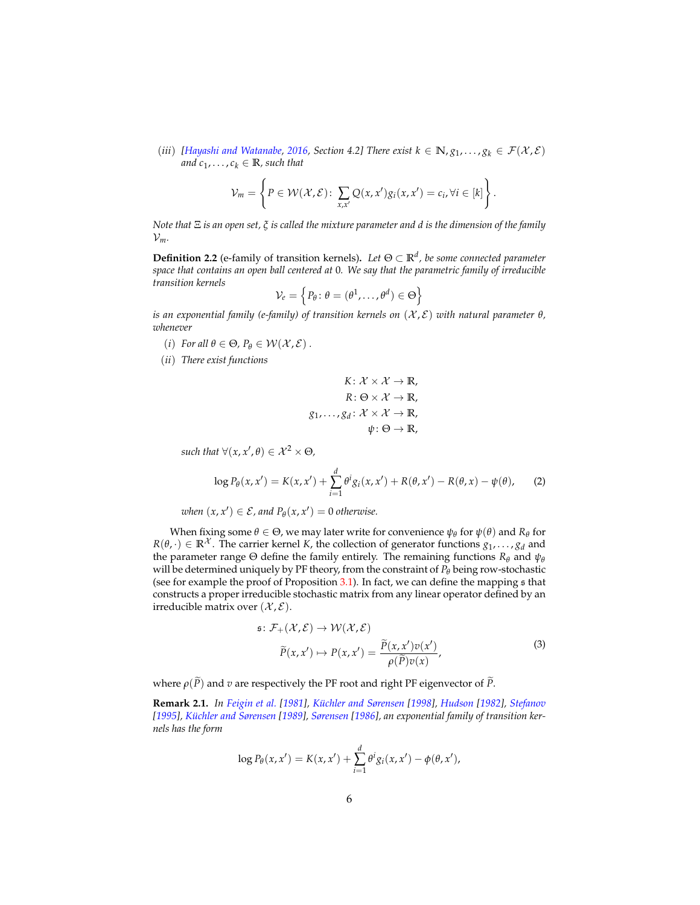(*iii*) [\[Hayashi and Watanabe,](#page-35-3) [2016,](#page-35-3) Section 4.2] There exist  $k \in \mathbb{N}$ ,  $g_1, \ldots, g_k \in \mathcal{F}(\mathcal{X}, \mathcal{E})$ and  $c_1, \ldots, c_k \in \mathbb{R}$ , such that

$$
\mathcal{V}_m = \left\{ P \in \mathcal{W}(\mathcal{X}, \mathcal{E}) : \sum_{x, x'} Q(x, x') g_i(x, x') = c_i, \forall i \in [k] \right\}
$$

.

*Note that* Ξ *is an open set, ξ is called the mixture parameter and d is the dimension of the family*  $\mathcal{V}_m$ .

<span id="page-5-0"></span>**Definition 2.2** (e-family of transition kernels)**.** *Let* Θ ⊂ **R***<sup>d</sup> , be some connected parameter space that contains an open ball centered at* 0*. We say that the parametric family of irreducible transition kernels*

$$
\mathcal{V}_e = \left\{ P_\theta \colon \theta = (\theta^1, \dots, \theta^d) \in \Theta \right\}
$$

*is an exponential family (e-family) of transition kernels on* (X , E) *with natural parameter θ, whenever*

- (*i*) *For all*  $\theta \in \Theta$ *,*  $P_{\theta} \in \mathcal{W}(\mathcal{X}, \mathcal{E})$ .
- (*ii*) *There exist functions*

$$
K: \mathcal{X} \times \mathcal{X} \to \mathbb{R},
$$

$$
R: \Theta \times \mathcal{X} \to \mathbb{R},
$$

$$
g_1, \dots, g_d: \mathcal{X} \times \mathcal{X} \to \mathbb{R},
$$

$$
\psi: \Theta \to \mathbb{R},
$$

 $\mathit{such that } \forall (x, x', \theta) \in \mathcal{X}^2 \times \Theta,$ 

<span id="page-5-2"></span>
$$
\log P_{\theta}(x, x') = K(x, x') + \sum_{i=1}^{d} \theta^{i} g_{i}(x, x') + R(\theta, x') - R(\theta, x) - \psi(\theta), \tag{2}
$$

 $when (x, x') \in \mathcal{E}$ , and  $P_{\theta}(x, x') = 0$  otherwise.

When fixing some  $\theta \in \Theta$ , we may later write for convenience  $\psi_{\theta}$  for  $\psi(\theta)$  and  $R_{\theta}$  for  $R(\theta, \cdot) \in \mathbb{R}^{\mathcal{X}}$ . The carrier kernel *K*, the collection of generator functions  $g_1, \ldots, g_d$  and the parameter range  $\Theta$  define the family entirely. The remaining functions  $R_{\theta}$  and  $\psi_{\theta}$ will be determined uniquely by PF theory, from the constraint of *P<sup>θ</sup>* being row-stochastic (see for example the proof of Proposition [3.1\)](#page-6-1). In fact, we can define the mapping s that constructs a proper irreducible stochastic matrix from any linear operator defined by an irreducible matrix over  $(\mathcal{X}, \mathcal{E})$ .

$$
\tilde{P}(x, x') \to \mathcal{W}(\mathcal{X}, \mathcal{E})
$$
\n
$$
\tilde{P}(x, x') \to P(x, x') = \frac{\tilde{P}(x, x')v(x')}{\rho(\tilde{P})v(x)},
$$
\n(3)

<span id="page-5-1"></span>where  $\rho(\tilde{P})$  and *v* are respectively the PF root and right PF eigenvector of  $\tilde{P}$ .

**Remark 2.1.** *In [Feigin et al.](#page-35-12) [\[1981\]](#page-35-12), [K ¨uchler and Sørensen](#page-36-8) [\[1998\]](#page-36-8), [Hudson](#page-35-13) [\[1982\]](#page-35-13), [Stefanov](#page-36-9) [\[1995\]](#page-36-9), [K ¨uchler and Sørensen](#page-36-10) [\[1989\]](#page-36-10), [Sørensen](#page-36-11) [\[1986\]](#page-36-11), an exponential family of transition kernels has the form*

$$
\log P_{\theta}(x, x') = K(x, x') + \sum_{i=1}^{d} \theta^{i} g_i(x, x') - \phi(\theta, x'),
$$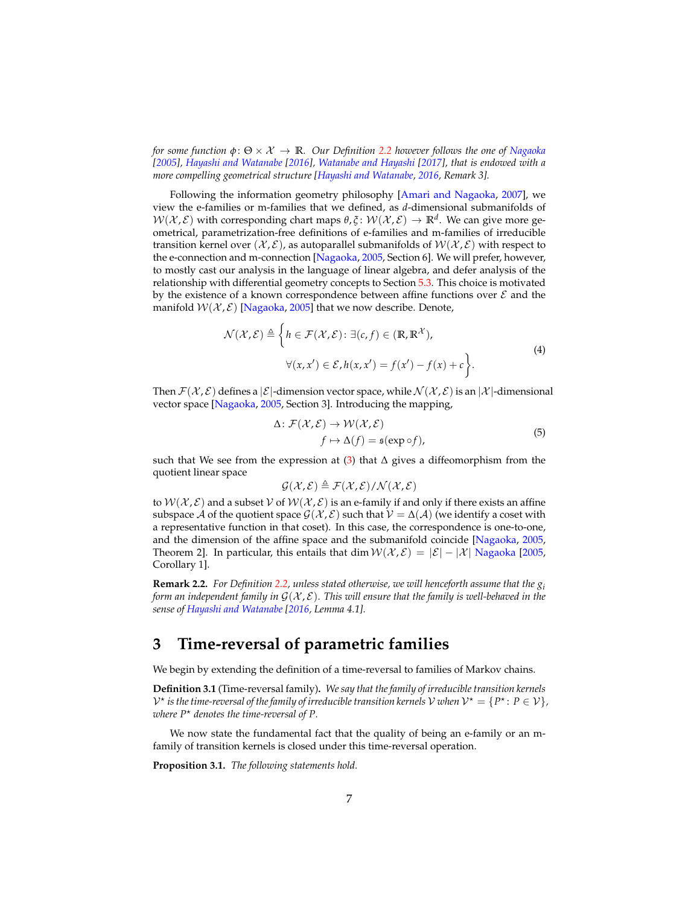*for some function φ*: Θ × X → **R***. Our Definition [2.2](#page-5-0) however follows the one of [Nagaoka](#page-36-6) [\[2005\]](#page-36-6), [Hayashi and Watanabe](#page-35-3) [\[2016\]](#page-35-3), [Watanabe and Hayashi](#page-37-4) [\[2017\]](#page-37-4), that is endowed with a more compelling geometrical structure [\[Hayashi and Watanabe,](#page-35-3) [2016,](#page-35-3) Remark 3].*

Following the information geometry philosophy [\[Amari and Nagaoka,](#page-34-2) [2007\]](#page-34-2), we view the e-families or m-families that we defined, as *d*-dimensional submanifolds of  $W(\mathcal{X}, \mathcal{E})$  with corresponding chart maps  $\theta, \xi \colon W(\mathcal{X}, \mathcal{E}) \to \mathbb{R}^d$ . We can give more geometrical, parametrization-free definitions of e-families and m-families of irreducible transition kernel over  $(\mathcal{X}, \mathcal{E})$ , as autoparallel submanifolds of  $W(\mathcal{X}, \mathcal{E})$  with respect to the e-connection and m-connection [\[Nagaoka,](#page-36-6) [2005,](#page-36-6) Section 6]. We will prefer, however, to mostly cast our analysis in the language of linear algebra, and defer analysis of the relationship with differential geometry concepts to Section [5.3.](#page-19-0) This choice is motivated by the existence of a known correspondence between affine functions over  $\mathcal E$  and the manifold  $W(X, \mathcal{E})$  [\[Nagaoka,](#page-36-6) [2005\]](#page-36-6) that we now describe. Denote,

$$
\mathcal{N}(\mathcal{X}, \mathcal{E}) \triangleq \left\{ h \in \mathcal{F}(\mathcal{X}, \mathcal{E}) : \exists (c, f) \in (\mathbb{R}, \mathbb{R}^{\mathcal{X}}), \forall (x, x') \in \mathcal{E}, h(x, x') = f(x') - f(x) + c \right\}.
$$
\n(4)

<span id="page-6-2"></span>Then  $\mathcal{F}(\mathcal{X}, \mathcal{E})$  defines a  $|\mathcal{E}|$ -dimension vector space, while  $\mathcal{N}(\mathcal{X}, \mathcal{E})$  is an  $|\mathcal{X}|$ -dimensional vector space [\[Nagaoka,](#page-36-6) [2005,](#page-36-6) Section 3]. Introducing the mapping,

$$
\Delta: \mathcal{F}(\mathcal{X}, \mathcal{E}) \to \mathcal{W}(\mathcal{X}, \mathcal{E})
$$
  

$$
f \mapsto \Delta(f) = \mathfrak{s}(\exp \circ f),
$$
 (5)

<span id="page-6-3"></span>such that We see from the expression at  $(3)$  that  $\Delta$  gives a diffeomorphism from the quotient linear space

$$
\mathcal{G}(\mathcal{X},\mathcal{E}) \triangleq \mathcal{F}(\mathcal{X},\mathcal{E})/\mathcal{N}(\mathcal{X},\mathcal{E})
$$

to  $W(\mathcal{X}, \mathcal{E})$  and a subset V of  $W(\mathcal{X}, \mathcal{E})$  is an e-family if and only if there exists an affine subspace A of the quotient space  $\mathcal{G}(\mathcal{X}, \mathcal{E})$  such that  $\mathcal{V} = \Delta(\mathcal{A})$  (we identify a coset with a representative function in that coset). In this case, the correspondence is one-to-one, and the dimension of the affine space and the submanifold coincide [\[Nagaoka,](#page-36-6) [2005,](#page-36-6) Theorem 2]. In particular, this entails that dim  $W(\mathcal{X}, \mathcal{E}) = |\mathcal{E}| - |\mathcal{X}|$  [Nagaoka](#page-36-6) [\[2005,](#page-36-6) Corollary 1].

**Remark 2.2.** *For Definition [2.2,](#page-5-0) unless stated otherwise, we will henceforth assume that the g<sup>i</sup> form an independent family in*  $G(\mathcal{X}, \mathcal{E})$ *. This will ensure that the family is well-behaved in the sense of [Hayashi and Watanabe](#page-35-3) [\[2016,](#page-35-3) Lemma 4.1].*

## <span id="page-6-0"></span>**3 Time-reversal of parametric families**

We begin by extending the definition of a time-reversal to families of Markov chains.

**Definition 3.1** (Time-reversal family)**.** *We say that the family of irreducible transition kernels*  $\mathcal{V}^\star$  is the time-reversal of the family of irreducible transition kernels  $\mathcal{V}$  when  $\mathcal{V}^\star = \{P^\star\colon P\in \mathcal{V}\}$  , *where*  $P^*$  *denotes the time-reversal of*  $P$ *.* 

We now state the fundamental fact that the quality of being an e-family or an mfamily of transition kernels is closed under this time-reversal operation.

<span id="page-6-1"></span>**Proposition 3.1.** *The following statements hold.*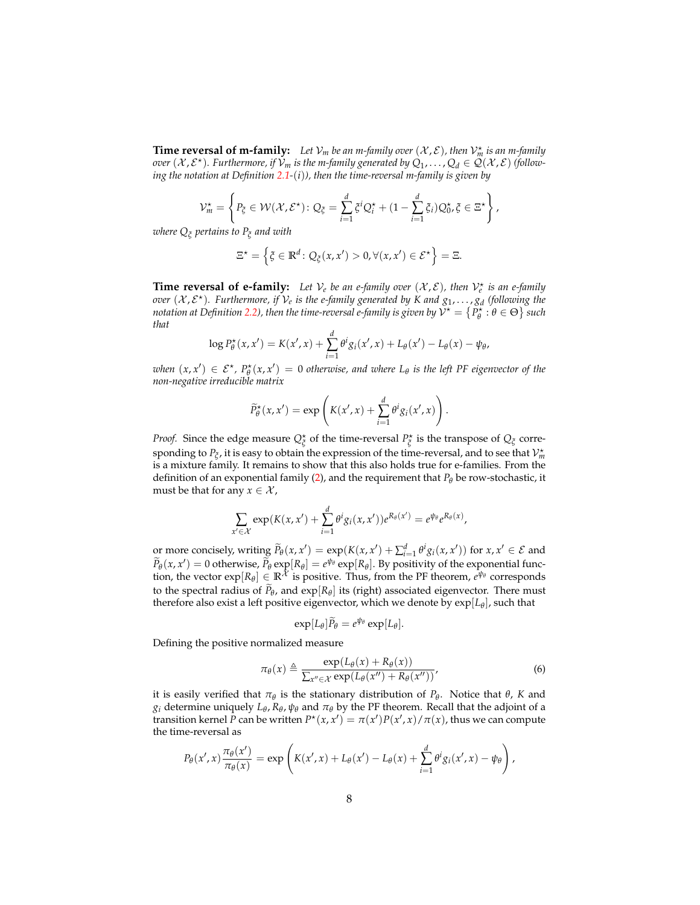**Time reversal of m-family:** Let  $V_m$  be an m-family over  $(X, \mathcal{E})$ , then  $V_m^*$  is an m-family *over*  $(\mathcal{X}, \mathcal{E}^{\star})$ . Furthermore, if  $\mathcal{V}_m$  is the m-family generated by  $Q_1, \ldots, Q_d \in \mathcal{Q}(\mathcal{X}, \mathcal{E})$  (follow*ing the notation at Definition [2.1-](#page-4-1)*(*i*)*), then the time-reversal m-family is given by*

$$
\mathcal{V}_m^{\star} = \left\{ P_{\xi} \in \mathcal{W}(\mathcal{X}, \mathcal{E}^{\star}) : Q_{\xi} = \sum_{i=1}^d \xi^i Q_i^{\star} + (1 - \sum_{i=1}^d \xi_i) Q_0^{\star}, \xi \in \Xi^{\star} \right\},\
$$

*where Q<sup>ξ</sup> pertains to P<sup>ξ</sup> and with*

$$
\Xi^{\star} = \left\{ \xi \in \mathbb{R}^d \colon Q_{\xi}(x, x') > 0, \forall (x, x') \in \mathcal{E}^{\star} \right\} = \Xi.
$$

**Time reversal of e-family:** Let  $V_e$  be an e-family over  $(X, \mathcal{E})$ , then  $V_e^*$  is an e-family *over*  $(X, \mathcal{E}^{\star})$ . Furthermore, if  $\mathcal{V}_e$  is the e-family generated by K and  $g_1, \ldots, g_d$  (following the *notation at Definition [2.2\)](#page-5-0), then the time-reversal e-family is given by*  $\check{\cal V}^\star = \{P_\theta^\star : \theta \in \Theta\}$  *such that*

$$
\log P_{\theta}^{\star}(x, x') = K(x', x) + \sum_{i=1}^{d} \theta^{i} g_i(x', x) + L_{\theta}(x') - L_{\theta}(x) - \psi_{\theta},
$$

*when*  $(x, x') \in \mathcal{E}^{\star}$ ,  $P_{\theta}^{\star}(x, x') = 0$  *otherwise, and where*  $L_{\theta}$  *is the left PF eigenvector of the non-negative irreducible matrix*

$$
\widetilde{P}_{\theta}^{\star}(x, x') = \exp\left(K(x', x) + \sum_{i=1}^{d} \theta^{i} g_{i}(x', x)\right).
$$

*Proof.* Since the edge measure  $Q^*_{\xi}$  of the time-reversal  $P^*_{\xi}$  is the transpose of  $Q_{\xi}$  corresponding to  $P_{\xi}$ , it is easy to obtain the expression of the time-reversal, and to see that  $\mathcal{V}_m^{\star}$ is a mixture family. It remains to show that this also holds true for e-families. From the definition of an exponential family [\(2\)](#page-5-2), and the requirement that  $P_\theta$  be row-stochastic, it must be that for any  $x \in \mathcal{X}$ ,

$$
\sum_{x'\in\mathcal{X}} \exp(K(x,x') + \sum_{i=1}^d \theta^i g_i(x,x'))e^{R_\theta(x')} = e^{\psi_\theta}e^{R_\theta(x)},
$$

or more concisely, writing  $\widetilde{P}_{\theta}(x, x') = \exp(K(x, x') + \sum_{i=1}^{d} \theta^{i} g_{i}(x, x'))$  for  $x, x' \in \mathcal{E}$  and  $\widetilde{P}_{\theta}(x, x') = 0$  otherwise,  $\widetilde{P}_{\theta} \exp[R_{\theta}] = e^{\psi_{\theta}} \exp[R_{\theta}]$ . By positivity of the exponential function, the vector  $\exp[R_\theta] \in \mathbb{R}^{\hat{\mathcal{X}}}$  is positive. Thus, from the PF theorem,  $e^{\hat{\psi}_\theta}$  corresponds to the spectral radius of  $P_{\theta}$ , and  $exp[R_{\theta}]$  its (right) associated eigenvector. There must therefore also exist a left positive eigenvector, which we denote by exp[*L<sup>θ</sup>* ], such that

$$
\exp[L_{\theta}]\widetilde{P}_{\theta}=e^{\psi_{\theta}}\exp[L_{\theta}].
$$

<span id="page-7-0"></span>Defining the positive normalized measure

$$
\pi_{\theta}(x) \triangleq \frac{\exp(L_{\theta}(x) + R_{\theta}(x))}{\sum_{x'' \in \mathcal{X}} \exp(L_{\theta}(x'') + R_{\theta}(x''))'},\tag{6}
$$

it is easily verified that  $π_θ$  is the stationary distribution of  $P_θ$ . Notice that  $θ$ , K and *g*<sub>*i*</sub> determine uniquely *L*<sub>θ</sub>, *R*<sub>θ</sub>,  $ψ$ <sup>*θ*</sup> and  $π$ <sup>*θ*</sup> by the PF theorem. Recall that the adjoint of a transition kernel  $\overline{P}$  can be written  $P^*(x, x') = \pi(x')P(x', x)/\pi(x)$ , thus we can compute the time-reversal as

$$
P_{\theta}(x',x)\frac{\pi_{\theta}(x')}{\pi_{\theta}(x)}=\exp\left(K(x',x)+L_{\theta}(x')-L_{\theta}(x)+\sum_{i=1}^{d}\theta^{i}g_{i}(x',x)-\psi_{\theta}\right),
$$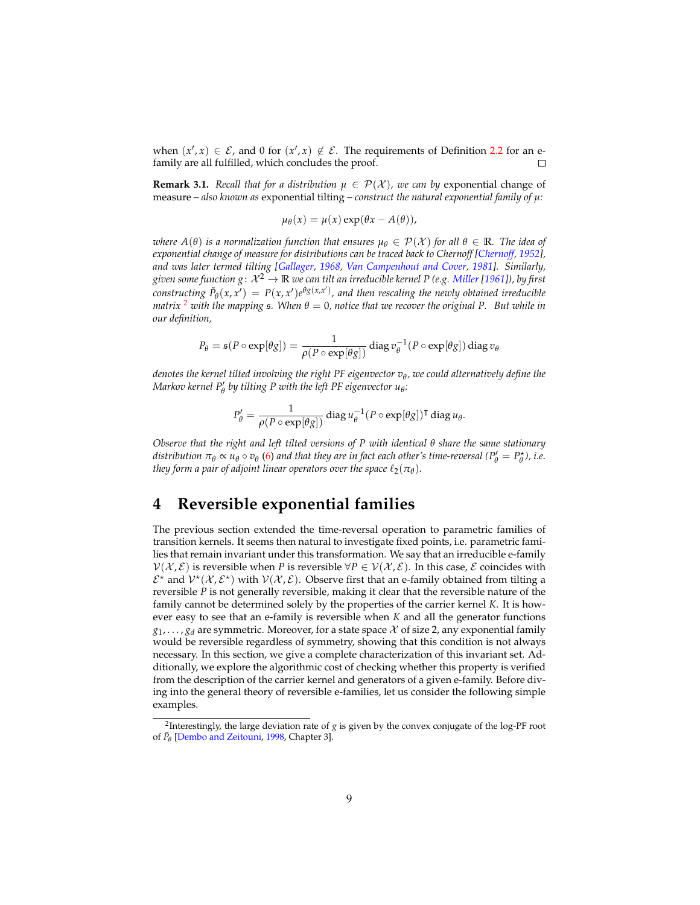when  $(x', x) \in \mathcal{E}$ , and 0 for  $(x', x) \notin \mathcal{E}$ . The requirements of Definition [2.2](#page-5-0) for an efamily are all fulfilled, which concludes the proof.

**Remark 3.1.** *Recall that for a distribution*  $\mu \in \mathcal{P}(\mathcal{X})$ *, we can by* exponential change of measure  $-$  *also known as* exponential tilting  $-$  *construct the natural exponential family of*  $\mu$ *:* 

$$
\mu_{\theta}(x) = \mu(x) \exp(\theta x - A(\theta)),
$$

*where*  $A(\theta)$  *is a normalization function that ensures*  $\mu_{\theta} \in \mathcal{P}(\mathcal{X})$  *for all*  $\theta \in \mathbb{R}$ *. The idea of exponential change of measure for distributions can be traced back to Chernoff [\[Chernoff,](#page-34-3) [1952\]](#page-34-3)*, *and was later termed tilting [\[Gallager,](#page-35-14) [1968,](#page-35-14) [Van Campenhout and Cover,](#page-37-5) [1981\]](#page-37-5). Similarly, given some function g*:  $\mathcal{X}^2 \to \mathbb{R}$  *we can tilt an irreducible kernel P (e.g. [Miller](#page-36-4) [\[1961\]](#page-36-4)), by first constructing*  $\tilde{P}_{\theta}(x, x') = P(x, x')e^{\theta g(x, x')}$ , and then rescaling the newly obtained irreducible *matrix* <sup>[2](#page-8-1)</sup> *with the mapping*  $\epsilon$ *. When*  $\theta = 0$ *, notice that we recover the original P. But while in our definition,*

$$
P_{\theta} = \mathfrak{s}(P \circ \exp[\theta g]) = \frac{1}{\rho(P \circ \exp[\theta g])} \operatorname{diag} v_{\theta}^{-1}(P \circ \exp[\theta g]) \operatorname{diag} v_{\theta}
$$

*denotes the kernel tilted involving the right PF eigenvector v<sup>θ</sup> , we could alternatively define the Markov kernel*  $P'_{\theta}$  *by tilting P with the left PF eigenvector*  $u_{\theta}$ *:* 

$$
P'_{\theta} = \frac{1}{\rho(P \circ \exp[\theta g])} \operatorname{diag} u_{\theta}^{-1}(P \circ \exp[\theta g])^{\mathsf{T}} \operatorname{diag} u_{\theta}.
$$

*Observe that the right and left tilted versions of P with identical θ share the same stationary distribution*  $\pi_{\theta} \propto u_{\theta} \circ v_{\theta}$  [\(6\)](#page-7-0) and that they are in fact each other's time-reversal ( $P'_{\theta} = P_{\theta}^{\star}$ ), i.e. *they form a pair of adjoint linear operators over the space*  $\ell_2(\pi_{\theta})$ *.* 

### <span id="page-8-0"></span>**4 Reversible exponential families**

The previous section extended the time-reversal operation to parametric families of transition kernels. It seems then natural to investigate fixed points, i.e. parametric families that remain invariant under this transformation. We say that an irreducible e-family  $V(\mathcal{X}, \mathcal{E})$  is reversible when *P* is reversible  $\forall P \in V(\mathcal{X}, \mathcal{E})$ . In this case,  $\mathcal{E}$  coincides with  $\mathcal{E}^{\star}$  and  $\mathcal{V}^{\star}(\mathcal{X}, \mathcal{E}^{\star})$  with  $\mathcal{V}(\mathcal{X}, \mathcal{E})$ . Observe first that an e-family obtained from tilting a reversible *P* is not generally reversible, making it clear that the reversible nature of the family cannot be determined solely by the properties of the carrier kernel *K*. It is however easy to see that an e-family is reversible when *K* and all the generator functions  $g_1, \ldots, g_d$  are symmetric. Moreover, for a state space  $\mathcal X$  of size 2, any exponential family would be reversible regardless of symmetry, showing that this condition is not always necessary. In this section, we give a complete characterization of this invariant set. Additionally, we explore the algorithmic cost of checking whether this property is verified from the description of the carrier kernel and generators of a given e-family. Before diving into the general theory of reversible e-families, let us consider the following simple examples.

<span id="page-8-1"></span><sup>2</sup> Interestingly, the large deviation rate of *g* is given by the convex conjugate of the log-PF root of  $\tilde{P}_\theta$  [\[Dembo and Zeitouni,](#page-35-6) [1998,](#page-35-6) Chapter 3].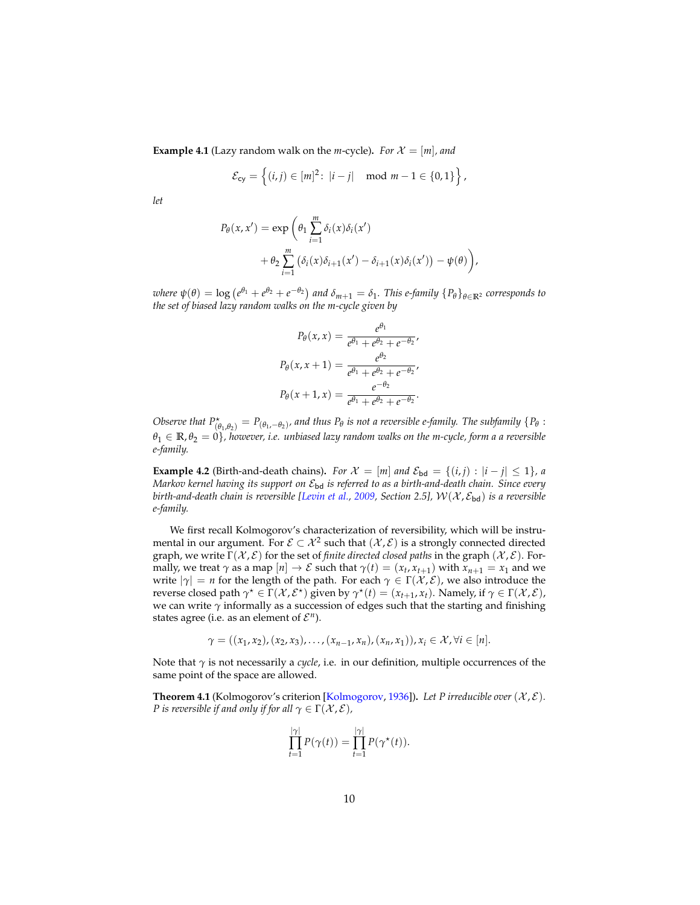<span id="page-9-1"></span>**Example 4.1** (Lazy random walk on the *m*-cycle). *For*  $\mathcal{X} = [m]$ *, and* 

$$
\mathcal{E}_{cy} = \left\{ (i,j) \in [m]^2 : |i - j| \mod m - 1 \in \{0,1\} \right\},\
$$

*let*

$$
P_{\theta}(x, x') = \exp\left(\theta_1 \sum_{i=1}^{m} \delta_i(x)\delta_i(x')
$$
  
+ 
$$
\theta_2 \sum_{i=1}^{m} (\delta_i(x)\delta_{i+1}(x') - \delta_{i+1}(x)\delta_i(x')) - \psi(\theta)\right),
$$

where  $\psi(\theta) = \log (e^{\theta_1} + e^{\theta_2} + e^{-\theta_2})$  and  $\delta_{m+1} = \delta_1$ . This e-family  $\{P_\theta\}_{\theta \in \mathbb{R}^2}$  corresponds to *the set of biased lazy random walks on the m-cycle given by*

$$
P_{\theta}(x, x) = \frac{e^{\theta_1}}{e^{\theta_1} + e^{\theta_2} + e^{-\theta_2}},
$$

$$
P_{\theta}(x, x + 1) = \frac{e^{\theta_2}}{e^{\theta_1} + e^{\theta_2} + e^{-\theta_2}},
$$

$$
P_{\theta}(x + 1, x) = \frac{e^{-\theta_2}}{e^{\theta_1} + e^{\theta_2} + e^{-\theta_2}}.
$$

*Observe that*  $P^{\star}_{(\theta_1,\theta_2)} = P_{(\theta_1,-\theta_2)}$ , and thus  $P_{\theta}$  is not a reversible e-family. The subfamily  $\{P_{\theta}$ :  $\theta_1 \in \mathbb{R}, \theta_2 = 0$ , however, i.e. unbiased lazy random walks on the m-cycle, form a a reversible *e-family.*

**Example 4.2** (Birth-and-death chains). *For*  $\mathcal{X} = [m]$  *and*  $\mathcal{E}_{\text{bd}} = \{(i, j) : |i - j| \leq 1\}$ *, a Markov kernel having its support on* Ebd *is referred to as a birth-and-death chain. Since every birth-and-death chain is reversible [\[Levin et al.,](#page-36-2) [2009,](#page-36-2) Section 2.5],*  $W(X, \mathcal{E}_{bd})$  *is a reversible e-family.*

We first recall Kolmogorov's characterization of reversibility, which will be instrumental in our argument. For  $\mathcal{E} \subset \mathcal{X}^2$  such that  $(\mathcal{X}, \mathcal{E})$  is a strongly connected directed graph, we write  $\Gamma(\mathcal{X}, \mathcal{E})$  for the set of *finite directed closed paths* in the graph  $(\mathcal{X}, \mathcal{E})$ . Formally, we treat  $\gamma$  as a map  $[n] \to \mathcal{E}$  such that  $\gamma(t) = (x_t, x_{t+1})$  with  $x_{n+1} = x_1$  and we write  $|\gamma| = n$  for the length of the path. For each  $\gamma \in \Gamma(\mathcal{X}, \mathcal{E})$ , we also introduce the reverse closed path  $\gamma^* \in \Gamma(\mathcal{X}, \mathcal{E}^*)$  given by  $\gamma^*(t) = (x_{t+1}, x_t)$ . Namely, if  $\gamma \in \Gamma(\mathcal{X}, \mathcal{E})$ , we can write  $\gamma$  informally as a succession of edges such that the starting and finishing states agree (i.e. as an element of  $\mathcal{E}^n$ ).

$$
\gamma = ((x_1, x_2), (x_2, x_3), \ldots, (x_{n-1}, x_n), (x_n, x_1)), x_i \in \mathcal{X}, \forall i \in [n].
$$

Note that *γ* is not necessarily a *cycle*, i.e. in our definition, multiple occurrences of the same point of the space are allowed.

<span id="page-9-0"></span>**Theorem 4.1** (Kolmogorov's criterion [\[Kolmogorov,](#page-35-1) [1936\]](#page-35-1)). Let P irreducible over  $(\mathcal{X}, \mathcal{E})$ . *P* is reversible if and only if for all  $\gamma \in \Gamma(\mathcal{X}, \mathcal{E})$ ,

$$
\prod_{t=1}^{|\gamma|} P(\gamma(t)) = \prod_{t=1}^{|\gamma|} P(\gamma^*(t)).
$$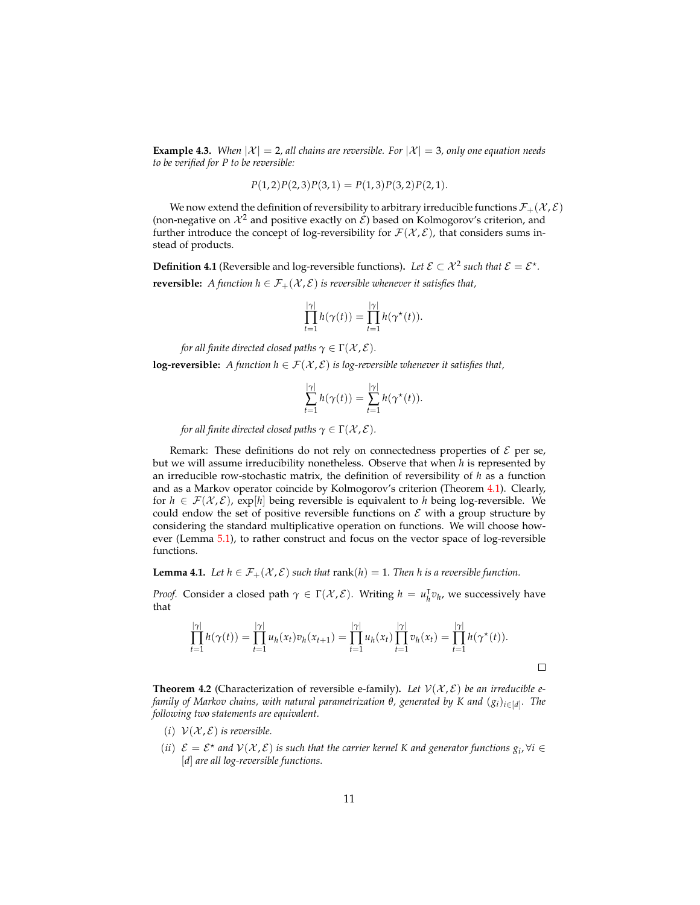**Example 4.3.** *When*  $|\mathcal{X}| = 2$ , all chains are reversible. For  $|\mathcal{X}| = 3$ , only one equation needs *to be verified for P to be reversible:*

$$
P(1,2)P(2,3)P(3,1) = P(1,3)P(3,2)P(2,1).
$$

We now extend the definition of reversibility to arbitrary irreducible functions  $\mathcal{F}_+(\mathcal{X}, \mathcal{E})$ (non-negative on  $\mathcal{X}^2$  and positive exactly on  $\mathcal{E}$ ) based on Kolmogorov's criterion, and further introduce the concept of log-reversibility for  $\mathcal{F}(\mathcal{X}, \mathcal{E})$ , that considers sums instead of products.

<span id="page-10-2"></span>**Definition 4.1** (Reversible and log-reversible functions). Let  $\mathcal{E} \subset \mathcal{X}^2$  such that  $\mathcal{E} = \mathcal{E}^*$ . **reversible:** *A function h*  $\in$   $\mathcal{F}_+(\mathcal{X}, \mathcal{E})$  *is reversible whenever it satisfies that,* 

$$
\prod_{t=1}^{|\gamma|} h(\gamma(t)) = \prod_{t=1}^{|\gamma|} h(\gamma^*(t)).
$$

*for all finite directed closed paths*  $\gamma \in \Gamma(\mathcal{X}, \mathcal{E})$ *.* 

**log-reversible:** *A function*  $h \in \mathcal{F}(\mathcal{X}, \mathcal{E})$  *is log-reversible whenever it satisfies that,* 

$$
\sum_{t=1}^{|\gamma|} h(\gamma(t)) = \sum_{t=1}^{|\gamma|} h(\gamma^*(t)).
$$

*for all finite directed closed paths*  $\gamma \in \Gamma(\mathcal{X}, \mathcal{E})$ *.* 

Remark: These definitions do not rely on connectedness properties of  $\mathcal E$  per se, but we will assume irreducibility nonetheless. Observe that when *h* is represented by an irreducible row-stochastic matrix, the definition of reversibility of *h* as a function and as a Markov operator coincide by Kolmogorov's criterion (Theorem [4.1\)](#page-9-0). Clearly, for  $h \in \mathcal{F}(\mathcal{X}, \mathcal{E})$ , exp[*h*] being reversible is equivalent to *h* being log-reversible. We could endow the set of positive reversible functions on  $\mathcal E$  with a group structure by considering the standard multiplicative operation on functions. We will choose however (Lemma [5.1\)](#page-14-0), to rather construct and focus on the vector space of log-reversible functions.

<span id="page-10-1"></span>**Lemma 4.1.** *Let*  $h \in \mathcal{F}_+(\mathcal{X}, \mathcal{E})$  *such that* rank( $h$ ) = 1*. Then*  $h$  *is a reversible function.* 

*Proof.* Consider a closed path  $\gamma \in \Gamma(\mathcal{X}, \mathcal{E})$ . Writing  $h = u_h^{\dagger}$  $h^{\dagger}v_h$ , we successively have that

$$
\prod_{t=1}^{|\gamma|} h(\gamma(t)) = \prod_{t=1}^{|\gamma|} u_h(x_t) v_h(x_{t+1}) = \prod_{t=1}^{|\gamma|} u_h(x_t) \prod_{t=1}^{|\gamma|} v_h(x_t) = \prod_{t=1}^{|\gamma|} h(\gamma^*(t)).
$$

<span id="page-10-0"></span>**Theorem 4.2** (Characterization of reversible e-family). Let  $V(X, \mathcal{E})$  be an irreducible e*family of Markov chains, with natural parametrization θ, generated by K and* (*g<sup>i</sup>* )*i*∈[*d*] *. The following two statements are equivalent.*

- (*i*)  $V(X, \mathcal{E})$  *is reversible.*
- (*ii*)  $\mathcal{E} = \mathcal{E}^*$  and  $\mathcal{V}(\mathcal{X}, \mathcal{E})$  is such that the carrier kernel K and generator functions  $g_i$ ,  $\forall i \in$ [*d*] *are all log-reversible functions.*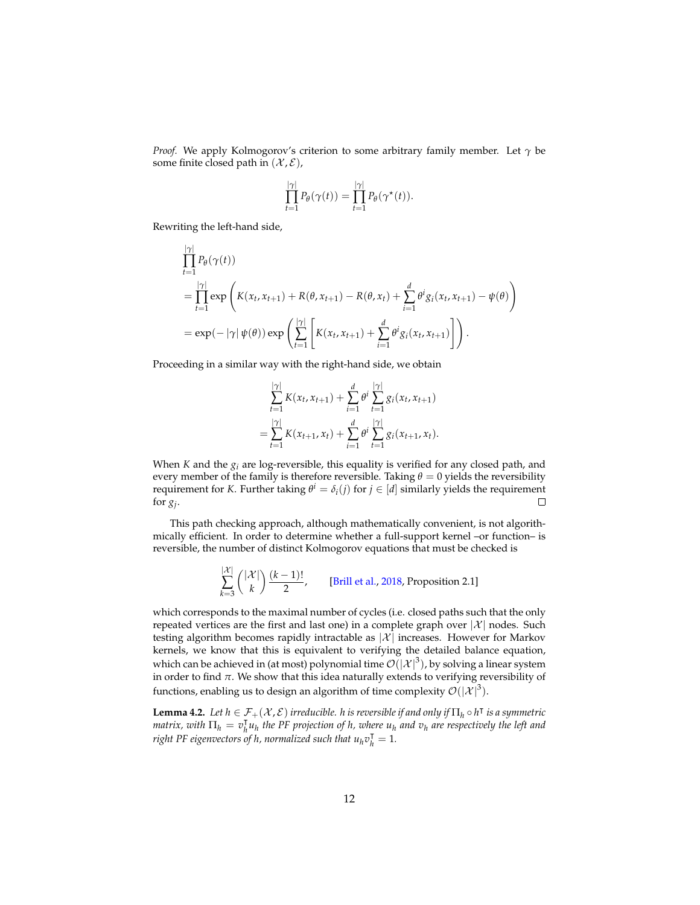*Proof.* We apply Kolmogorov's criterion to some arbitrary family member. Let *γ* be some finite closed path in  $(X, \mathcal{E})$ ,

$$
\prod_{t=1}^{|\gamma|} P_{\theta}(\gamma(t)) = \prod_{t=1}^{|\gamma|} P_{\theta}(\gamma^*(t)).
$$

Rewriting the left-hand side,

|*γ*|

$$
\prod_{t=1}^{|\gamma|} P_{\theta}(\gamma(t))
$$
\n
$$
= \prod_{t=1}^{|\gamma|} \exp\left(K(x_t, x_{t+1}) + R(\theta, x_{t+1}) - R(\theta, x_t) + \sum_{i=1}^{d} \theta^i g_i(x_t, x_{t+1}) - \psi(\theta)\right)
$$
\n
$$
= \exp(-|\gamma| \psi(\theta)) \exp\left(\sum_{t=1}^{|\gamma|} \left[K(x_t, x_{t+1}) + \sum_{i=1}^{d} \theta^i g_i(x_t, x_{t+1})\right]\right).
$$

Proceeding in a similar way with the right-hand side, we obtain

$$
\sum_{t=1}^{|\gamma|} K(x_t, x_{t+1}) + \sum_{i=1}^d \theta^i \sum_{t=1}^{|\gamma|} g_i(x_t, x_{t+1})
$$
  
= 
$$
\sum_{t=1}^{|\gamma|} K(x_{t+1}, x_t) + \sum_{i=1}^d \theta^i \sum_{t=1}^{|\gamma|} g_i(x_{t+1}, x_t).
$$

When *K* and the *g<sup>i</sup>* are log-reversible, this equality is verified for any closed path, and every member of the family is therefore reversible. Taking *θ* = 0 yields the reversibility requirement for *K*. Further taking  $\theta^i = \delta_i(j)$  for  $j \in [d]$  similarly yields the requirement for  $g_j$ .  $\Box$ 

This path checking approach, although mathematically convenient, is not algorithmically efficient. In order to determine whether a full-support kernel –or function– is reversible, the number of distinct Kolmogorov equations that must be checked is

$$
\sum_{k=3}^{|\mathcal{X}|} {|\mathcal{X}| \choose k} \frac{(k-1)!}{2},
$$
 [Brill et al., 2018, Proposition 2.1]

which corresponds to the maximal number of cycles (i.e. closed paths such that the only repeated vertices are the first and last one) in a complete graph over  $|\mathcal{X}|$  nodes. Such testing algorithm becomes rapidly intractable as  $|\mathcal{X}|$  increases. However for Markov kernels, we know that this is equivalent to verifying the detailed balance equation, which can be achieved in (at most) polynomial time  $\mathcal{O}(\left|\mathcal{X}\right|^3)$ , by solving a linear system in order to find *π*. We show that this idea naturally extends to verifying reversibility of functions, enabling us to design an algorithm of time complexity  $\mathcal{O}(|\mathcal{X}|^3)$ .

<span id="page-11-0"></span>**Lemma 4.2.** Let  $h \in \mathcal{F}_+(\mathcal{X}, \mathcal{E})$  *irreducible. h is reversible if and only if*  $\Pi_h \circ h^\intercal$  *is a symmetric matrix, with*  $\Pi_h = v_h^{\mathsf{T}}$  $\int_h^1 u_h$  the PF projection of h, where  $u_h$  and  $v_h$  are respectively the left and *right PF eigenvectors of h, normalized such that*  $u_h v_h^T = 1$ *.*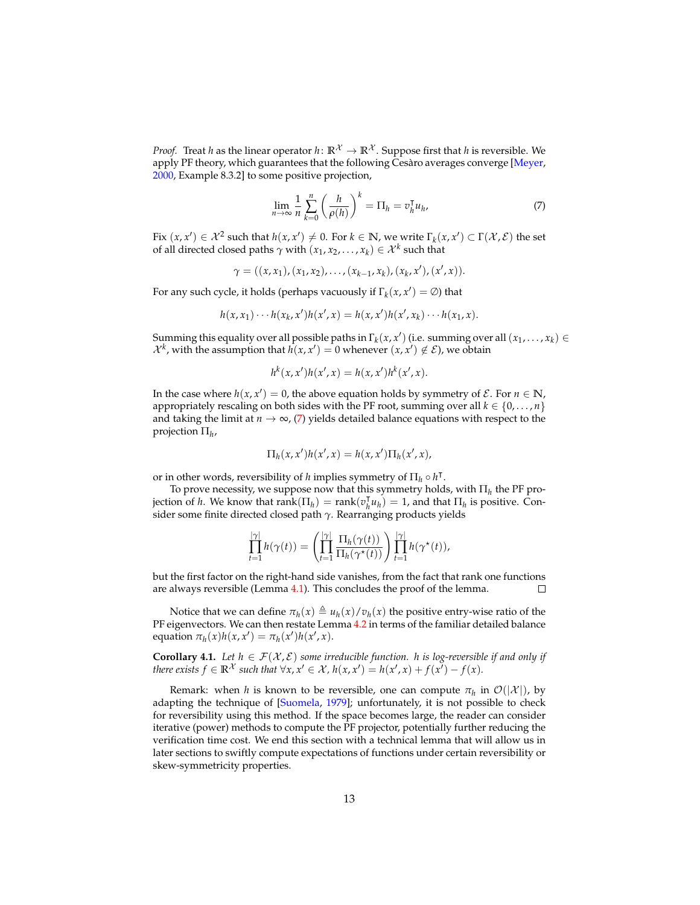*Proof.* Treat *h* as the linear operator *h*:  $\mathbb{R}^{\mathcal{X}} \to \mathbb{R}^{\mathcal{X}}$ . Suppose first that *h* is reversible. We apply PF theory, which guarantees that the following  $\overline{C}$ esàro averages converge [[Meyer,](#page-36-12) [2000,](#page-36-12) Example 8.3.2] to some positive projection,

<span id="page-12-0"></span>
$$
\lim_{n \to \infty} \frac{1}{n} \sum_{k=0}^{n} \left( \frac{h}{\rho(h)} \right)^k = \Pi_h = v_h^{\mathsf{T}} u_h,
$$
\n(7)

Fix  $(x, x') \in \mathcal{X}^2$  such that  $h(x, x') \neq 0$ . For  $k \in \mathbb{N}$ , we write  $\Gamma_k(x, x') \subset \Gamma(\mathcal{X}, \mathcal{E})$  the set of all directed closed paths  $\gamma$  with  $(x_1, x_2, ..., x_k) \in \mathcal{X}^k$  such that

$$
\gamma = ((x,x_1),(x_1,x_2),\ldots,(x_{k-1},x_k),(x_k,x'),(x',x)).
$$

For any such cycle, it holds (perhaps vacuously if  $\Gamma_k(x, x') = \emptyset$ ) that

$$
h(x, x_1) \cdots h(x_k, x')h(x', x) = h(x, x')h(x', x_k) \cdots h(x_1, x).
$$

Summing this equality over all possible paths in  $\Gamma_k(x, x')$  (i.e. summing over all  $(x_1, \ldots, x_k) \in$  $\mathcal{X}^k$ , with the assumption that  $h(x, x') = 0$  whenever  $(x, x') \notin \mathcal{E}$ ), we obtain

$$
h^{k}(x, x')h(x', x) = h(x, x')h^{k}(x', x).
$$

In the case where  $h(x, x') = 0$ , the above equation holds by symmetry of  $\mathcal{E}$ . For  $n \in \mathbb{N}$ , appropriately rescaling on both sides with the PF root, summing over all  $k \in \{0, \ldots, n\}$ and taking the limit at  $n \to \infty$ , [\(7\)](#page-12-0) yields detailed balance equations with respect to the projection Π*<sup>h</sup>* ,

$$
\Pi_h(x, x')h(x', x) = h(x, x')\Pi_h(x', x),
$$

or in other words, reversibility of *h* implies symmetry of  $\Pi_h \circ h^\intercal$ .

To prove necessity, we suppose now that th<u>i</u>s symmetry holds, with  $\Pi_h$  the PF prois prove helessity, we suppose now that  $\lim_{h \to 0}$  $\bar{h}$  $u_h$ ) = 1, and that  $\Pi_h$  is positive. Consider some finite directed closed path *γ*. Rearranging products yields

$$
\prod_{t=1}^{|\gamma|} h(\gamma(t)) = \left( \prod_{t=1}^{|\gamma|} \frac{\Pi_h(\gamma(t))}{\Pi_h(\gamma^*(t))} \right) \prod_{t=1}^{|\gamma|} h(\gamma^*(t)),
$$

but the first factor on the right-hand side vanishes, from the fact that rank one functions are always reversible (Lemma [4.1\)](#page-10-1). This concludes the proof of the lemma.  $\Box$ 

Notice that we can define  $\pi_h(x) \triangleq u_h(x)/v_h(x)$  the positive entry-wise ratio of the PF eigenvectors. We can then restate Lemma [4.2](#page-11-0) in terms of the familiar detailed balance equation  $\pi_h(x)h(x, x') = \pi_h(x')h(x', x)$ .

<span id="page-12-1"></span>**Corollary 4.1.** *Let*  $h \in \mathcal{F}(\mathcal{X}, \mathcal{E})$  *some irreducible function. h is log-reversible if and only if there exists*  $f \in \mathbb{R}^{\mathcal{X}}$  *such that*  $\forall x, x' \in \mathcal{X}$ ,  $h(x, x') = h(x', x) + f(x') - f(x)$ .

Remark: when *h* is known to be reversible, one can compute  $\pi_h$  in  $\mathcal{O}(|\mathcal{X}|)$ , by adapting the technique of [\[Suomela,](#page-37-6) [1979\]](#page-37-6); unfortunately, it is not possible to check for reversibility using this method. If the space becomes large, the reader can consider iterative (power) methods to compute the PF projector, potentially further reducing the verification time cost. We end this section with a technical lemma that will allow us in later sections to swiftly compute expectations of functions under certain reversibility or skew-symmetricity properties.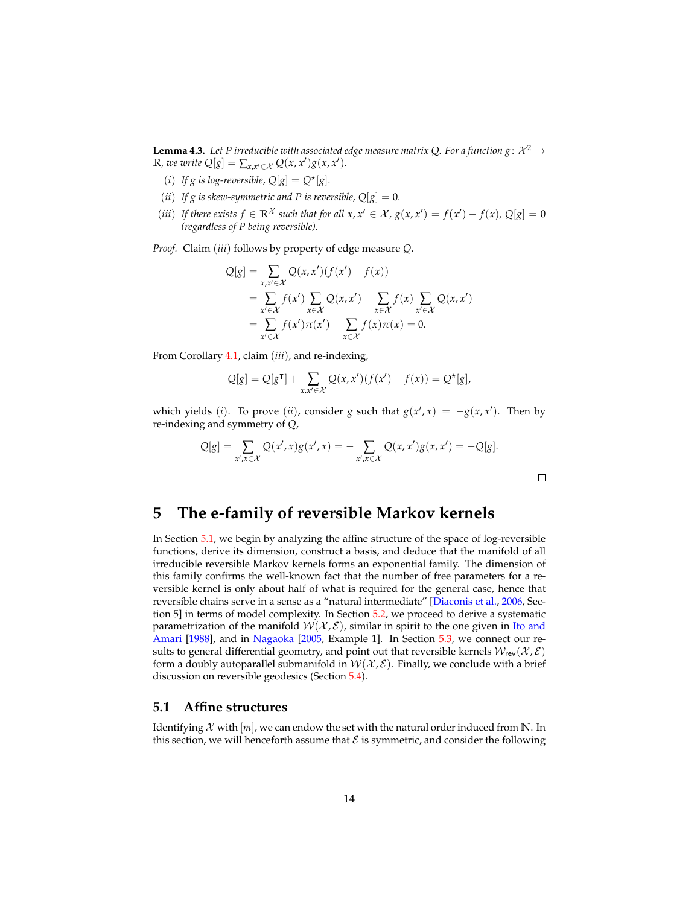<span id="page-13-2"></span>**Lemma 4.3.** Let P irreducible with associated edge measure matrix Q. For a function  $g: \mathcal{X}^2 \to$ **R***,* we write  $Q[g] = \sum_{x,x'\in\mathcal{X}} Q(x,x')g(x,x')$ .

- (*i*) If g is log-reversible,  $Q[g] = Q^{\star}[g]$ .
- (*ii*) If g is skew-symmetric and P is reversible,  $Q[g] = 0$ .
- (*iii*) If there exists  $f \in \mathbb{R}^{\mathcal{X}}$  such that for all  $x, x' \in \mathcal{X}$ ,  $g(x, x') = f(x') f(x)$ ,  $Q[g] = 0$ *(regardless of P being reversible).*

*Proof.* Claim (*iii*) follows by property of edge measure *Q*.

$$
Q[g] = \sum_{x,x' \in \mathcal{X}} Q(x,x')(f(x') - f(x))
$$
  
= 
$$
\sum_{x' \in \mathcal{X}} f(x') \sum_{x \in \mathcal{X}} Q(x,x') - \sum_{x \in \mathcal{X}} f(x) \sum_{x' \in \mathcal{X}} Q(x,x')
$$
  
= 
$$
\sum_{x' \in \mathcal{X}} f(x')\pi(x') - \sum_{x \in \mathcal{X}} f(x)\pi(x) = 0.
$$

From Corollary [4.1,](#page-12-1) claim (*iii*), and re-indexing,

$$
Q[g] = Q[g^{\mathsf{T}}] + \sum_{x,x' \in \mathcal{X}} Q(x,x')(f(x') - f(x)) = Q^{\star}[g],
$$

which yields (*i*). To prove (*ii*), consider *g* such that  $g(x', x) = -g(x, x')$ . Then by re-indexing and symmetry of *Q*,

$$
Q[g] = \sum_{x',x \in \mathcal{X}} Q(x',x)g(x',x) = -\sum_{x',x \in \mathcal{X}} Q(x,x')g(x,x') = -Q[g].
$$

 $\Box$ 

### <span id="page-13-0"></span>**5 The e-family of reversible Markov kernels**

In Section [5.1,](#page-13-1) we begin by analyzing the affine structure of the space of log-reversible functions, derive its dimension, construct a basis, and deduce that the manifold of all irreducible reversible Markov kernels forms an exponential family. The dimension of this family confirms the well-known fact that the number of free parameters for a reversible kernel is only about half of what is required for the general case, hence that reversible chains serve in a sense as a "natural intermediate" [\[Diaconis et al.,](#page-35-15) [2006,](#page-35-15) Section 5] in terms of model complexity. In Section [5.2,](#page-16-0) we proceed to derive a systematic parametrization of the manifold  $W(X, \mathcal{E})$ , similar in spirit to the one given in [Ito and](#page-35-8) [Amari](#page-35-8) [\[1988\]](#page-35-8), and in [Nagaoka](#page-36-6) [\[2005,](#page-36-6) Example 1]. In Section [5.3,](#page-19-0) we connect our results to general differential geometry, and point out that reversible kernels  $W_{rev}(\mathcal{X}, \mathcal{E})$ form a doubly autoparallel submanifold in  $W(\mathcal{X}, \mathcal{E})$ . Finally, we conclude with a brief discussion on reversible geodesics (Section [5.4\)](#page-20-0).

#### <span id="page-13-1"></span>**5.1 Affine structures**

Identifying  $\mathcal X$  with  $[m]$ , we can endow the set with the natural order induced from N. In this section, we will henceforth assume that  $\mathcal E$  is symmetric, and consider the following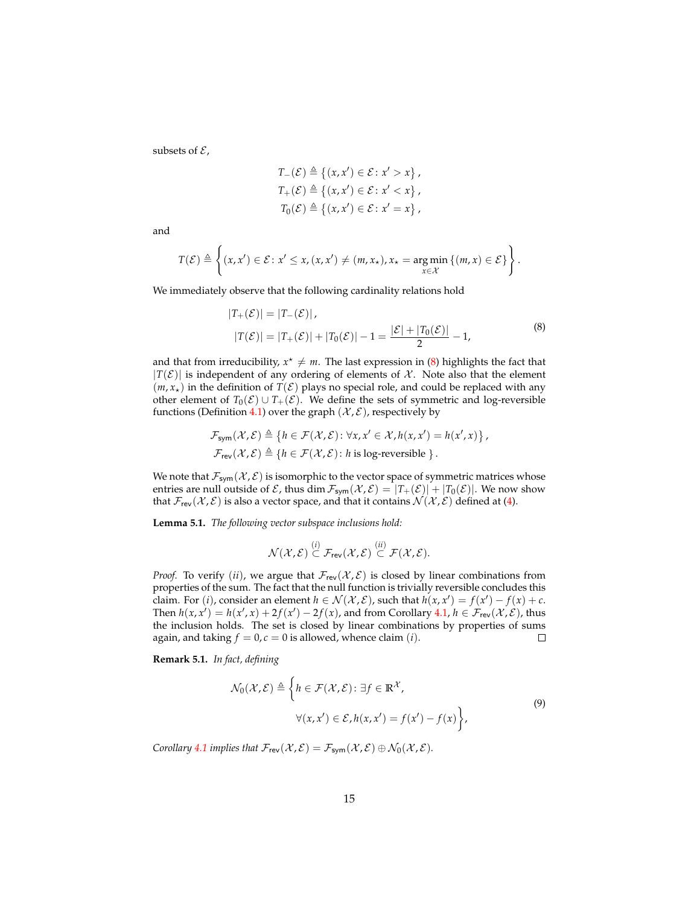subsets of  $\mathcal{E}$ ,

$$
T_{-}(\mathcal{E}) \triangleq \{(x, x') \in \mathcal{E} : x' > x\},
$$
  
\n
$$
T_{+}(\mathcal{E}) \triangleq \{(x, x') \in \mathcal{E} : x' < x\},
$$
  
\n
$$
T_{0}(\mathcal{E}) \triangleq \{(x, x') \in \mathcal{E} : x' = x\},
$$

and

$$
T(\mathcal{E}) \triangleq \left\{ (x, x') \in \mathcal{E} : x' \leq x, (x, x') \neq (m, x_{\star}), x_{\star} = \underset{x \in \mathcal{X}}{\arg \min} \left\{ (m, x) \in \mathcal{E} \right\} \right\}.
$$

<span id="page-14-1"></span>We immediately observe that the following cardinality relations hold

$$
|T_{+}(\mathcal{E})| = |T_{-}(\mathcal{E})|,
$$
  
\n
$$
|T(\mathcal{E})| = |T_{+}(\mathcal{E})| + |T_{0}(\mathcal{E})| - 1 = \frac{|\mathcal{E}| + |T_{0}(\mathcal{E})|}{2} - 1,
$$
\n(8)

and that from irreducibility,  $x^* \neq m$ . The last expression in [\(8\)](#page-14-1) highlights the fact that  $|T(\mathcal{E})|$  is independent of any ordering of elements of  $\mathcal{X}$ . Note also that the element  $(m, x<sub>*</sub>)$  in the definition of  $T(\mathcal{E})$  plays no special role, and could be replaced with any other element of  $T_0(\mathcal{E}) \cup T_+(\mathcal{E})$ . We define the sets of symmetric and log-reversible functions (Definition [4.1\)](#page-10-2) over the graph  $(\mathcal{X}, \mathcal{E})$ , respectively by

$$
\mathcal{F}_{sym}(\mathcal{X}, \mathcal{E}) \triangleq \{ h \in \mathcal{F}(\mathcal{X}, \mathcal{E}) : \forall x, x' \in \mathcal{X}, h(x, x') = h(x', x) \},\
$$
  

$$
\mathcal{F}_{rev}(\mathcal{X}, \mathcal{E}) \triangleq \{ h \in \mathcal{F}(\mathcal{X}, \mathcal{E}) : h \text{ is log-reversible } \}.
$$

We note that  $\mathcal{F}_{sym}(\mathcal{X}, \mathcal{E})$  is isomorphic to the vector space of symmetric matrices whose entries are null outside of  $\mathcal E$ , thus dim  $\mathcal F_{sym}(\mathcal X,\mathcal E)=|T_+(\mathcal E)|+|T_0(\mathcal E)|$ . We now show that  $\mathcal{F}_{rev}(\mathcal{X}, \mathcal{E})$  is also a vector space, and that it contains  $\mathcal{N}(\mathcal{X}, \mathcal{E})$  defined at [\(4\)](#page-6-2).

<span id="page-14-0"></span>**Lemma 5.1.** *The following vector subspace inclusions hold:*

$$
\mathcal{N}(\mathcal{X},\mathcal{E}) \overset{(i)}{\subset} \mathcal{F}_{\sf rev}(\mathcal{X},\mathcal{E}) \overset{(ii)}{\subset} \mathcal{F}(\mathcal{X},\mathcal{E}).
$$

*Proof.* To verify (*ii*), we argue that  $\mathcal{F}_{rev}(\mathcal{X}, \mathcal{E})$  is closed by linear combinations from properties of the sum. The fact that the null function is trivially reversible concludes this claim. For (*i*), consider an element  $h \in \mathcal{N}(\mathcal{X}, \mathcal{E})$ , such that  $h(x, x') = f(x') - f(x) + c$ . Then  $h(x, x') = h(x', x) + 2f(x') - 2f(x)$ , and from Corollary [4.1,](#page-12-1)  $h \in \mathcal{F}_{rev}(X, \mathcal{E})$ , thus the inclusion holds. The set is closed by linear combinations by properties of sums again, and taking  $f = 0$ ,  $c = 0$  is allowed, whence claim (*i*).  $\Box$ 

**Remark 5.1.** *In fact, defining*

$$
\mathcal{N}_0(\mathcal{X}, \mathcal{E}) \triangleq \left\{ h \in \mathcal{F}(\mathcal{X}, \mathcal{E}) : \exists f \in \mathbb{R}^\mathcal{X}, \right\}
$$
\n
$$
\forall (x, x') \in \mathcal{E}, h(x, x') = f(x') - f(x) \right\},\tag{9}
$$

*Corollary* [4.1](#page-12-1) *implies that*  $\mathcal{F}_{rev}(\mathcal{X}, \mathcal{E}) = \mathcal{F}_{sym}(\mathcal{X}, \mathcal{E}) \oplus \mathcal{N}_0(\mathcal{X}, \mathcal{E})$ *.*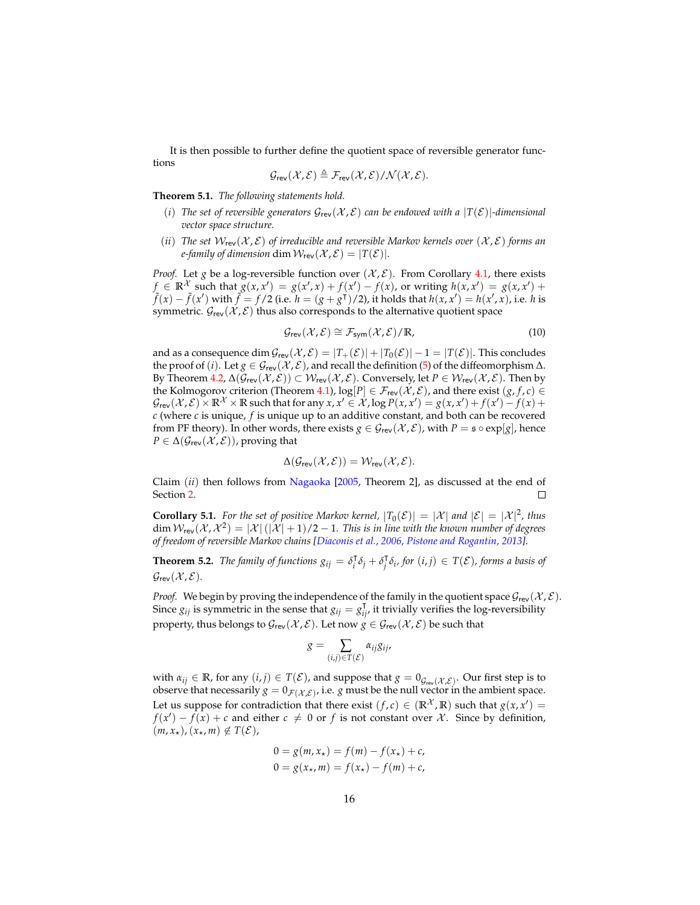It is then possible to further define the quotient space of reversible generator functions

$$
\mathcal{G}_{rev}(\mathcal{X}, \mathcal{E}) \triangleq \mathcal{F}_{rev}(\mathcal{X}, \mathcal{E}) / \mathcal{N}(\mathcal{X}, \mathcal{E}).
$$

<span id="page-15-0"></span>**Theorem 5.1.** *The following statements hold.*

- (*i*) The set of reversible generators  $G_{rev}(\mathcal{X}, \mathcal{E})$  can be endowed with a  $|T(\mathcal{E})|$ -dimensional *vector space structure.*
- (*ii*) The set  $W_{\text{rev}}(\mathcal{X}, \mathcal{E})$  of irreducible and reversible Markov kernels over  $(\mathcal{X}, \mathcal{E})$  forms an *e-family of dimension* dim  $W_{rev}(\mathcal{X}, \mathcal{E}) = |T(\mathcal{E})|$ *.*

*Proof.* Let *g* be a log-reversible function over  $(\mathcal{X}, \mathcal{E})$ . From Corollary [4.1,](#page-12-1) there exists  $f \in \mathbb{R}^{\mathcal{X}}$  such that  $g(x, x') = g(x', x) + f(x') - f(x)$ , or writing  $h(x, x') = g(x, x') + f(x') - f(x)$  $\tilde{f}(x) - \tilde{f}(x')$  with  $\tilde{f} = f/2$  (i.e.  $h = (g + g<sup>T</sup>)/2$ ), it holds that  $h(x, x') = h(x', x)$ , i.e. h is symmetric.  $\mathcal{G}_{rev}(\mathcal{X}, \mathcal{E})$  thus also corresponds to the alternative quotient space

<span id="page-15-2"></span>
$$
\mathcal{G}_{\text{rev}}(\mathcal{X}, \mathcal{E}) \cong \mathcal{F}_{\text{sym}}(\mathcal{X}, \mathcal{E}) / \mathbb{R}, \tag{10}
$$

and as a consequence dim  $\mathcal{G}_{rev}(\mathcal{X}, \mathcal{E}) = |T_+(\mathcal{E})| + |T_0(\mathcal{E})| - 1 = |T(\mathcal{E})|$ . This concludes the proof of (*i*). Let  $g \in \mathcal{G}_{rev}(\mathcal{X}, \mathcal{E})$ , and recall the definition [\(5\)](#page-6-3) of the diffeomorphism  $\Delta$ . By Theorem [4.2,](#page-10-0)  $\Delta(\mathcal{G}_{rev}(\mathcal{X}, \mathcal{E})) \subset \mathcal{W}_{rev}(\mathcal{X}, \mathcal{E})$ . Conversely, let  $P \in \mathcal{W}_{rev}(\mathcal{X}, \mathcal{E})$ . Then by the Kolmogorov criterion (Theorem [4.1\)](#page-9-0),  $\log[P] \in \mathcal{F}_{rev}(\mathcal{X}, \mathcal{E})$ , and there exist  $(g, f, c) \in$  $\mathcal{G}_{\text{rev}}(\mathcal{X}, \mathcal{E}) \times \mathbb{R}^\mathcal{X} \times \mathbb{R}$  such that for any  $x, x' \in \mathcal{X}$ ,  $\log P(x, x') = g(x, x') + f(x') - f(x) + g(x)$ *c* (where *c* is unique, *f* is unique up to an additive constant, and both can be recovered from PF theory). In other words, there exists  $g \in \mathcal{G}_{rev}(\mathcal{X}, \mathcal{E})$ , with  $P = \mathfrak{s} \circ \exp[g]$ , hence  $P \in \Delta(\mathcal{G}_{rev}(\mathcal{X}, \mathcal{E}))$ , proving that

$$
\Delta(\mathcal{G}_{rev}(\mathcal{X}, \mathcal{E})) = \mathcal{W}_{rev}(\mathcal{X}, \mathcal{E}).
$$

Claim (*ii*) then follows from [Nagaoka](#page-36-6) [\[2005,](#page-36-6) Theorem 2], as discussed at the end of Section [2.](#page-3-0)  $\Box$ 

**Corollary 5.1.** For the set of positive Markov kernel,  $|T_0(\mathcal{E})| = |\mathcal{X}|$  and  $|\mathcal{E}| = |\mathcal{X}|^2$ , thus  $\dim \mathcal{W}_{\sf rev}(\mathcal{X},\mathcal{X}^2)=|\mathcal{X}|\left(|\mathcal{X}|+1\right)/2-1.$  This is in line with the known number of degrees *of freedom of reversible Markov chains [\[Diaconis et al.,](#page-35-15) [2006,](#page-35-15) [Pistone and Rogantin,](#page-36-3) [2013\]](#page-36-3).*

<span id="page-15-1"></span>**Theorem 5.2.** *The family of functions*  $g_{ij} = \delta_i^{\dagger}$  $\int_i^T \delta_j + \delta_j^T$ *j δi , for* (*i*, *j*) ∈ *T*(E)*, forms a basis of*  $\mathcal{G}_{rev}(\mathcal{X}, \mathcal{E})$ .

*Proof.* We begin by proving the independence of the family in the quotient space  $\mathcal{G}_{rev}(\mathcal{X}, \mathcal{E})$ . Since  $g_{ij}$  is symmetric in the sense that  $g_{ij} = g_{ij}^T$ , it trivially verifies the log-reversibility property, thus belongs to  $\mathcal{G}_{rev}(\mathcal{X}, \mathcal{E})$ . Let now  $g \in \mathcal{G}_{rev}(\mathcal{X}, \mathcal{E})$  be such that

$$
g = \sum_{(i,j)\in T(\mathcal{E})} \alpha_{ij} g_{ij},
$$

with  $\alpha_{ij} \in \mathbb{R}$ , for any  $(i, j) \in T(\mathcal{E})$ , and suppose that  $g = 0_{\mathcal{G}_{rev}(\mathcal{X}, \mathcal{E})}$ . Our first step is to observe that necessarily  $g = 0_{\mathcal{F}(\mathcal{X}, \mathcal{E})}$ , i.e. *g* must be the null vector in the ambient space. Let us suppose for contradiction that there exist  $(f, c) \in (\mathbb{R}^{\mathcal{X}}, \mathbb{R})$  such that  $g(x, x') =$  $f(x') - f(x) + c$  and either  $c \neq 0$  or  $f$  is not constant over X. Since by definition,  $(m, x_{\star}), (x_{\star}, m) \notin T(\mathcal{E}),$ 

$$
0 = g(m, x*) = f(m) - f(x*) + c,
$$
  
\n
$$
0 = g(x*, m) = f(x*) - f(m) + c,
$$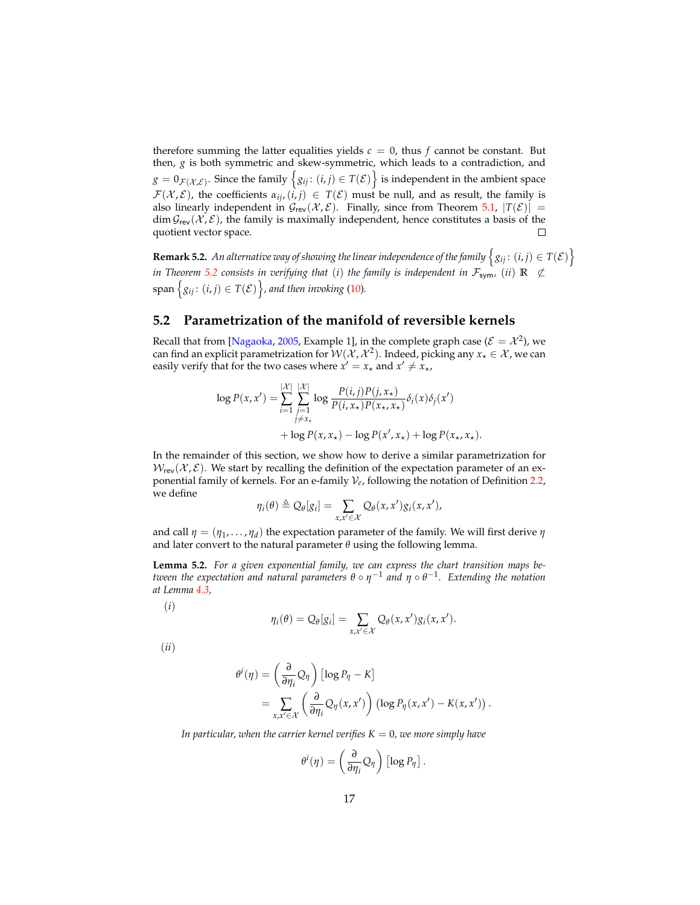therefore summing the latter equalities yields  $c = 0$ , thus  $f$  cannot be constant. But then, *g* is both symmetric and skew-symmetric, which leads to a contradiction, and  $g = 0_{\mathcal{F}(\mathcal{X},\mathcal{E})}.$  Since the family  $\big\{g_{ij}\colon (i,j)\in T(\mathcal{E})\big\}$  is independent in the ambient space  $\mathcal{F}(\mathcal{X}, \mathcal{E})$ , the coefficients  $\alpha_{ij}$ ,  $(i, j) \in T(\mathcal{E})$  must be null, and as result, the family is also linearly independent in  $\mathcal{G}_{rev}(\mathcal{X}, \mathcal{E})$ . Finally, since from Theorem [5.1,](#page-15-0)  $|T(\mathcal{E})|$  =  $\dim \mathcal{G}_{rev}(\mathcal{X}, \mathcal{E})$ , the family is maximally independent, hence constitutes a basis of the quotient vector space.

**Remark 5.2.** An alternative way of showing the linear independence of the family  $\left\{g_{ij}\colon (i,j)\in T(\mathcal{E})\right\}$ *in Theorem* [5.2](#page-15-1) *consists in verifying that* (*i*) *the family is independent in*  $\mathcal{F}_{sym}$ *,* (*ii*)  $\mathbb{R} \nsubseteq$  $\{g_{ij}\colon (i,j)\in T(\mathcal{E})\}\$ , and then invoking [\(10\)](#page-15-2).

### <span id="page-16-0"></span>**5.2 Parametrization of the manifold of reversible kernels**

Recall that from [\[Nagaoka,](#page-36-6) [2005,](#page-36-6) Example 1], in the complete graph case ( $\mathcal{E} = \mathcal{X}^2$ ), we can find an explicit parametrization for  ${\cal W}({\cal X}, {\cal X}^2).$  Indeed, picking any  $x_\star \in {\cal X}$  , we can easily verify that for the two cases where  $x' = x_{\star}$  and  $x' \neq x_{\star}$ ,

$$
\log P(x, x') = \sum_{i=1}^{|\mathcal{X}|} \sum_{\substack{j=1 \ j \neq x_*}}^{|\mathcal{X}|} \log \frac{P(i, j)P(j, x_*)}{P(i, x_*)P(x_*, x_*)} \delta_i(x) \delta_j(x')
$$
  
+ 
$$
\log P(x, x_*) - \log P(x', x_*) + \log P(x_*, x_*)
$$

In the remainder of this section, we show how to derive a similar parametrization for  $W_{rev}(\mathcal{X}, \mathcal{E})$ . We start by recalling the definition of the expectation parameter of an exponential family of kernels. For an e-family V*e*, following the notation of Definition [2.2,](#page-5-0) we define

$$
\eta_i(\theta) \triangleq Q_{\theta}[g_i] = \sum_{x,x' \in \mathcal{X}} Q_{\theta}(x,x')g_i(x,x'),
$$

and call  $\eta = (\eta_1, \dots, \eta_d)$  the expectation parameter of the family. We will first derive  $\eta$ and later convert to the natural parameter  $\theta$  using the following lemma.

<span id="page-16-1"></span>**Lemma 5.2.** *For a given exponential family, we can express the chart transition maps between the expectation and natural parameters* θ ∘  $\eta^{-1}$  *and η* ∘ θ<sup>−1</sup>. Extending the notation *at Lemma [4.3,](#page-13-2)*

(*i*)

$$
\eta_i(\theta) = Q_\theta[g_i] = \sum_{x,x' \in \mathcal{X}} Q_\theta(x,x')g_i(x,x').
$$

(*ii*)

$$
\theta^{i}(\eta) = \left(\frac{\partial}{\partial \eta_{i}} Q_{\eta}\right) [\log P_{\eta} - K] \n= \sum_{x, x' \in \mathcal{X}} \left(\frac{\partial}{\partial \eta_{i}} Q_{\eta}(x, x')\right) (\log P_{\eta}(x, x') - K(x, x')).
$$

*In particular, when the carrier kernel verifies*  $K = 0$ *, we more simply have* 

$$
\theta^i(\eta) = \left(\frac{\partial}{\partial \eta_i} Q_{\eta}\right) [\log P_{\eta}].
$$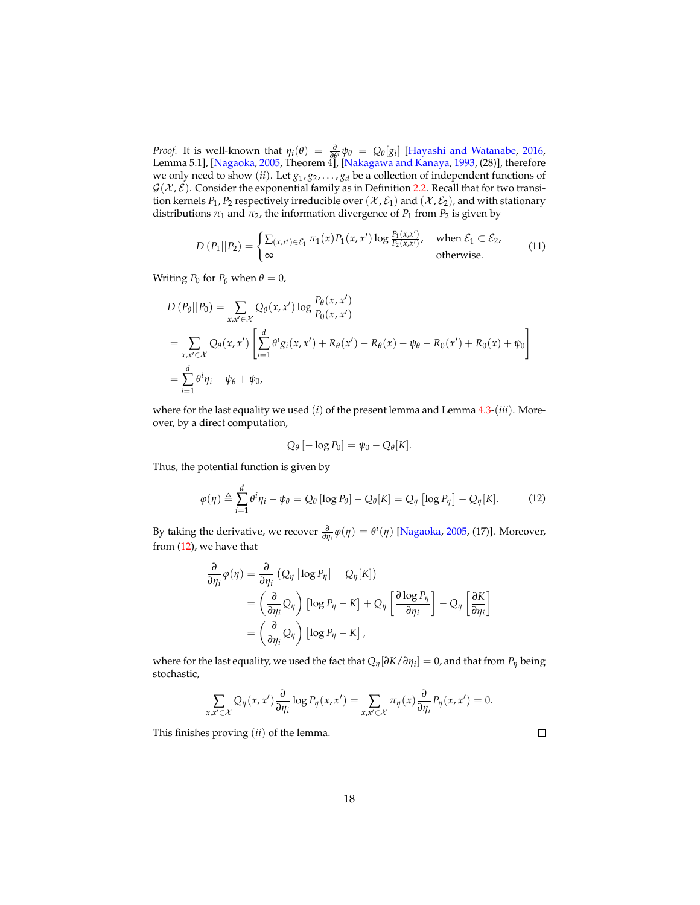*Proof.* It is well-known that  $\eta_i(\theta) = \frac{\partial}{\partial \theta^i} \psi_{\theta} = Q_{\theta}[g_i]$  [\[Hayashi and Watanabe,](#page-35-3) [2016,](#page-35-3) Lemma 5.1], [\[Nagaoka,](#page-36-6) [2005,](#page-36-6) Theorem 4], [\[Nakagawa and Kanaya,](#page-36-5) [1993,](#page-36-5) (28)], therefore we only need to show (*ii*). Let  $g_1, g_2, \ldots, g_d$  be a collection of independent functions of  $G(X, \mathcal{E})$ . Consider the exponential family as in Definition [2.2.](#page-5-0) Recall that for two transition kernels  $P_1$ ,  $P_2$  respectively irreducible over  $(\mathcal{X}, \mathcal{E}_1)$  and  $(\mathcal{X}, \mathcal{E}_2)$ , and with stationary distributions  $\pi_1$  and  $\pi_2$ , the information divergence of  $P_1$  from  $P_2$  is given by

<span id="page-17-1"></span>
$$
D(P_1||P_2) = \begin{cases} \sum_{(x,x') \in \mathcal{E}_1} \pi_1(x) P_1(x,x') \log \frac{P_1(x,x')}{P_2(x,x')}, & \text{when } \mathcal{E}_1 \subset \mathcal{E}_2, \\ \infty & \text{otherwise.} \end{cases}
$$
(11)

Writing  $P_0$  for  $P_\theta$  when  $\theta = 0$ ,

$$
D (P_{\theta}||P_0) = \sum_{x,x' \in \mathcal{X}} Q_{\theta}(x,x') \log \frac{P_{\theta}(x,x')}{P_0(x,x')}
$$
  
= 
$$
\sum_{x,x' \in \mathcal{X}} Q_{\theta}(x,x') \left[ \sum_{i=1}^d \theta^i g_i(x,x') + R_{\theta}(x') - R_{\theta}(x) - \psi_{\theta} - R_0(x') + R_0(x) + \psi_0 \right]
$$
  
= 
$$
\sum_{i=1}^d \theta^i \eta_i - \psi_{\theta} + \psi_0,
$$

where for the last equality we used (*i*) of the present lemma and Lemma [4.3-](#page-13-2)(*iii*). Moreover, by a direct computation,

$$
Q_{\theta}\left[-\log P_0\right]=\psi_0-Q_{\theta}[K].
$$

<span id="page-17-0"></span>Thus, the potential function is given by

$$
\varphi(\eta) \triangleq \sum_{i=1}^d \theta^i \eta_i - \psi_\theta = Q_\theta [\log P_\theta] - Q_\theta[K] = Q_\eta [\log P_\eta] - Q_\eta[K]. \tag{12}
$$

By taking the derivative, we recover  $\frac{\partial}{\partial \eta_i} \varphi(\eta) = \theta^i(\eta)$  [\[Nagaoka,](#page-36-6) [2005,](#page-36-6) (17)]. Moreover, from [\(12\)](#page-17-0), we have that

$$
\frac{\partial}{\partial \eta_i} \varphi(\eta) = \frac{\partial}{\partial \eta_i} \left( Q_\eta \left[ \log P_\eta \right] - Q_\eta[K] \right)
$$
  
=  $\left( \frac{\partial}{\partial \eta_i} Q_\eta \right) \left[ \log P_\eta - K \right] + Q_\eta \left[ \frac{\partial \log P_\eta}{\partial \eta_i} \right] - Q_\eta \left[ \frac{\partial K}{\partial \eta_i} \right]$   
=  $\left( \frac{\partial}{\partial \eta_i} Q_\eta \right) \left[ \log P_\eta - K \right],$ 

where for the last equality, we used the fact that *Qη*[*∂K*/*∂η<sup>i</sup>* ] = 0, and that from *P<sup>η</sup>* being stochastic,

$$
\sum_{x,x'\in\mathcal{X}}Q_{\eta}(x,x')\frac{\partial}{\partial\eta_i}\log P_{\eta}(x,x')=\sum_{x,x'\in\mathcal{X}}\pi_{\eta}(x)\frac{\partial}{\partial\eta_i}P_{\eta}(x,x')=0.
$$

This finishes proving (*ii*) of the lemma.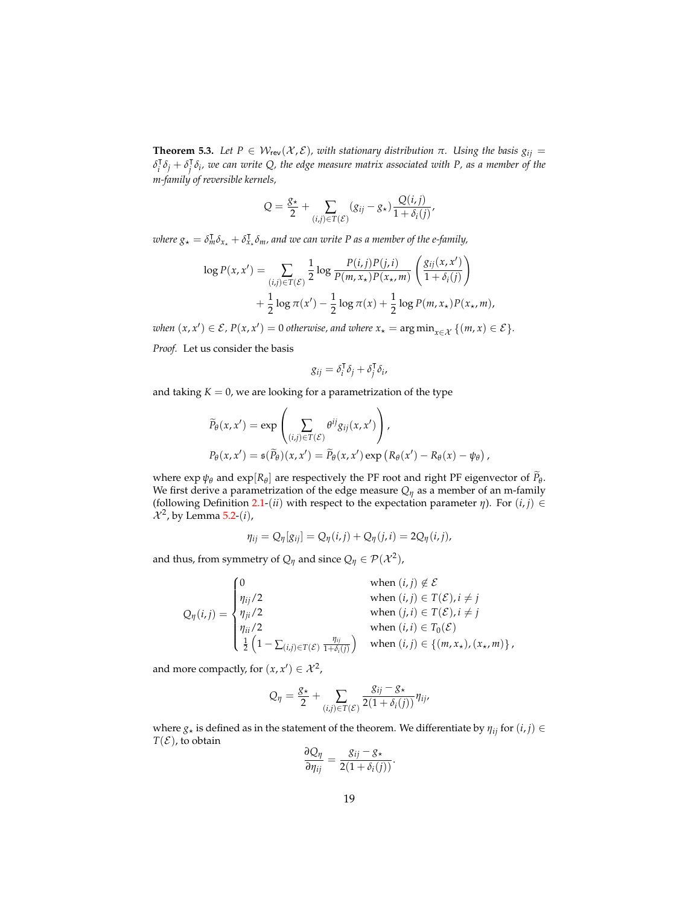<span id="page-18-0"></span>**Theorem 5.3.** Let  $P \in W_{rev}(\mathcal{X}, \mathcal{E})$ , with stationary distribution  $\pi$ . Using the basis  $g_{ij}$  =  $\delta_i^{\mathsf{T}}$  $\int_i^{\mathsf{T}} \delta_j + \delta_j^{\mathsf{T}}$ *j δi , we can write Q, the edge measure matrix associated with P, as a member of the m-family of reversible kernels,*

$$
Q = \frac{g_{\star}}{2} + \sum_{(i,j) \in T(\mathcal{E})} (g_{ij} - g_{\star}) \frac{Q(i,j)}{1 + \delta_i(j)},
$$

*where*  $g_{\star} = \delta_m^{\mathsf{T}} \delta_{x_{\star}} + \delta_x^{\mathsf{T}}$ *x*? *δm, and we can write P as a member of the e-family,*

$$
\log P(x, x') = \sum_{(i,j) \in T(\mathcal{E})} \frac{1}{2} \log \frac{P(i,j)P(j,i)}{P(m, x_{\star})P(x_{\star}, m)} \left(\frac{g_{ij}(x, x')}{1 + \delta_i(j)}\right) + \frac{1}{2} \log \pi(x') - \frac{1}{2} \log \pi(x) + \frac{1}{2} \log P(m, x_{\star})P(x_{\star}, m),
$$

 $when (x, x') \in \mathcal{E}$ ,  $P(x, x') = 0$  *otherwise*, and where  $x_{\star} = \arg \min_{x \in \mathcal{X}} \{ (m, x) \in \mathcal{E} \}.$ 

*Proof.* Let us consider the basis

$$
g_{ij} = \delta_i^{\mathsf{T}} \delta_j + \delta_j^{\mathsf{T}} \delta_i,
$$

and taking  $K = 0$ , we are looking for a parametrization of the type

$$
\widetilde{P}_{\theta}(x, x') = \exp\left(\sum_{(i,j)\in T(\mathcal{E})} \theta^{ij} g_{ij}(x, x')\right),
$$
  
\n
$$
P_{\theta}(x, x') = \mathfrak{s}(\widetilde{P}_{\theta})(x, x') = \widetilde{P}_{\theta}(x, x') \exp\left(R_{\theta}(x') - R_{\theta}(x) - \psi_{\theta}\right),
$$

where  $\exp \psi_{\theta}$  and  $\exp[R_{\theta}]$  are respectively the PF root and right PF eigenvector of  $P_{\theta}$ . We first derive a parametrization of the edge measure  $Q_n$  as a member of an m-family (following Definition [2.1-](#page-4-1)(*ii*) with respect to the expectation parameter  $\eta$ ). For  $(i, j) \in$  $\mathcal{X}^2$ , by Lemma [5.2-](#page-16-1)(*i*),

$$
\eta_{ij} = Q_{\eta}[g_{ij}] = Q_{\eta}(i,j) + Q_{\eta}(j,i) = 2Q_{\eta}(i,j),
$$

and thus, from symmetry of  $Q_{\eta}$  and since  $Q_{\eta} \in \mathcal{P}(\mathcal{X}^2)$ ,

$$
Q_{\eta}(i,j) = \begin{cases} 0 & \text{when } (i,j) \notin \mathcal{E} \\ \eta_{ij}/2 & \text{when } (i,j) \in T(\mathcal{E}), i \neq j \\ \eta_{ji}/2 & \text{when } (j,i) \in T(\mathcal{E}), i \neq j \\ \eta_{ii}/2 & \text{when } (i,i) \in T_0(\mathcal{E}) \\ \frac{1}{2} \left(1 - \sum_{(i,j) \in T(\mathcal{E})} \frac{\eta_{ij}}{1 + \delta_i(j)}\right) & \text{when } (i,j) \in \{(m, x_{\star}), (x_{\star}, m)\}\end{cases}
$$

and more compactly, for  $(x, x') \in \mathcal{X}^2$ ,

$$
Q_{\eta} = \frac{g_{\star}}{2} + \sum_{(i,j) \in T(\mathcal{E})} \frac{g_{ij} - g_{\star}}{2(1 + \delta_i(j))} \eta_{ij},
$$

where  $g_*$  is defined as in the statement of the theorem. We differentiate by  $\eta_{ij}$  for  $(i, j) \in$  $T(\mathcal{E})$ , to obtain

$$
\frac{\partial Q_{\eta}}{\partial \eta_{ij}} = \frac{g_{ij} - g_{\star}}{2(1 + \delta_i(j))}.
$$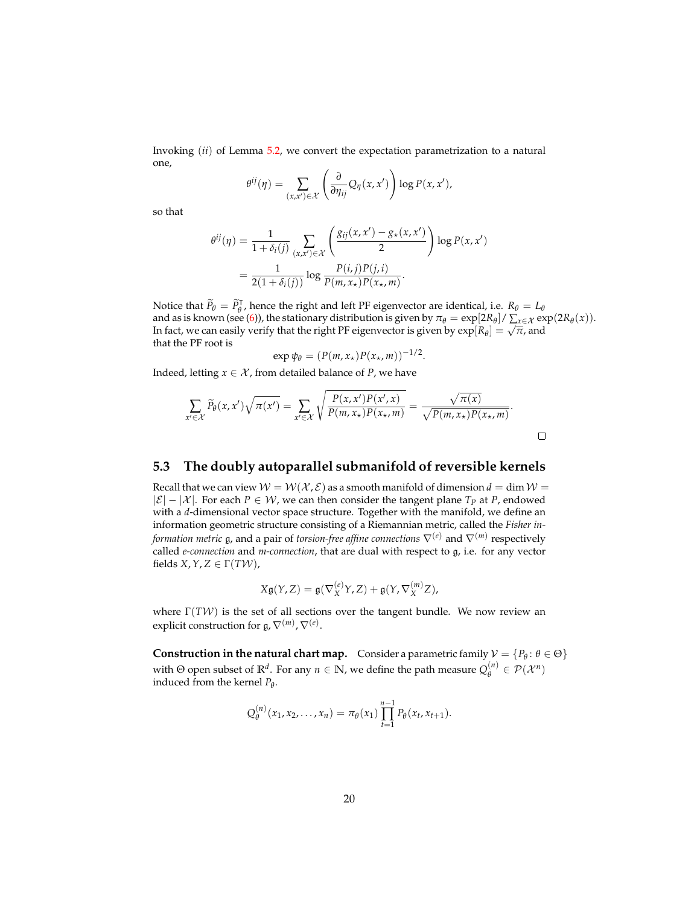Invoking (*ii*) of Lemma [5.2,](#page-16-1) we convert the expectation parametrization to a natural one,

$$
\theta^{ij}(\eta) = \sum_{(x,x') \in \mathcal{X}} \left( \frac{\partial}{\partial \eta_{ij}} Q_{\eta}(x,x') \right) \log P(x,x'),
$$

so that

$$
\theta^{ij}(\eta) = \frac{1}{1 + \delta_i(j)} \sum_{(x,x') \in \mathcal{X}} \left( \frac{g_{ij}(x,x') - g_{\star}(x,x')}{2} \right) \log P(x,x') \n= \frac{1}{2(1 + \delta_i(j))} \log \frac{P(i,j)P(j,i)}{P(m,x_{\star})P(x_{\star},m)}.
$$

Notice that  $\widetilde{P}_{\theta} = \widetilde{P}_{\theta}^{\mathsf{T}}$ , hence the right and left PF eigenvector are identical, i.e.  $R_{\theta} = L_{\theta}$ and as is known (see [\(6\)](#page-7-0)), the stationary distribution is given by  $\pi_{\theta} = \exp[2R_{\theta}]/\sum_{x \in \mathcal{X}} \exp(2R_{\theta}(x)).$ and as is known (see (0)), the stationary distribution is given by  $n_{\theta} = \exp[\frac{Z}{R_{\theta}}] / \sum_{x \in \mathcal{X}} \exp[\frac{Z}{R_{\theta}}]$  explored by explored by explored by  $\exp[R_{\theta}] = \sqrt{\pi}$ , and that the PF root is

$$
\exp \psi_{\theta} = (P(m, x_{\star})P(x_{\star}, m))^{-1/2}.
$$

Indeed, letting  $x \in \mathcal{X}$ , from detailed balance of *P*, we have

$$
\sum_{x' \in \mathcal{X}} \widetilde{P}_{\theta}(x, x') \sqrt{\pi(x')} = \sum_{x' \in \mathcal{X}} \sqrt{\frac{P(x, x')P(x', x)}{P(m, x_{\star})P(x_{\star}, m)}} = \frac{\sqrt{\pi(x)}}{\sqrt{P(m, x_{\star})P(x_{\star}, m)}}.
$$

### <span id="page-19-0"></span>**5.3 The doubly autoparallel submanifold of reversible kernels**

Recall that we can view  $W = W(\mathcal{X}, \mathcal{E})$  as a smooth manifold of dimension  $d = \dim W =$  $|\mathcal{E}|$  −  $|\mathcal{X}|$ . For each  $P \in \mathcal{W}$ , we can then consider the tangent plane  $T_P$  at  $P$ , endowed with a *d*-dimensional vector space structure. Together with the manifold, we define an information geometric structure consisting of a Riemannian metric, called the *Fisher information metric* g, and a pair of *torsion-free affine connections* ∇(*e*) and ∇(*m*) respectively called *e-connection* and *m-connection*, that are dual with respect to g, i.e. for any vector fields  $X, Y, Z \in \Gamma(TW)$ ,

$$
X\mathfrak{g}(Y,Z)=\mathfrak{g}(\nabla_X^{(e)}Y,Z)+\mathfrak{g}(Y,\nabla_X^{(m)}Z),
$$

where  $\Gamma(TW)$  is the set of all sections over the tangent bundle. We now review an explicit construction for  $\mathfrak{g}, \nabla^{(m)}, \nabla^{(e)}.$ 

**Construction in the natural chart map.** Consider a parametric family  $V = \{P_{\theta}: \theta \in \Theta\}$ with  $\Theta$  open subset of  $\mathbb{R}^d$ . For any  $n \in \mathbb{N}$ , we define the path measure  $Q_{\theta}^{(n)}$  $\theta^{(n)}$   $\in$   $\mathcal{P}(\mathcal{X}^n)$ induced from the kernel *P<sup>θ</sup>* .

$$
Q_{\theta}^{(n)}(x_1,x_2,\ldots,x_n)=\pi_{\theta}(x_1)\prod_{t=1}^{n-1}P_{\theta}(x_t,x_{t+1}).
$$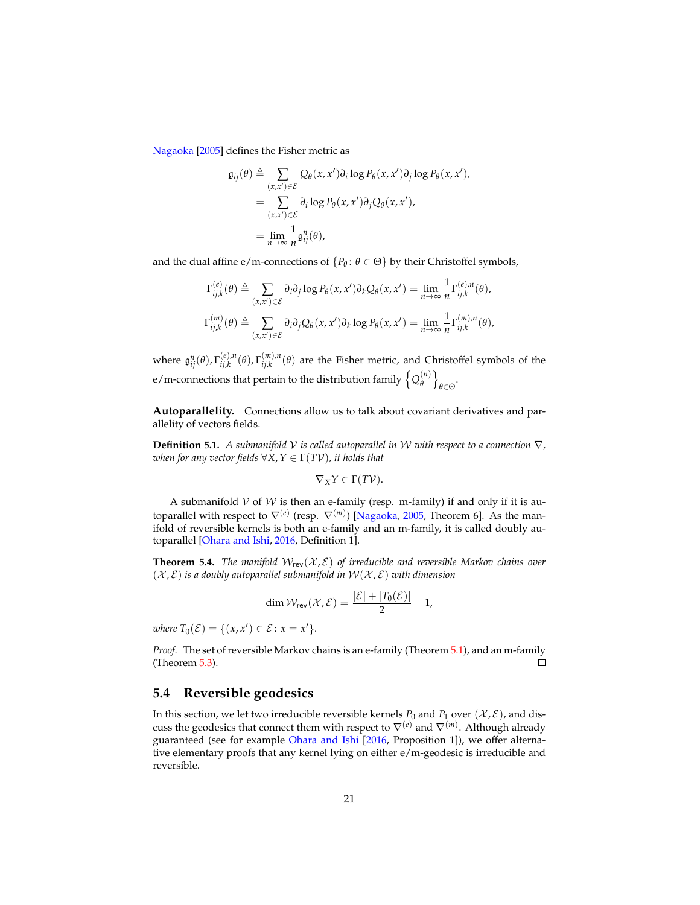[Nagaoka](#page-36-6) [\[2005\]](#page-36-6) defines the Fisher metric as

$$
\mathfrak{g}_{ij}(\theta) \triangleq \sum_{(x,x')\in \mathcal{E}} Q_{\theta}(x,x')\partial_i \log P_{\theta}(x,x')\partial_j \log P_{\theta}(x,x'),
$$
  
= 
$$
\sum_{(x,x')\in \mathcal{E}} \partial_i \log P_{\theta}(x,x')\partial_j Q_{\theta}(x,x'),
$$
  
= 
$$
\lim_{n\to\infty} \frac{1}{n} \mathfrak{g}_{ij}^n(\theta),
$$

and the dual affine e/m-connections of  $\{P_{\theta} : \theta \in \Theta\}$  by their Christoffel symbols,

$$
\Gamma_{ij,k}^{(e)}(\theta) \triangleq \sum_{(x,x')\in\mathcal{E}} \partial_i \partial_j \log P_{\theta}(x,x') \partial_k Q_{\theta}(x,x') = \lim_{n\to\infty} \frac{1}{n} \Gamma_{ij,k}^{(e),n}(\theta),
$$
  

$$
\Gamma_{ij,k}^{(m)}(\theta) \triangleq \sum_{(x,x')\in\mathcal{E}} \partial_i \partial_j Q_{\theta}(x,x') \partial_k \log P_{\theta}(x,x') = \lim_{n\to\infty} \frac{1}{n} \Gamma_{ij,k}^{(m),n}(\theta),
$$

where  $\mathfrak{g}_{ij}^n(\theta)$ ,  $\Gamma_{ij,k}^{(e),n}$ *ij*,*k* (*θ*), Γ (*m*),*n*  $\int_{i,j,k}^{(m),n}(\theta)$  are the Fisher metric, and Christoffel symbols of the e/m-connections that pertain to the distribution family  $\big\{Q_{\!\theta}^{(n)}\big\}$ *θ* o *θ*∈Θ .

**Autoparallelity.** Connections allow us to talk about covariant derivatives and parallelity of vectors fields.

**Definition 5.1.** *A submanifold* V *is called autoparallel in* W *with respect to a connection* ∇*, when for any vector fields*  $\forall X, Y \in \Gamma(TV)$ *, it holds that* 

$$
\nabla_X Y\in \Gamma(T\mathcal{V}).
$$

A submanifold  $V$  of  $W$  is then an e-family (resp. m-family) if and only if it is autoparallel with respect to  $\nabla^{(e)}$  (resp.  $\nabla^{(m)}$ ) [\[Nagaoka,](#page-36-6) [2005,](#page-36-6) Theorem 6]. As the manifold of reversible kernels is both an e-family and an m-family, it is called doubly autoparallel [\[Ohara and Ishi,](#page-36-13) [2016,](#page-36-13) Definition 1].

<span id="page-20-1"></span>**Theorem 5.4.** *The manifold*  $W_{rev}(\mathcal{X}, \mathcal{E})$  *of irreducible and reversible Markov chains over*  $(X, \mathcal{E})$  *is a doubly autoparallel submanifold in*  $W(X, \mathcal{E})$  *with dimension* 

$$
\dim \mathcal{W}_{rev}(\mathcal{X}, \mathcal{E}) = \frac{|\mathcal{E}| + |T_0(\mathcal{E})|}{2} - 1,
$$

*where*  $T_0(\mathcal{E}) = \{(x, x') \in \mathcal{E} : x = x'\}.$ 

*Proof.* The set of reversible Markov chains is an e-family (Theorem [5.1\)](#page-15-0), and an m-family (Theorem [5.3\)](#page-18-0).  $\Box$ 

#### <span id="page-20-0"></span>**5.4 Reversible geodesics**

In this section, we let two irreducible reversible kernels  $P_0$  and  $P_1$  over  $(\mathcal{X}, \mathcal{E})$ , and discuss the geodesics that connect them with respect to ∇(*e*) and ∇(*m*) . Although already guaranteed (see for example [Ohara and Ishi](#page-36-13) [\[2016,](#page-36-13) Proposition 1]), we offer alternative elementary proofs that any kernel lying on either e/m-geodesic is irreducible and reversible.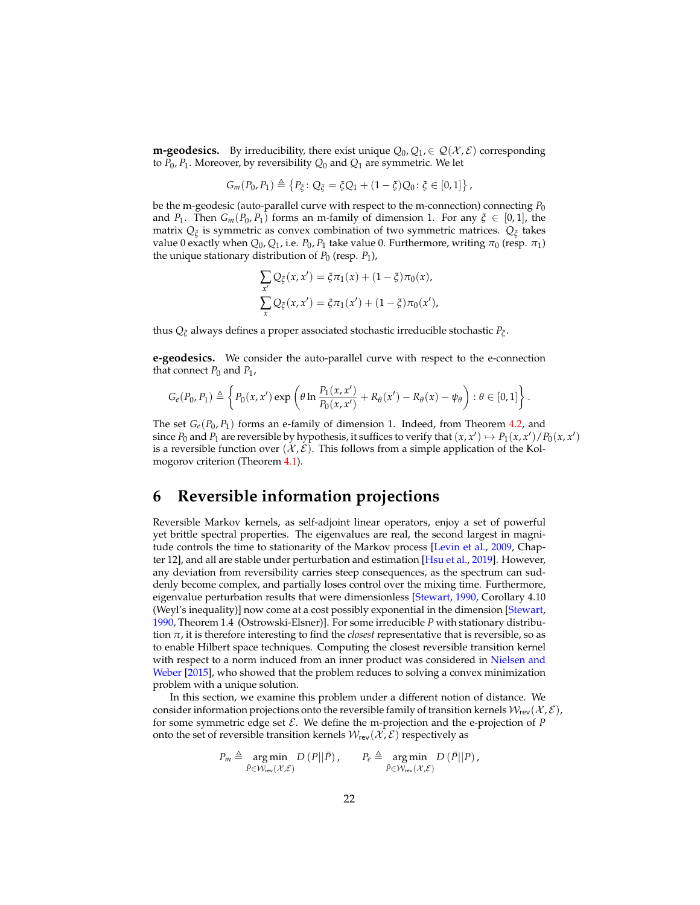**m-geodesics.** By irreducibility, there exist unique  $Q_0, Q_1 \in Q(\mathcal{X}, \mathcal{E})$  corresponding to *P*0, *P*<sup>1</sup> . Moreover, by reversibility *Q*<sup>0</sup> and *Q*<sup>1</sup> are symmetric. We let

$$
G_m(P_0, P_1) \triangleq \{P_{\xi}: Q_{\xi} = \xi Q_1 + (1 - \xi)Q_0 : \xi \in [0, 1]\},
$$

be the m-geodesic (auto-parallel curve with respect to the m-connection) connecting *P*<sup>0</sup> and *P*<sub>1</sub>. Then  $G_m(P_0, P_1)$  forms an m-family of dimension 1. For any  $\xi \in [0,1]$ , the matrix *Q<sup>ξ</sup>* is symmetric as convex combination of two symmetric matrices. *Q<sup>ξ</sup>* takes value 0 exactly when  $Q_0$ ,  $Q_1$ , i.e.  $P_0$ ,  $P_1$  take value 0. Furthermore, writing  $\pi_0$  (resp.  $\pi_1$ ) the unique stationary distribution of  $P_0$  (resp.  $P_1$ ),

$$
\sum_{x'} Q_{\xi}(x, x') = \xi \pi_1(x) + (1 - \xi) \pi_0(x),
$$
  

$$
\sum_{x} Q_{\xi}(x, x') = \xi \pi_1(x') + (1 - \xi) \pi_0(x'),
$$

thus *Q<sup>ξ</sup>* always defines a proper associated stochastic irreducible stochastic *P<sup>ξ</sup>* .

**e-geodesics.** We consider the auto-parallel curve with respect to the e-connection that connect  $P_0$  and  $P_1$ ,

$$
G_e(P_0, P_1) \triangleq \left\{ P_0(x, x') \exp \left( \theta \ln \frac{P_1(x, x')}{P_0(x, x')} + R_{\theta}(x') - R_{\theta}(x) - \psi_{\theta} \right) : \theta \in [0, 1] \right\}.
$$

The set  $G_e(P_0, P_1)$  forms an e-family of dimension 1. Indeed, from Theorem [4.2,](#page-10-0) and since  $P_0$  and  $P_1$  are reversible by hypothesis, it suffices to verify that  $(x, x') \mapsto P_1(x, x')/P_0(x, x')$ is a reversible function over  $(\mathcal{X}, \mathcal{E})$ . This follows from a simple application of the Kolmogorov criterion (Theorem [4.1\)](#page-9-0).

# <span id="page-21-0"></span>**6 Reversible information projections**

Reversible Markov kernels, as self-adjoint linear operators, enjoy a set of powerful yet brittle spectral properties. The eigenvalues are real, the second largest in magni-tude controls the time to stationarity of the Markov process [\[Levin et al.,](#page-36-2) [2009,](#page-36-2) Chapter 12], and all are stable under perturbation and estimation [\[Hsu et al.,](#page-35-16) [2019\]](#page-35-16). However, any deviation from reversibility carries steep consequences, as the spectrum can suddenly become complex, and partially loses control over the mixing time. Furthermore, eigenvalue perturbation results that were dimensionless [\[Stewart,](#page-36-14) [1990,](#page-36-14) Corollary 4.10 (Weyl's inequality)] now come at a cost possibly exponential in the dimension [\[Stewart,](#page-36-14) [1990,](#page-36-14) Theorem 1.4 (Ostrowski-Elsner)]. For some irreducible *P* with stationary distribution *π*, it is therefore interesting to find the *closest* representative that is reversible, so as to enable Hilbert space techniques. Computing the closest reversible transition kernel with respect to a norm induced from an inner product was considered in [Nielsen and](#page-36-15) [Weber](#page-36-15) [\[2015\]](#page-36-15), who showed that the problem reduces to solving a convex minimization problem with a unique solution.

In this section, we examine this problem under a different notion of distance. We consider information projections onto the reversible family of transition kernels  $W_{rev}(\mathcal{X}, \mathcal{E})$ , for some symmetric edge set  $\mathcal E$ . We define the m-projection and the e-projection of  $P$ onto the set of reversible transition kernels  $W_{rev}(\mathcal{X}, \mathcal{E})$  respectively as

$$
P_m \triangleq \underset{\bar{P} \in \mathcal{W}_{\text{rev}}(\mathcal{X}, \mathcal{E})}{\arg \min} D\left(P||\bar{P}\right), \qquad P_e \triangleq \underset{\bar{P} \in \mathcal{W}_{\text{rev}}(\mathcal{X}, \mathcal{E})}{\arg \min} D\left(\bar{P}||P\right),
$$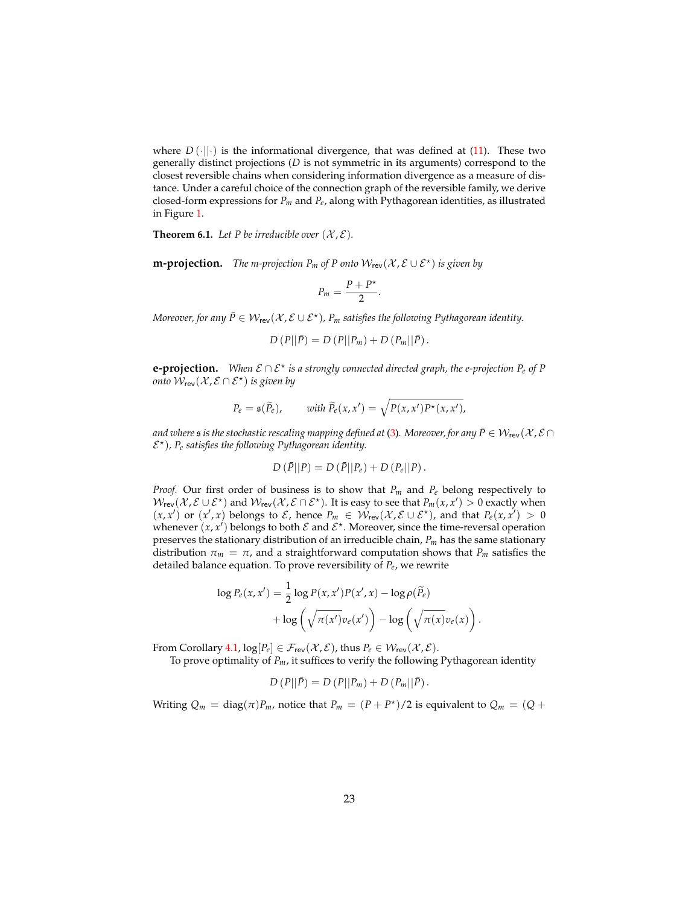where  $D(\cdot||\cdot)$  is the informational divergence, that was defined at [\(11\)](#page-17-1). These two generally distinct projections (*D* is not symmetric in its arguments) correspond to the closest reversible chains when considering information divergence as a measure of distance. Under a careful choice of the connection graph of the reversible family, we derive closed-form expressions for *Pm* and *Pe*, along with Pythagorean identities, as illustrated in Figure [1.](#page-25-0)

<span id="page-22-0"></span>**Theorem 6.1.** Let P be irreducible over  $(\mathcal{X}, \mathcal{E})$ .

**m-projection.** *The m-projection*  $P_m$  *of*  $P$  *onto*  $W_{rev}(\mathcal{X}, \mathcal{E} \cup \mathcal{E}^*)$  *is given by* 

$$
P_m=\frac{P+P^{\star}}{2}.
$$

*Moreover, for any*  $\bar{P} \in \mathcal{W}_{rev}(\mathcal{X}, \mathcal{E} \cup \mathcal{E}^{\star})$ ,  $P_m$  satisfies the following Pythagorean identity.

$$
D(P||\bar{P}) = D(P||P_m) + D(P_m||\bar{P}).
$$

**e-projection.** *When* E ∩ E? *is a strongly connected directed graph, the e-projection Pe of P* onto  $\hat{\mathcal{W}}_{\sf rev}(\mathcal{X}, \mathcal{E}\cap \mathcal{E}^{\star})$  is given by

$$
P_e = \mathfrak{s}(\widetilde{P}_e), \quad \text{with } \widetilde{P}_e(x, x') = \sqrt{P(x, x')P^*(x, x')},
$$

*and where s is the stochastic rescaling mapping defined at [\(3\)](#page-5-1). Moreover, for any*  $\bar{P} \in W_{rev}(\mathcal{X}, \mathcal{E} \cap \mathcal{E})$ E ? )*, P<sup>e</sup> satisfies the following Pythagorean identity.*

$$
D(\bar{P}||P) = D(\bar{P}||P_e) + D(P_e||P).
$$

*Proof.* Our first order of business is to show that *Pm* and *Pe* belong respectively to  $W_{rev}(\mathcal{X}, \mathcal{E} \cup \mathcal{E}^{\star})$  and  $W_{rev}(\mathcal{X}, \mathcal{E} \cap \mathcal{E}^{\star})$ . It is easy to see that  $P_m(x, x') > 0$  exactly when  $(x, x')$  or  $(x', x)$  belongs to  $\mathcal{E}$ , hence  $P_m \in \mathcal{W}_{rev}(\mathcal{X}, \mathcal{E} \cup \mathcal{E}^*)$ , and that  $P_e(x, x') > 0$ whenever  $(x, x')$  belongs to both  $\mathcal E$  and  $\mathcal E^*$ . Moreover, since the time-reversal operation preserves the stationary distribution of an irreducible chain, *Pm* has the same stationary distribution  $\pi_m = \pi$ , and a straightforward computation shows that  $P_m$  satisfies the detailed balance equation. To prove reversibility of *Pe*, we rewrite

$$
\log P_e(x, x') = \frac{1}{2} \log P(x, x') P(x', x) - \log \rho(\widetilde{P}_e)
$$

$$
+ \log \left( \sqrt{\pi(x')} v_e(x') \right) - \log \left( \sqrt{\pi(x)} v_e(x) \right)
$$

.

From Corollary [4.1,](#page-12-1)  $\log[P_e] \in \mathcal{F}_{rev}(\mathcal{X}, \mathcal{E})$ , thus  $P_e \in \mathcal{W}_{rev}(\mathcal{X}, \mathcal{E})$ .

To prove optimality of *Pm*, it suffices to verify the following Pythagorean identity

$$
D(P||\bar{P}) = D(P||P_m) + D(P_m||\bar{P}).
$$

Writing  $Q_m = \text{diag}(\pi)P_m$ , notice that  $P_m = (P + P^*)/2$  is equivalent to  $Q_m = (Q + P^*)/2$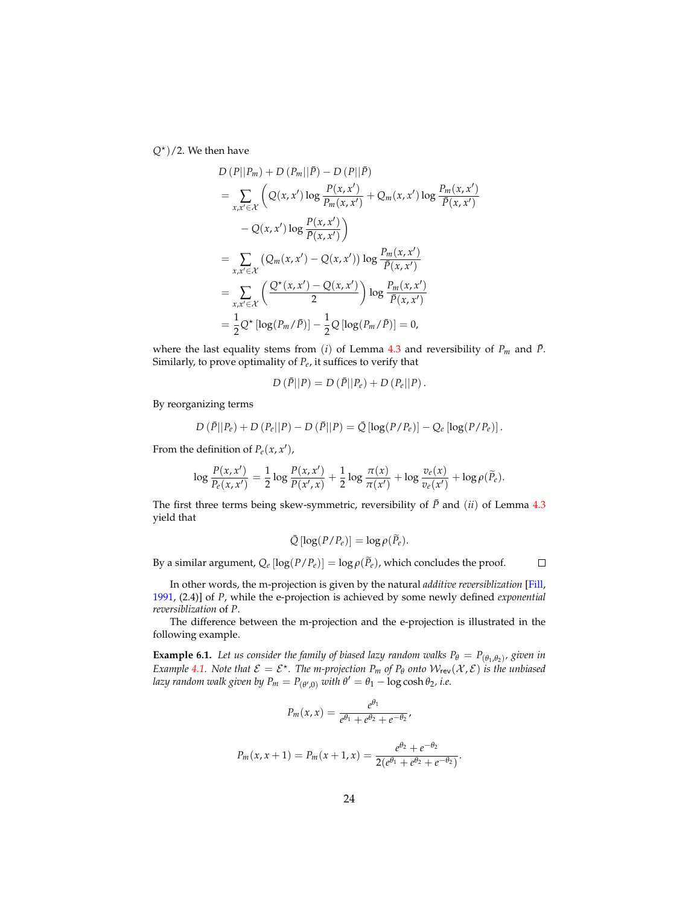*Q*? )/2. We then have

$$
D (P||P_m) + D (P_m||\bar{P}) - D (P||\bar{P})
$$
  
=  $\sum_{x,x' \in \mathcal{X}} \left( Q(x, x') \log \frac{P(x, x')}{P_m(x, x')} + Q_m(x, x') \log \frac{P_m(x, x')}{\bar{P}(x, x')} - Q(x, x') \log \frac{P(x, x')}{\bar{P}(x, x')} \right)$   
=  $\sum_{x, x' \in \mathcal{X}} \left( Q_m(x, x') - Q(x, x') \right) \log \frac{P_m(x, x')}{\bar{P}(x, x')}$   
=  $\sum_{x, x' \in \mathcal{X}} \left( \frac{Q^*(x, x') - Q(x, x')}{2} \right) \log \frac{P_m(x, x')}{\bar{P}(x, x')}$   
=  $\frac{1}{2} Q^* \left[ \log(P_m/\bar{P}) \right] - \frac{1}{2} Q \left[ \log(P_m/\bar{P}) \right] = 0,$ 

where the last equality stems from (*i*) of Lemma [4.3](#page-13-2) and reversibility of  $P_m$  and  $\bar{P}$ . Similarly, to prove optimality of *Pe*, it suffices to verify that

$$
D(\bar{P}||P) = D(\bar{P}||P_e) + D(P_e||P).
$$

By reorganizing terms

$$
D\left(\bar{P}||P_e\right) + D\left(P_e||P\right) - D\left(\bar{P}||P\right) = \bar{Q}\left[\log(P/P_e)\right] - Q_e\left[\log(P/P_e)\right].
$$

From the definition of  $P_e(x, x')$ ,

$$
\log \frac{P(x, x')}{P_e(x, x')} = \frac{1}{2} \log \frac{P(x, x')}{P(x', x)} + \frac{1}{2} \log \frac{\pi(x)}{\pi(x')} + \log \frac{v_e(x)}{v_e(x')} + \log \rho(\widetilde{P}_e).
$$

The first three terms being skew-symmetric, reversibility of  $\bar{P}$  and (*ii*) of Lemma [4.3](#page-13-2) yield that

$$
\bar{Q} [\log(P/P_e)] = \log \rho(\widetilde{P}_e).
$$

By a similar argument,  $Q_e$  [log( $P/P_e$ )] = log  $\rho(\widetilde{P}_e)$ , which concludes the proof.

 $\Box$ 

In other words, the m-projection is given by the natural *additive reversiblization* [\[Fill,](#page-35-17) [1991,](#page-35-17) (2.4)] of *P*, while the e-projection is achieved by some newly defined *exponential reversiblization* of *P*.

The difference between the m-projection and the e-projection is illustrated in the following example.

**Example 6.1.** Let us consider the family of biased lazy random walks  $P_{\theta} = P_{(\theta_1, \theta_2)}$ , given in *Example* [4.1.](#page-9-1) Note that  $\mathcal{E} = \mathcal{E}^*$ . The *m*-projection  $P_m$  of  $P_\theta$  onto  $\mathcal{W}_{rev}(\mathcal{X}, \mathcal{E})$  is the unbiased *lazy random walk given by*  $P_m = P_{(\theta',0)}$  *with*  $\theta' = \theta_1 - \log \cosh \theta_2$ , i.e.

$$
P_m(x, x) = \frac{e^{\theta_1}}{e^{\theta_1} + e^{\theta_2} + e^{-\theta_2}},
$$
  

$$
P_m(x, x + 1) = P_m(x + 1, x) = \frac{e^{\theta_2} + e^{-\theta_2}}{2(e^{\theta_1} + e^{\theta_2} + e^{-\theta_2})}.
$$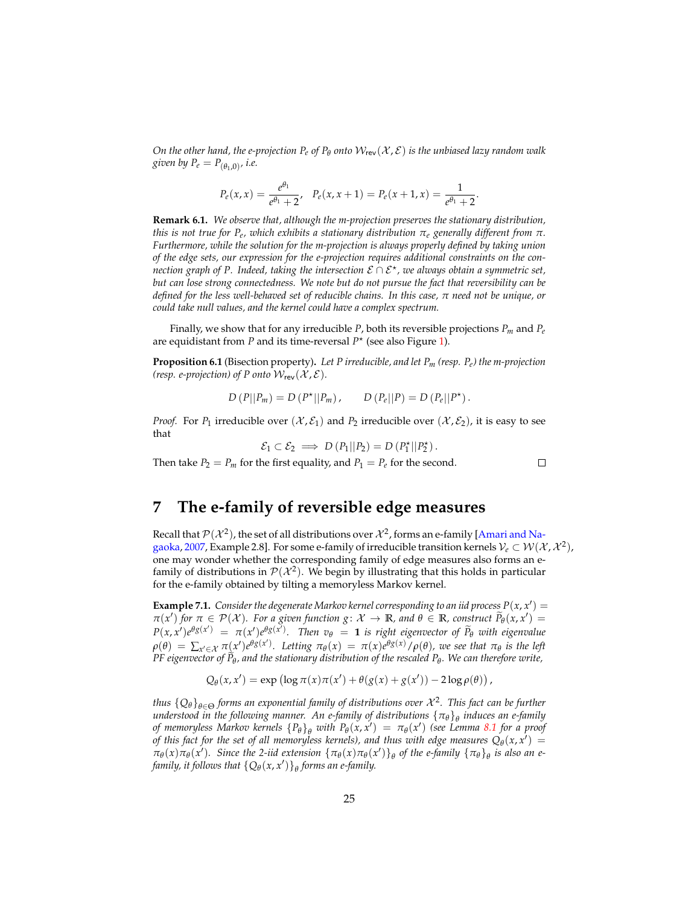*On the other hand, the e-projection*  $P_e$  *of*  $P_\theta$  *onto*  $W_{rev}(\mathcal{X}, \mathcal{E})$  *is the unbiased lazy random walk given by*  $P_e = P_{(\theta_1,0)}$ , *i.e.* 

$$
P_e(x,x) = \frac{e^{\theta_1}}{e^{\theta_1} + 2}, \quad P_e(x,x+1) = P_e(x+1,x) = \frac{1}{e^{\theta_1} + 2}.
$$

**Remark 6.1.** *We observe that, although the m-projection preserves the stationary distribution, this is not true for Pe, which exhibits a stationary distribution πe generally different from π. Furthermore, while the solution for the m-projection is always properly defined by taking union of the edge sets, our expression for the e-projection requires additional constraints on the connection graph of P. Indeed, taking the intersection* E ∩ E? *, we always obtain a symmetric set, but can lose strong connectedness. We note but do not pursue the fact that reversibility can be defined for the less well-behaved set of reducible chains. In this case, π need not be unique, or could take null values, and the kernel could have a complex spectrum.*

Finally, we show that for any irreducible *P*, both its reversible projections  $P_m$  and  $P_e$ are equidistant from *P* and its time-reversal  $P^*$  (see also Figure [1\)](#page-25-0).

<span id="page-24-1"></span>**Proposition 6.1** (Bisection property)**.** *Let P irreducible, and let Pm (resp. Pe) the m-projection (resp. e-projection) of P onto*  $W_{rev}(\mathcal{X}, \mathcal{E})$ *.* 

$$
D(P||P_m) = D(P^*||P_m), \qquad D(P_e||P) = D(P_e||P^*).
$$

*Proof.* For  $P_1$  irreducible over  $(\mathcal{X}, \mathcal{E}_1)$  and  $P_2$  irreducible over  $(\mathcal{X}, \mathcal{E}_2)$ , it is easy to see that

$$
\mathcal{E}_1 \subset \mathcal{E}_2 \implies D(P_1||P_2) = D(P_1^{\star}||P_2^{\star}).
$$

 $\Box$ 

Then take  $P_2 = P_m$  for the first equality, and  $P_1 = P_e$  for the second.

### <span id="page-24-0"></span>**7 The e-family of reversible edge measures**

Recall that  $\mathcal{P}(\mathcal{X}^2)$ , the set of all distributions over  $\mathcal{X}^2$ , forms an e-family [\[Amari and Na](#page-34-2)[gaoka,](#page-34-2) [2007,](#page-34-2) Example 2.8]. For some e-family of irreducible transition kernels  $\mathcal{V}_e\subset \mathcal{W}(\mathcal{X},\mathcal{X}^2)$ , one may wonder whether the corresponding family of edge measures also forms an efamily of distributions in  $\mathcal{P}(\mathcal{X}^2)$ . We begin by illustrating that this holds in particular for the e-family obtained by tilting a memoryless Markov kernel.

**Example 7.1.** Consider the degenerate Markov kernel corresponding to an iid process  $P(x, x') =$  $\pi(x')$  *for*  $\pi \in \mathcal{P}(\mathcal{X})$ *. For a given function g* :  $\mathcal{X} \to \mathbb{R}$ *, and*  $\theta \in \mathbb{R}$ *, construct*  $\widetilde{P}_{\theta}(x, x') =$  $P(x, x')e^{\theta g(x')} = \pi(x')e^{\theta g(x')}$ . Then  $v_{\theta} = 1$  is right eigenvector of  $\widetilde{P}_{\theta}$  with eigenvalue  $\rho(\theta) = \sum_{x' \in \mathcal{X}} \pi(x')e^{\theta g(x')}$ . Letting  $\pi_{\theta}(x) = \pi(x)e^{\theta g(x)}/\rho(\theta)$ , we see that  $\pi_{\theta}$  is the left *PF eigenvector of <sup>P</sup>*<sup>e</sup> *θ , and the stationary distribution of the rescaled P<sup>θ</sup> . We can therefore write,*

$$
Q_{\theta}(x,x') = \exp (\log \pi(x)\pi(x') + \theta(g(x) + g(x')) - 2\log \rho(\theta)),
$$

*thus*  ${Q_{\theta}}_{\theta \in \Theta}$  forms an exponential family of distributions over  $\mathcal{X}^2$ . This fact can be further *understood in the following manner. An e-family of distributions* {*πθ*}*<sup>θ</sup> induces an e-family of memoryless Markov kernels*  ${P_{\theta}}_\theta$  *with*  $P_{\theta}(x, x') = \pi_{\theta}(x')$  (see Lemma [8.1](#page-27-1) for a proof *of this fact for the set of all memoryless kernels), and thus with edge measures*  $Q_{\theta}(x, x') =$  $\pi_{\theta}(x)\pi_{\theta}(x')$ . Since the 2-iid extension  $\{\pi_{\theta}(x)\pi_{\theta}(x')\}_{\theta}$  of the e-family  $\{\pi_{\theta}\}_{\theta}$  is also an e*family, it follows that*  $\{Q_{\theta}(x, x')\}_{\theta}$  *forms an e-family.*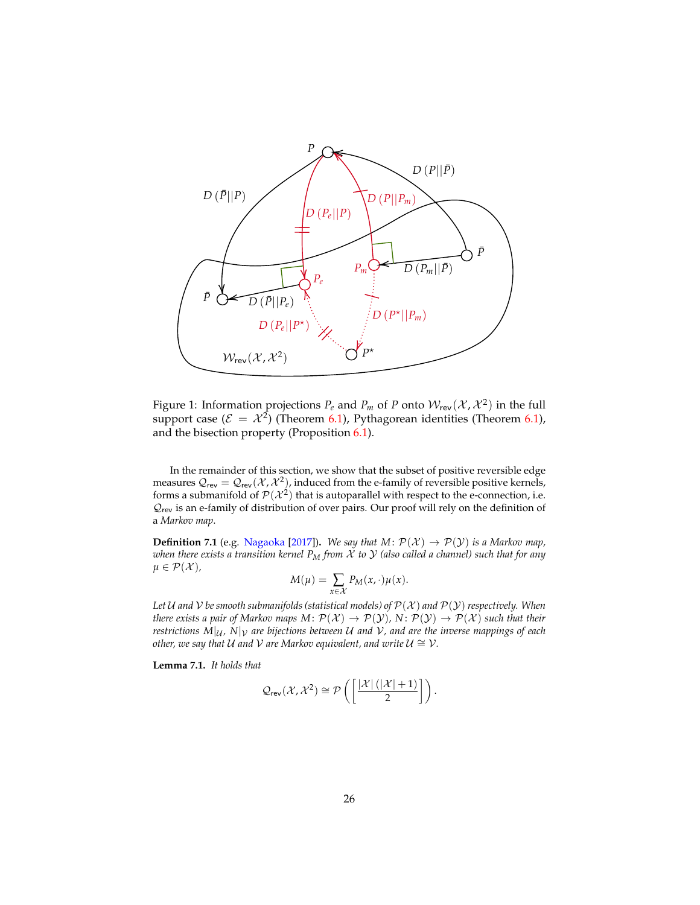

<span id="page-25-0"></span>Figure 1: Information projections  $P_e$  and  $P_m$  of P onto  $W_{rev}(\mathcal{X}, \mathcal{X}^2)$  in the full support case ( $\mathcal{E} = \mathcal{X}^2$ ) (Theorem [6.1\)](#page-22-0), Pythagorean identities (Theorem 6.1), and the bisection property (Proposition [6.1\)](#page-24-1).

In the remainder of this section, we show that the subset of positive reversible edge measures  $\mathcal{Q}_{\sf rev} = \mathcal{Q}_{\sf rev}(\mathcal{X},\mathcal{X}^2)$ , induced from the e-family of reversible positive kernels, forms a submanifold of  $\mathcal{P}(\mathcal{X}^2)$  that is autoparallel with respect to the e-connection, i.e.  $\mathcal{Q}_{\mathsf{rev}}$  is an e-family of distribution of over pairs. Our proof will rely on the definition of a *Markov map*.

**Definition 7.1** (e.g. [Nagaoka](#page-36-16) [\[2017\]](#page-36-16)). *We say that*  $M: \mathcal{P}(\mathcal{X}) \to \mathcal{P}(\mathcal{Y})$  *is a Markov map, when there exists a transition kernel P<sup>M</sup> from* X *to* Y *(also called a channel) such that for any*  $\mu \in \mathcal{P}(\mathcal{X})$ ,

$$
M(\mu) = \sum_{x \in \mathcal{X}} P_M(x, \cdot) \mu(x).
$$

*Let* U and V be smooth submanifolds (statistical models) of  $\mathcal{P}(\mathcal{X})$  and  $\mathcal{P}(\mathcal{Y})$  respectively. When *there exists a pair of Markov maps M:*  $\mathcal{P}(\mathcal{X}) \to \mathcal{P}(\mathcal{Y})$ *, N:*  $\mathcal{P}(\mathcal{Y}) \to \mathcal{P}(\mathcal{X})$  *such that their restrictions*  $M|_{U}$ ,  $N|_{V}$  are bijections between U and V, and are the inverse mappings of each *other, we say that U and V are Markov equivalent, and write*  $U \cong V$ *.* 

<span id="page-25-1"></span>**Lemma 7.1.** *It holds that*

$$
\mathcal{Q}_{\mathsf{rev}}(\mathcal{X},\mathcal{X}^2) \cong \mathcal{P}\left(\left[\frac{|\mathcal{X}| \left(|\mathcal{X}|+1\right)}{2}\right]\right).
$$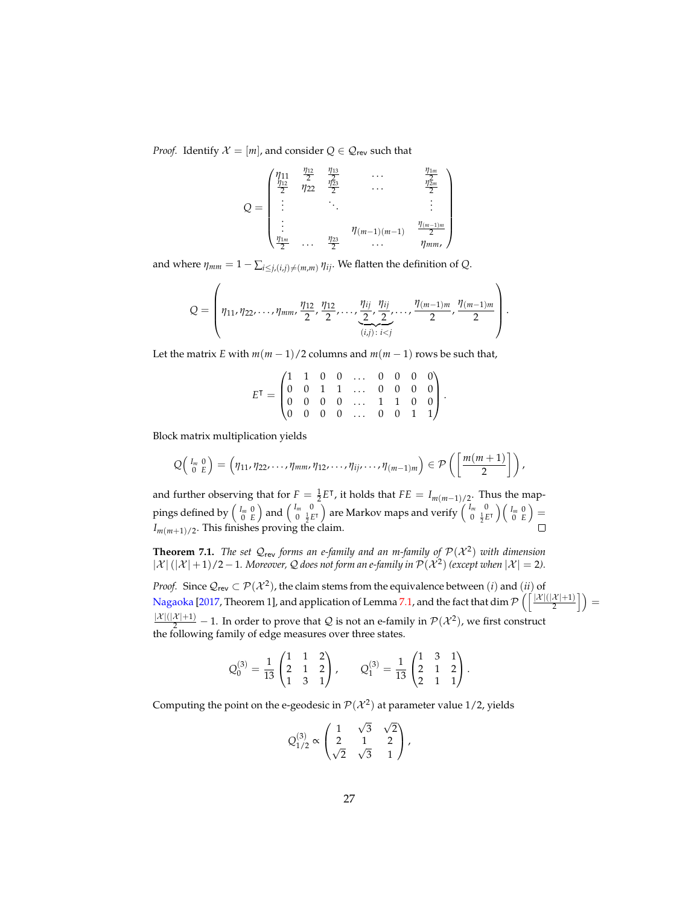*Proof.* Identify  $X = [m]$ , and consider  $Q \in \mathcal{Q}_{rev}$  such that

$$
Q = \begin{pmatrix} \eta_{11} & \frac{\eta_{12}}{2} & \frac{\eta_{13}}{2} & \cdots & \frac{\eta_{1m}}{2} \\ \frac{\eta_{12}}{2} & \eta_{22} & \frac{\eta_{23}}{2} & \cdots & \frac{\eta_{2m}}{2} \\ \vdots & \ddots & \ddots & \vdots \\ \frac{\eta_{1m}}{2} & \cdots & \frac{\eta_{23}}{2} & \cdots & \frac{\eta_{(m-1)m}}{2} \end{pmatrix}
$$

and where  $\eta_{mm} = 1 - \sum_{i \leq j, (i,j) \neq (m,m)} \eta_{ij}$ . We flatten the definition of Q.

$$
Q = \left(\eta_{11}, \eta_{22}, \ldots, \eta_{mm}, \frac{\eta_{12}}{2}, \frac{\eta_{12}}{2}, \ldots, \underbrace{\frac{\eta_{ij}}{2}, \frac{\eta_{ij}}{2}}_{(i,j):\ i
$$

Let the matrix *E* with  $m(m-1)/2$  columns and  $m(m-1)$  rows be such that,

$$
E^{\mathsf{T}} = \begin{pmatrix} 1 & 1 & 0 & 0 & \dots & 0 & 0 & 0 & 0 \\ 0 & 0 & 1 & 1 & \dots & 0 & 0 & 0 & 0 \\ 0 & 0 & 0 & 0 & \dots & 1 & 1 & 0 & 0 \\ 0 & 0 & 0 & 0 & \dots & 0 & 0 & 1 & 1 \end{pmatrix}.
$$

Block matrix multiplication yields

$$
Q\left(\begin{array}{cc}I_m & 0\\0 & E\end{array}\right) = \left(\eta_{11}, \eta_{22}, \ldots, \eta_{mm}, \eta_{12}, \ldots, \eta_{ij}, \ldots, \eta_{(m-1)m}\right) \in \mathcal{P}\left(\left[\frac{m(m+1)}{2}\right]\right),
$$

and further observing that for  $F = \frac{1}{2}E^{\mathsf{T}}$ , it holds that  $FE = I_{m(m-1)/2}$ . Thus the mappings defined by  $\left(\begin{smallmatrix}I_m&0\0&E\end{smallmatrix}\right)$  and  $\left(\begin{smallmatrix}I_m&0\0&\frac{1}{2}E\end{smallmatrix}\right)$  $\left(\begin{smallmatrix} I_m&0\0&\frac{1}{2}E^\intercal\end{smallmatrix}\right)$  are Markov maps and verify  $\left(\begin{smallmatrix} I_m&0\0&\frac{1}{2}E\end{smallmatrix}\right)$  $\begin{pmatrix} I_m & 0 \\ 0 & \frac{1}{2}E^{\intercal} \end{pmatrix} \begin{pmatrix} I_m & 0 \\ 0 & E \end{pmatrix} =$  $I_{m(m+1)/2}$ . This finishes proving the claim.

<span id="page-26-0"></span>**Theorem 7.1.** The set  $\mathcal{Q}_{\text{rev}}$  forms an e-family and an m-family of  $\mathcal{P}(\mathcal{X}^2)$  with dimension  $|\mathcal{X}|$   $(|\mathcal{X}|+1)/2-1$ *. Moreover, Q does not form an e-family in*  $\mathcal{P}(\mathcal{X}^2)$  (except when  $|\mathcal{X}|=2$ )*.* 

*Proof.* Since  $\mathcal{Q}_{rev} \subset \mathcal{P}(\mathcal{X}^2)$ , the claim stems from the equivalence between  $(i)$  and  $(ii)$  of [Nagaoka](#page-36-16) [\[2017,](#page-36-16) Theorem 1], and application of Lemma [7.1,](#page-25-1) and the fact that  $\dim\mathcal{P}\left(\left\lceil\frac{|X|(|X|+1)}{2}\right\rceil\right)=$  $\frac{|\mathcal{X}|(|\mathcal{X}|+1)}{2}$  – 1. In order to prove that Q is not an e-family in  $\mathcal{P}(\mathcal{X}^2)$ , we first construct the following family of edge measures over three states.

$$
Q_0^{(3)} = \frac{1}{13} \begin{pmatrix} 1 & 1 & 2 \\ 2 & 1 & 2 \\ 1 & 3 & 1 \end{pmatrix}, \qquad Q_1^{(3)} = \frac{1}{13} \begin{pmatrix} 1 & 3 & 1 \\ 2 & 1 & 2 \\ 2 & 1 & 1 \end{pmatrix}.
$$

Computing the point on the e-geodesic in  $\mathcal{P}(\mathcal{X}^2)$  at parameter value 1/2, yields

$$
Q_{1/2}^{(3)} \propto \begin{pmatrix} 1 & \sqrt{3} & \sqrt{2} \\ 2 & 1 & 2 \\ \sqrt{2} & \sqrt{3} & 1 \end{pmatrix},
$$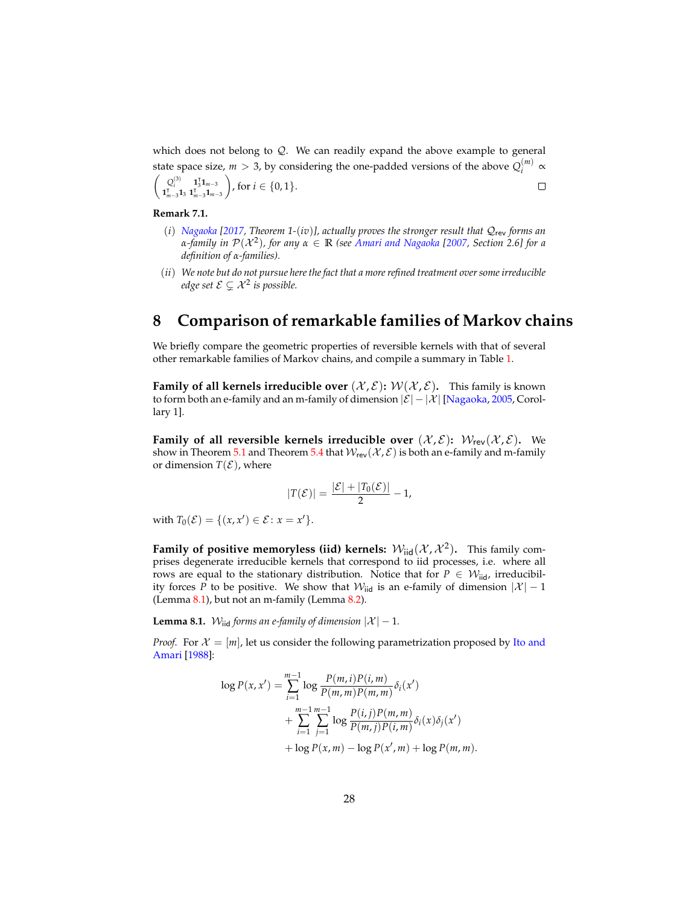which does not belong to  $Q$ . We can readily expand the above example to general state space size,  $m > 3$ , by considering the one-padded versions of the above  $Q_i^{(m)}$  $\sum_{i}^{(m)} \alpha$  $\begin{pmatrix} Q_i^{(3)} & \mathbf{1}_3^T \mathbf{1}_{m-3} \\ \mathbf{1}_1^T & \mathbf{1}_3^T \mathbf{1}_{m-3} \end{pmatrix}$ , for  $i \in \{0,1\}$ .  $\Box$ 

$$
\begin{pmatrix} \mathbf{x}_i & \mathbf{x}_3 & \mathbf{x}_{m-3} \\ \mathbf{1}_{m-3}^{\mathsf{T}} \mathbf{1}_3 & \mathbf{1}_{m-3}^{\mathsf{T}} \mathbf{1}_{m-3} \end{pmatrix}, \text{ for } i \in \{0, 1\}
$$

#### **Remark 7.1.**

- (*i*) *[Nagaoka](#page-36-16) [\[2017,](#page-36-16) Theorem 1-*(*iv*)*], actually proves the stronger result that* Qrev *forms an α-family in* P(X <sup>2</sup> )*, for any α* ∈ **R** *(see [Amari and Nagaoka](#page-34-2) [\[2007,](#page-34-2) Section 2.6] for a definition of α-families).*
- (*ii*) *We note but do not pursue here the fact that a more refined treatment over some irreducible* edge set  $\mathcal{E} \subsetneq \mathcal{X}^2$  is possible.

### <span id="page-27-0"></span>**8 Comparison of remarkable families of Markov chains**

We briefly compare the geometric properties of reversible kernels with that of several other remarkable families of Markov chains, and compile a summary in Table [1.](#page-31-2)

**Family of all kernels irreducible over**  $(\mathcal{X}, \mathcal{E})$ :  $\mathcal{W}(\mathcal{X}, \mathcal{E})$ . This family is known to form both an e-family and an m-family of dimension  $|\mathcal{E}| - |\mathcal{X}|$  [\[Nagaoka,](#page-36-6) [2005,](#page-36-6) Corollary 1].

**Family of all reversible kernels irreducible over**  $(\mathcal{X}, \mathcal{E})$ **:**  $\mathcal{W}_{rev}(\mathcal{X}, \mathcal{E})$ **. We** show in Theorem [5.1](#page-15-0) and Theorem [5.4](#page-20-1) that  $W_{rev}(\mathcal{X}, \mathcal{E})$  is both an e-family and m-family or dimension  $T(\mathcal{E})$ , where

$$
|T(\mathcal{E})|=\frac{|\mathcal{E}|+|T_0(\mathcal{E})|}{2}-1,
$$

with  $T_0(\mathcal{E}) = \{(x, x') \in \mathcal{E} : x = x'\}.$ 

**Family of positive memoryless (iid) kernels:**  $W_{\text{iid}}(\mathcal{X}, \mathcal{X}^2)$ . This family comprises degenerate irreducible kernels that correspond to iid processes, i.e. where all rows are equal to the stationary distribution. Notice that for  $P \in \mathcal{W}_{\text{iid}}$ , irreducibility forces *P* to be positive. We show that  $W_{\text{tid}}$  is an e-family of dimension  $|\mathcal{X}| - 1$ (Lemma [8.1\)](#page-27-1), but not an m-family (Lemma [8.2\)](#page-28-0).

<span id="page-27-1"></span>**Lemma 8.1.** W<sub>iid</sub> forms an e-family of dimension  $|\mathcal{X}| - 1$ .

*Proof.* For  $\mathcal{X} = [m]$ , let us consider the following parametrization proposed by [Ito and](#page-35-8) [Amari](#page-35-8) [\[1988\]](#page-35-8):

$$
\log P(x, x') = \sum_{i=1}^{m-1} \log \frac{P(m, i)P(i, m)}{P(m, m)P(m, m)} \delta_i(x')
$$
  
+ 
$$
\sum_{i=1}^{m-1} \sum_{j=1}^{m-1} \log \frac{P(i, j)P(m, m)}{P(m, j)P(i, m)} \delta_i(x) \delta_j(x')
$$
  
+ 
$$
\log P(x, m) - \log P(x', m) + \log P(m, m).
$$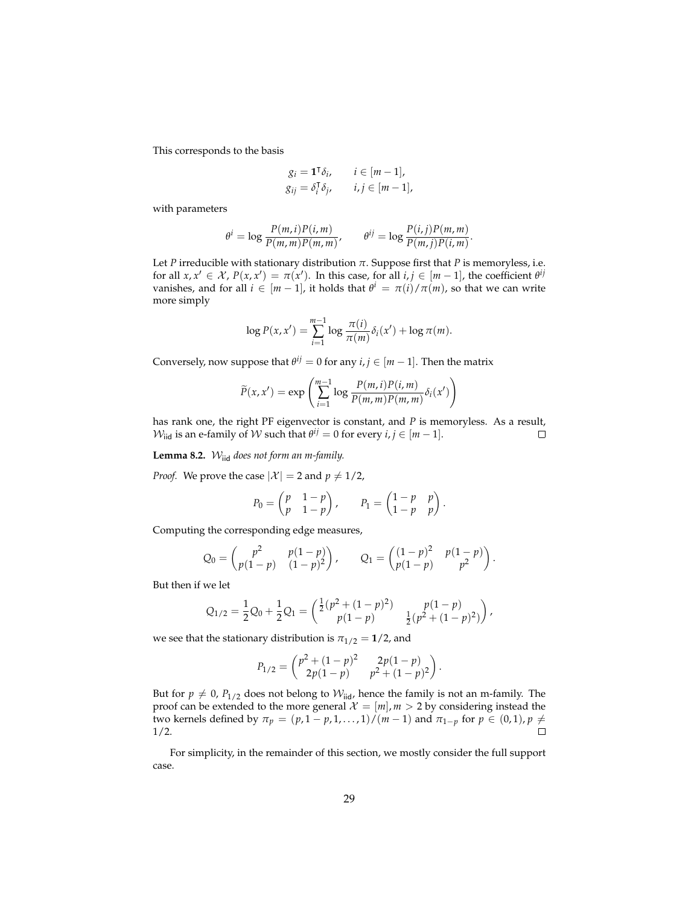This corresponds to the basis

$$
g_i = \mathbf{1}^\mathsf{T} \delta_i, \qquad i \in [m-1],
$$
  
\n
$$
g_{ij} = \delta_i^\mathsf{T} \delta_j, \qquad i, j \in [m-1],
$$

with parameters

$$
\theta^i = \log \frac{P(m,i)P(i,m)}{P(m,m)P(m,m)}, \qquad \theta^{ij} = \log \frac{P(i,j)P(m,m)}{P(m,j)P(i,m)}
$$

.

Let *P* irreducible with stationary distribution  $\pi$ . Suppose first that *P* is memoryless, i.e. for all  $x, x' \in \mathcal{X}$ ,  $P(x, x') = \pi(x')$ . In this case, for all  $i, j \in [m-1]$ , the coefficient  $\theta^{ij}$ vanishes, and for all  $i \in [m-1]$ , it holds that  $\theta^i = \pi(i)/\pi(m)$ , so that we can write more simply

$$
\log P(x, x') = \sum_{i=1}^{m-1} \log \frac{\pi(i)}{\pi(m)} \delta_i(x') + \log \pi(m).
$$

Conversely, now suppose that  $\theta^{ij} = 0$  for any  $i, j \in [m-1]$ . Then the matrix

$$
\widetilde{P}(x, x') = \exp\left(\sum_{i=1}^{m-1} \log \frac{P(m, i)P(i, m)}{P(m, m)P(m, m)} \delta_i(x')\right)
$$

has rank one, the right PF eigenvector is constant, and *P* is memoryless. As a result,  $\mathcal{W}_{\text{iid}}$  is an e-family of  $\mathcal W$  such that  $\theta^{ij} = 0$  for every  $i, j \in [m-1]$ .  $\Box$ 

<span id="page-28-0"></span>**Lemma 8.2.** Wiid *does not form an m-family.*

*Proof.* We prove the case  $|X| = 2$  and  $p \neq 1/2$ ,

$$
P_0 = \begin{pmatrix} p & 1-p \\ p & 1-p \end{pmatrix}, \qquad P_1 = \begin{pmatrix} 1-p & p \\ 1-p & p \end{pmatrix}.
$$

Computing the corresponding edge measures,

$$
Q_0 = \begin{pmatrix} p^2 & p(1-p) \\ p(1-p) & (1-p)^2 \end{pmatrix}, \qquad Q_1 = \begin{pmatrix} (1-p)^2 & p(1-p) \\ p(1-p) & p^2 \end{pmatrix}.
$$

But then if we let

$$
Q_{1/2} = \frac{1}{2}Q_0 + \frac{1}{2}Q_1 = \begin{pmatrix} \frac{1}{2}(p^2 + (1-p)^2) & p(1-p) \\ p(1-p) & \frac{1}{2}(p^2 + (1-p)^2) \end{pmatrix},
$$

we see that the stationary distribution is  $\pi_{1/2} = 1/2$ , and

$$
P_{1/2} = \begin{pmatrix} p^2 + (1-p)^2 & 2p(1-p) \\ 2p(1-p) & p^2 + (1-p)^2 \end{pmatrix}.
$$

But for  $p \neq 0$ ,  $P_{1/2}$  does not belong to  $W_{\text{iid}}$ , hence the family is not an m-family. The proof can be extended to the more general  $\mathcal{X} = [m], m > 2$  by considering instead the *two kernels defined by*  $\pi_p = (p, 1 - p, 1, ..., 1) / (m − 1)$  and  $\pi_{1-p}$  for  $p ∈ (0, 1)$ ,  $p ≠$ 1/2.

For simplicity, in the remainder of this section, we mostly consider the full support case.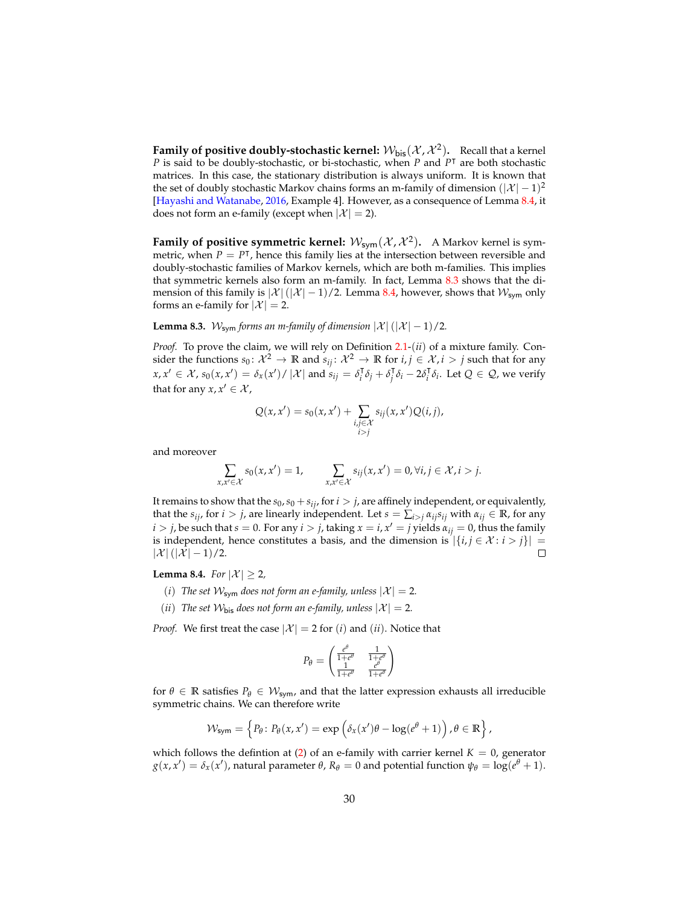**Family of positive doubly-stochastic kernel:**  $\mathcal{W}_{\mathsf{bis}}(\mathcal{X},\mathcal{X}^2)$ . Recall that a kernel *P* is said to be doubly-stochastic, or bi-stochastic, when *P* and *P*<sup>T</sup> are both stochastic matrices. In this case, the stationary distribution is always uniform. It is known that the set of doubly stochastic Markov chains forms an m-family of dimension  $(|\mathcal{X}|-1)^2$ [\[Hayashi and Watanabe,](#page-35-3) [2016,](#page-35-3) Example 4]. However, as a consequence of Lemma [8.4,](#page-29-0) it does not form an e-family (except when  $|\mathcal{X}| = 2$ ).

**Family of positive symmetric kernel:**  $\mathcal{W}_{\text{sym}}(\mathcal{X}, \mathcal{X}^2)$ . A Markov kernel is symmetric, when  $P = P^{\dagger}$ , hence this family lies at the intersection between reversible and doubly-stochastic families of Markov kernels, which are both m-families. This implies that symmetric kernels also form an m-family. In fact, Lemma [8.3](#page-29-1) shows that the dimension of this family is  $|\mathcal{X}|(|\mathcal{X}|-1)/2$ . Lemma [8.4,](#page-29-0) however, shows that  $\mathcal{W}_{sym}$  only forms an e-family for  $|\mathcal{X}| = 2$ .

<span id="page-29-1"></span>**Lemma 8.3.** W<sub>sym</sub> forms an m-family of dimension  $|\mathcal{X}|$  ( $|\mathcal{X}| - 1$ )/2.

*Proof.* To prove the claim, we will rely on Definition [2.1-](#page-4-1)(*ii*) of a mixture family. Consider the functions  $s_0: \mathcal{X}^2 \to \mathbb{R}$  and  $s_{ij}: \mathcal{X}^2 \to \mathbb{R}$  for  $i, j \in \mathcal{X}, i > j$  such that for any  $f(x, x') \in \mathcal{X}$ ,  $s_0(x, x') = \delta_x(x') / |\mathcal{X}|$  and  $s_{ij} = \delta_i$  $\int_i^T \delta_j + \delta_j^T$  $\int_{i}^{\mathsf{T}} \delta_i - 2\delta_i^{\mathsf{T}}$ *i δi* . Let *Q* ∈ Q, we verify that for any  $x, x' \in \mathcal{X}$ ,

$$
Q(x, x') = s_0(x, x') + \sum_{\substack{i,j \in \mathcal{X} \\ i>j}} s_{ij}(x, x') Q(i, j),
$$

and moreover

$$
\sum_{x,x'\in\mathcal{X}} s_0(x,x')=1, \qquad \sum_{x,x'\in\mathcal{X}} s_{ij}(x,x')=0, \forall i,j\in\mathcal{X}, i>j.
$$

It remains to show that the  $s_0$ ,  $s_0 + s_{ij}$ , for  $i > j$ , are affinely independent, or equivalently, that the  $s_{ij}$ , for  $i > j$ , are linearly independent. Let  $s = \sum_{i>j} a_{ij} s_{ij}$  with  $a_{ij} \in \mathbb{R}$ , for any *i* > *j*, be such that *s* = 0. For any *i* > *j*, taking  $x = i$ ,  $x' = j$  yields  $\alpha_{ij} = 0$ , thus the family is independent, hence constitutes a basis, and the dimension is  $|\{i, j \in \mathcal{X} : i > j\}|$  $|\mathcal{X}|$   $(|\mathcal{X}| - 1)/2$ .  $\Box$ 

<span id="page-29-0"></span>**Lemma 8.4.** *For*  $|\mathcal{X}| \geq 2$ *,* 

- (*i*) The set  $W_{sym}$  does not form an e-family, unless  $|X| = 2$ .
- (*ii*) The set  $W_{\text{bis}}$  does not form an e-family, unless  $|X| = 2$ .

*Proof.* We first treat the case  $|\mathcal{X}| = 2$  for (*i*) and (*ii*). Notice that

$$
P_{\theta} = \begin{pmatrix} \frac{e^{\theta}}{1+e^{\theta}} & \frac{1}{1+e^{\theta}} \\ \frac{1}{1+e^{\theta}} & \frac{e^{\theta}}{1+e^{\theta}} \end{pmatrix}
$$

for  $\theta \in \mathbb{R}$  satisfies  $P_{\theta} \in \mathcal{W}_{sym}$ , and that the latter expression exhausts all irreducible symmetric chains. We can therefore write

$$
\mathcal{W}_{\text{sym}} = \left\{ P_{\theta} \colon P_{\theta}(x, x') = \exp \left( \delta_x(x')\theta - \log(e^{\theta} + 1) \right), \theta \in \mathbb{R} \right\},\
$$

which follows the defintion at [\(2\)](#page-5-2) of an e-family with carrier kernel  $K = 0$ , generator  $g(x, x') = δ_x(x')$ , natural parameter *θ*,  $R_\theta = 0$  and potential function  $ψ_\theta = log(e^{θ} + 1)$ .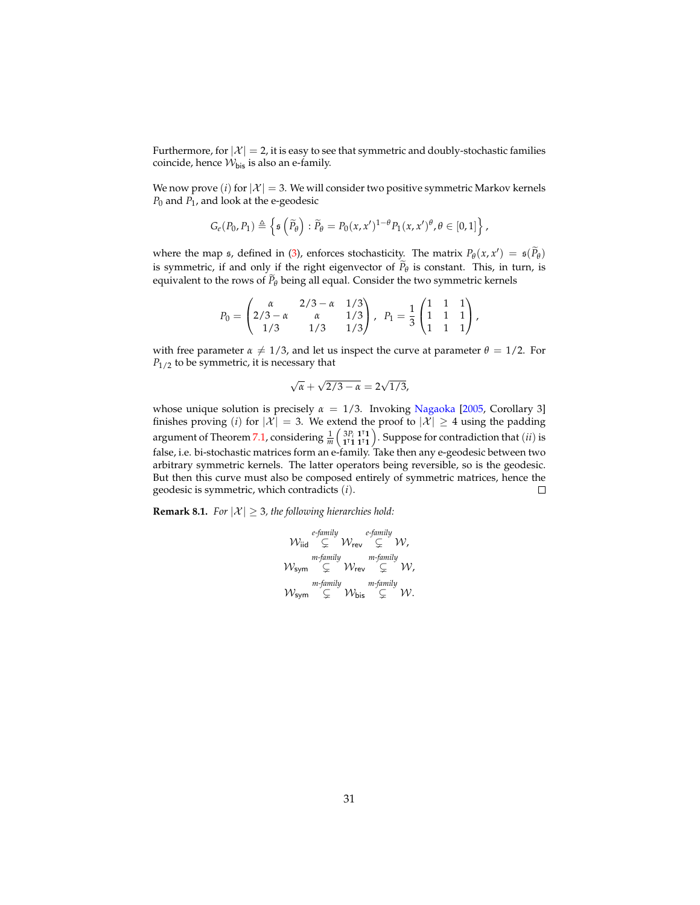Furthermore, for  $|X| = 2$ , it is easy to see that symmetric and doubly-stochastic families coincide, hence  $W_{\text{bis}}$  is also an e-family.

We now prove (*i*) for  $|X| = 3$ . We will consider two positive symmetric Markov kernels *P*<sup>0</sup> and *P*<sup>1</sup> , and look at the e-geodesic

$$
G_e(P_0, P_1) \triangleq \left\{ \mathfrak{s}\left(\widetilde{P}_{\theta}\right): \widetilde{P}_{\theta} = P_0(x, x')^{1-\theta} P_1(x, x')^{\theta}, \theta \in [0, 1] \right\},\
$$

where the map  $\mathfrak{s}$ , defined in [\(3\)](#page-5-1), enforces stochasticity. The matrix  $P_{\theta}(x, x') = \mathfrak{s}(\widetilde{P}_{\theta})$ is symmetric, if and only if the right eigenvector of  $P_{\theta}$  is constant. This, in turn, is equivalent to the rows of  $P_\theta$  being all equal. Consider the two symmetric kernels

$$
P_0 = \begin{pmatrix} \alpha & 2/3 - \alpha & 1/3 \\ 2/3 - \alpha & \alpha & 1/3 \\ 1/3 & 1/3 & 1/3 \end{pmatrix}, \ \ P_1 = \frac{1}{3} \begin{pmatrix} 1 & 1 & 1 \\ 1 & 1 & 1 \\ 1 & 1 & 1 \end{pmatrix},
$$

with free parameter  $\alpha \neq 1/3$ , and let us inspect the curve at parameter  $\theta = 1/2$ . For *P*<sub>1/2</sub> to be symmetric, it is necessary that

$$
\sqrt{\alpha} + \sqrt{2/3 - \alpha} = 2\sqrt{1/3},
$$

whose unique solution is precisely  $\alpha = 1/3$ . Invoking [Nagaoka](#page-36-6) [\[2005,](#page-36-6) Corollary 3] finishes proving (*i*) for  $|\mathcal{X}| = 3$ . We extend the proof to  $|\mathcal{X}| \geq 4$  using the padding argument of Theorem [7.1,](#page-26-0) considering  $\frac{1}{m} \left( \frac{3P_i}{11} \frac{1^1}{1^11} \right)$ . Suppose for contradiction that  $(ii)$  is false, i.e. bi-stochastic matrices form an e-family. Take then any e-geodesic between two arbitrary symmetric kernels. The latter operators being reversible, so is the geodesic. But then this curve must also be composed entirely of symmetric matrices, hence the geodesic is symmetric, which contradicts (*i*).  $\Box$ 

**Remark 8.1.** *For*  $|\mathcal{X}| \geq 3$ *, the following hierarchies hold:* 

$$
\begin{array}{ccc}\n & \text{if } & \text{if } & \text{if } & \text{if } & \text{if } & \text{if } & \text{if } & \text{if } & \text{if } & \text{if } & \text{if } & \text{if } & \text{if } & \text{if } & \text{if } & \text{if } & \text{if } & \text{if } & \text{if } & \text{if } & \text{if } & \text{if } & \text{if } & \text{if } & \text{if } & \text{if } & \text{if } & \text{if } & \text{if } & \text{if } & \text{if } & \text{if } & \text{if } & \text{if } & \text{if } & \text{if } & \text{if } & \text{if } & \text{if } & \text{if } & \text{if } & \text{if } & \text{if } & \text{if } & \text{if } & \text{if } & \text{if } & \text{if } & \text{if } & \text{if } & \text{if } & \text{if } & \text{if } & \text{if } & \text{if } & \text{if } & \text{if } & \text{if } & \text{if } & \text{if } & \text{if } & \text{if } & \text{if } & \text{if } & \text{if } & \text{if } & \text{if } & \text{if } & \text{if } & \text{if } & \text{if } & \text{if } & \text{if } & \text{if } & \text{if } & \text{if } & \text{if } & \text{if } & \text{if } & \text{if } & \text{if } & \text{if } & \text{if } & \text{if } & \text{if } & \text{if } & \text{if } & \text{if } & \text{if } & \text{if } & \text{if } & \text{if } & \text{if } & \text{if } & \text{if } & \text{if } & \text{if } & \text{if } & \text{if } & \text{if } & \text{if } & \text{if } & \text{if } & \text{if } & \text{if } & \text{if } & \text{if } & \text{if } & \text{if } & \text{if } & \text{if } & \text{if } & \text{if } & \text{if } & \text{if } & \text{if } & \text{if } & \text{if } & \text{if } & \text{if } & \text{if } & \text{if } & \text{if } & \text{if } & \text{if } & \
$$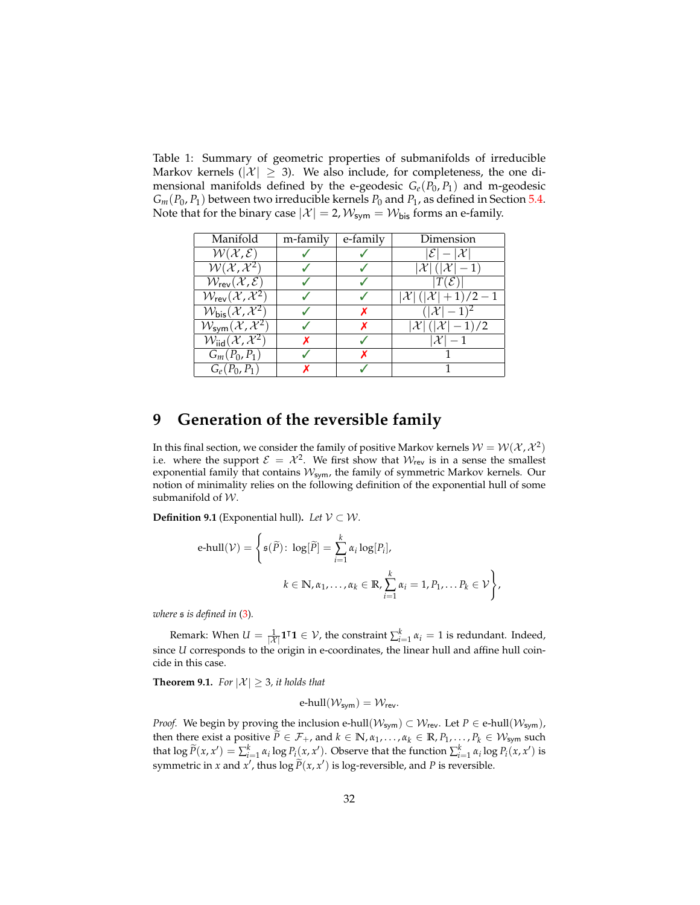<span id="page-31-2"></span>Table 1: Summary of geometric properties of submanifolds of irreducible Markov kernels ( $|\mathcal{X}| \geq 3$ ). We also include, for completeness, the one dimensional manifolds defined by the e-geodesic  $G_e(P_0, P_1)$  and m-geodesic  $G_m(P_0, P_1)$  between two irreducible kernels  $P_0$  and  $P_1$ , as defined in Section [5.4.](#page-20-0) Note that for the binary case  $|\mathcal{X}| = 2$ ,  $\mathcal{W}_{sym} = \mathcal{W}_{bis}$  forms an e-family.

| Manifold                                                          | m-family | e-family | Dimension                               |
|-------------------------------------------------------------------|----------|----------|-----------------------------------------|
| $W(X,\mathcal{E})$                                                |          |          | $ \mathcal{E} - \mathcal{X} $           |
| $\overline{\mathcal{W}(\mathcal{X},\mathcal{X}^2)}$               |          |          | $ \mathcal{X}  ( \mathcal{X} -1)$       |
| $W_{rev}(\overline{\mathcal{X}, \mathcal{E}})$                    |          |          | $T(\mathcal{E})$                        |
| $W_{\rm rev}(\mathcal{X},\mathcal{X}^2)$                          |          |          | $ \mathcal{X} ( \mathcal{X} +1)/2-1$    |
| $\mathcal{W}_{\text{bis}}(\overline{\mathcal{X}}, \mathcal{X}^2)$ |          |          | $( \mathcal{X}  - 1)^2$                 |
| $W_{sym}(\mathcal{X},\mathcal{X}^{2})$                            |          |          | $ \mathcal{X} $ ( $ \mathcal{X} -1$ )/2 |
| $\mathcal{W}_{\text{iid}}(\mathcal{X}, \overline{\mathcal{X}^2})$ |          |          | $\mathcal{X}$                           |
| $G_m(P_0, P_1)$                                                   |          |          |                                         |
| $G_e(P_0, P_1)$                                                   |          |          |                                         |

## <span id="page-31-0"></span>**9 Generation of the reversible family**

In this final section, we consider the family of positive Markov kernels  $\mathcal{W} = \mathcal{W}(\mathcal{X},\mathcal{X}^2)$ i.e. where the support  $\mathcal{E} = \mathcal{X}^2$ . We first show that  $\mathcal{W}_{rev}$  is in a sense the smallest exponential family that contains  $W_{sym}$ , the family of symmetric Markov kernels. Our notion of minimality relies on the following definition of the exponential hull of some submanifold of  $W$ .

**Definition 9.1** (Exponential hull). *Let*  $V \subset W$ .

$$
\text{e-hull}(\mathcal{V}) = \left\{ \mathfrak{s}(\widetilde{P}) \colon \log[\widetilde{P}] = \sum_{i=1}^{k} \alpha_i \log[P_i], \right\}
$$
\n
$$
k \in \mathbb{N}, \alpha_1, \dots, \alpha_k \in \mathbb{R}, \sum_{i=1}^{k} \alpha_i = 1, P_1, \dots P_k \in \mathcal{V} \right\},
$$

*where* s *is defined in* [\(3\)](#page-5-1)*.*

Remark: When  $U = \frac{1}{|X|} 1^{\intercal} 1 \in V$ , the constraint  $\sum_{i=1}^{k} \alpha_i = 1$  is redundant. Indeed, since *U* corresponds to the origin in e-coordinates, the linear hull and affine hull coincide in this case.

<span id="page-31-1"></span>**Theorem 9.1.** *For*  $|\mathcal{X}| \geq 3$ *, it holds that* 

$$
e\text{-hull}(\mathcal{W}_{sym}) = \mathcal{W}_{rev}.
$$

*Proof.* We begin by proving the inclusion e-hull( $W_{sym}$ )  $\subset W_{rev}$ . Let  $P \in$  e-hull( $W_{sym}$ ), then there exist a positive  $P \in \mathcal{F}_+$ , and  $k \in \mathbb{N}$ ,  $\alpha_1, \ldots, \alpha_k \in \mathbb{R}$ ,  $P_1, \ldots, P_k \in \mathcal{W}_{sym}$  such that  $\log \widetilde{P}(x, x') = \sum_{i=1}^{k} \alpha_i \log P_i(x, x')$ . Observe that the function  $\sum_{i=1}^{k} \alpha_i \log P_i(x, x')$  is symmetric in *x* and *x*<sup>*'*</sup>, thus log  $\tilde{P}(x, x')$  is log-reversible, and *P* is reversible.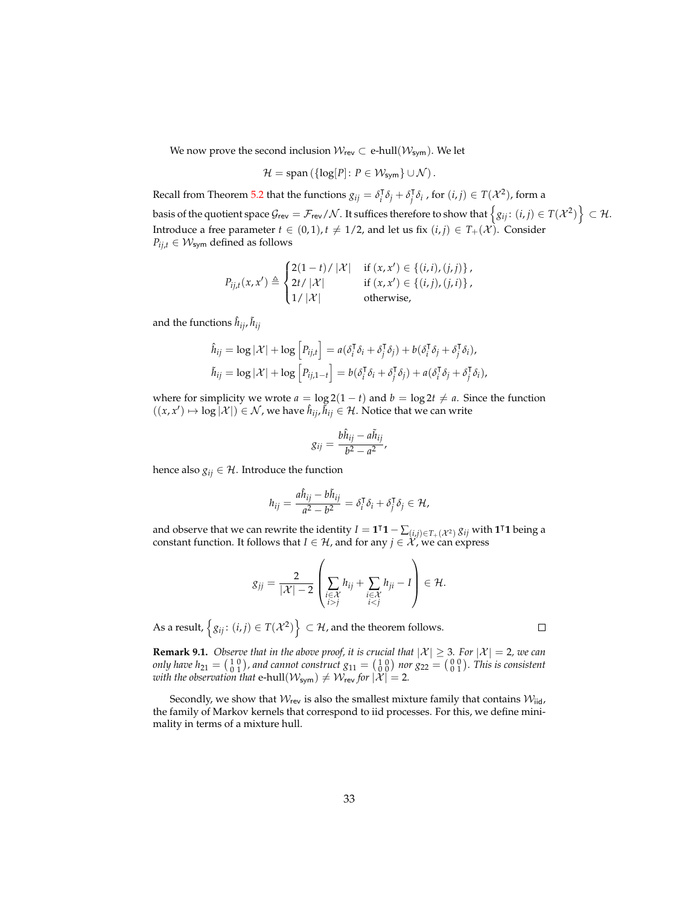We now prove the second inclusion  $W_{rev} \subset e$ -hull $(W_{sym})$ . We let

$$
\mathcal{H} = \text{span}\left(\{\log[P] \colon P \in \mathcal{W}_{\text{sym}}\} \cup \mathcal{N}\right).
$$

Recall from Theorem [5.2](#page-15-1) that the functions  $g_{ij} = \delta_i^{\dagger}$  $\int_i^T \delta_j + \delta_j^T$  $\int\limits_i^{\intercal} \delta_i$  , for  $(i, j) \in T(\mathcal{X}^2)$ , form a basis of the quotient space  $\mathcal{G}_{\sf rev} = \mathcal{F}_{\sf rev}/\mathcal{N}$  . It suffices therefore to show that  $\left\{g_{ij}\colon (i,j)\in T(\mathcal{X}^2)\right\}\subset \mathcal{H}$ . Introduce a free parameter  $t \in (0, 1)$ ,  $t \neq 1/2$ , and let us fix  $(i, j) \in T_+(\mathcal{X})$ . Consider  $P_{ij,t} \in \mathcal{W}_{sym}$  defined as follows

$$
P_{ij,t}(x,x') \triangleq \begin{cases} 2(1-t)/|\mathcal{X}| & \text{if } (x,x') \in \{(i,i),(j,j)\}, \\ 2t/|\mathcal{X}| & \text{if } (x,x') \in \{(i,j),(j,i)\}, \\ 1/|\mathcal{X}| & \text{otherwise}, \end{cases}
$$

and the functions  $\hat{h}_{ij}$ ,  $\tilde{h}_{ij}$ 

$$
\hat{h}_{ij} = \log |\mathcal{X}| + \log \left[ P_{ij,t} \right] = a(\delta_i^{\mathsf{T}} \delta_i + \delta_j^{\mathsf{T}} \delta_j) + b(\delta_i^{\mathsf{T}} \delta_j + \delta_j^{\mathsf{T}} \delta_i),
$$
\n
$$
\tilde{h}_{ij} = \log |\mathcal{X}| + \log \left[ P_{ij,1-t} \right] = b(\delta_i^{\mathsf{T}} \delta_i + \delta_j^{\mathsf{T}} \delta_j) + a(\delta_i^{\mathsf{T}} \delta_j + \delta_j^{\mathsf{T}} \delta_i),
$$

where for simplicity we wrote  $a = \log 2(1 - t)$  and  $b = \log 2t \neq a$ . Since the function  $((x, x') \mapsto \log |\mathcal{X}|) \in \mathcal{N}$ , we have  $\hat{h}_{ij}, \tilde{h}_{ij} \in \mathcal{H}$ . Notice that we can write

$$
g_{ij}=\frac{b\hat{h}_{ij}-a\tilde{h}_{ij}}{b^2-a^2},
$$

hence also  $g_{ij} \in \mathcal{H}$ . Introduce the function

$$
h_{ij} = \frac{a\hat{h}_{ij} - b\tilde{h}_{ij}}{a^2 - b^2} = \delta_i^{\mathsf{T}}\delta_i + \delta_j^{\mathsf{T}}\delta_j \in \mathcal{H},
$$

and observe that we can rewrite the identity  $I = \mathbf{1}^{\intercal} \mathbf{1} - \sum_{(i,j) \in T_+(\mathcal{X}^2)} g_{ij}$  with  $\mathbf{1}^{\intercal} \mathbf{1}$  being a constant function. It follows that *I*  $\in$  *H*, and for any *j*  $\in$   $\mathcal{X}$ , we can express

$$
g_{jj} = \frac{2}{|\mathcal{X}|-2} \left( \sum_{\substack{i \in \mathcal{X} \\ i>j}} h_{ij} + \sum_{\substack{i \in \mathcal{X} \\ i
$$

As a result,  $\left\{ g_{ij}\colon (i,j)\in T(\mathcal{X}^2) \right\} \subset \mathcal{H}$ , and the theorem follows.

**Remark 9.1.** *Observe that in the above proof, it is crucial that*  $|\mathcal{X}| \geq 3$ *. For*  $|\mathcal{X}| = 2$ *, we can only have h*<sub>21</sub> =  $\binom{10}{01}$ *, and cannot construct*  $g_{11} = \binom{10}{00}$  *nor*  $g_{22} = \binom{00}{01}$ *. This is consistent with the observation that*  $e$ -hull $(\mathcal{W}_{sym}) \neq \mathcal{W}_{rev}$  *for*  $|\mathcal{X}| = 2$ *.* 

Secondly, we show that  $W_{rev}$  is also the smallest mixture family that contains  $W_{iid}$ , the family of Markov kernels that correspond to iid processes. For this, we define minimality in terms of a mixture hull.

 $\Box$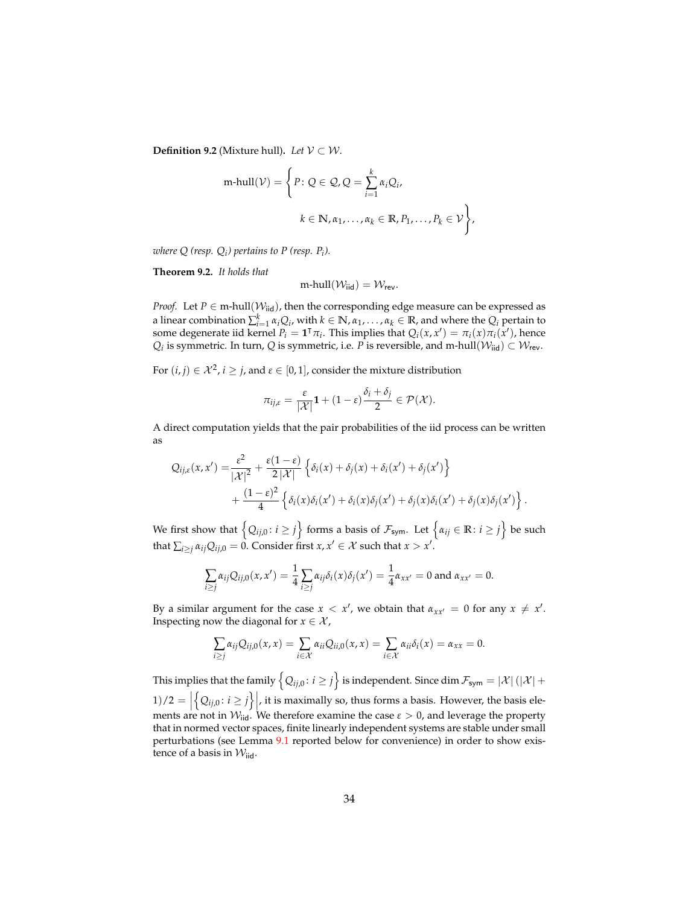**Definition 9.2** (Mixture hull). *Let*  $V \subset W$ .

$$
\text{m-hull}(\mathcal{V}) = \left\{ P : Q \in \mathcal{Q}, Q = \sum_{i=1}^{k} \alpha_i Q_i,
$$

$$
k \in \mathbb{N}, \alpha_1, \dots, \alpha_k \in \mathbb{R}, P_1, \dots, P_k \in \mathcal{V} \right\},\
$$

*where Q (resp.*  $Q_i$ *) pertains to P (resp.*  $P_i$ *).* 

<span id="page-33-0"></span>**Theorem 9.2.** *It holds that*

$$
m\text{-hull}(\mathcal{W}_{iid}) = \mathcal{W}_{rev}.
$$

*Proof.* Let  $P \in \text{m-hull}(\mathcal{W}_{\text{iid}})$ , then the corresponding edge measure can be expressed as a linear combination  $\sum_{i=1}^{k} \alpha_i Q_i$ , with  $k \in \mathbb{N}$ ,  $\alpha_1, \ldots, \alpha_k \in \mathbb{R}$ , and where the  $Q_i$  pertain to some degenerate iid kernel  $P_i = \mathbf{1}^\intercal \pi_i$ . This implies that  $Q_i(x, x') = \pi_i(x) \pi_i(x')$ , hence  $Q_i$  is symmetric. In turn,  $Q$  is symmetric, i.e. *P* is reversible, and m-hull $(\mathcal{W}_{\mathsf{iid}}) \subset \mathcal{W}_{\mathsf{rev}}.$ 

For  $(i, j) \in \mathcal{X}^2$ ,  $i \geq j$ , and  $\varepsilon \in [0, 1]$ , consider the mixture distribution

$$
\pi_{ij,\varepsilon} = \frac{\varepsilon}{|\mathcal{X}|} \mathbf{1} + (1-\varepsilon) \frac{\delta_i + \delta_j}{2} \in \mathcal{P}(\mathcal{X}).
$$

A direct computation yields that the pair probabilities of the iid process can be written as

$$
Q_{ij,\varepsilon}(x,x') = \frac{\varepsilon^2}{|\mathcal{X}|^2} + \frac{\varepsilon(1-\varepsilon)}{2|\mathcal{X}|} \left\{ \delta_i(x) + \delta_j(x) + \delta_i(x') + \delta_j(x') \right\} + \frac{(1-\varepsilon)^2}{4} \left\{ \delta_i(x)\delta_i(x') + \delta_i(x)\delta_j(x') + \delta_j(x)\delta_i(x') + \delta_j(x)\delta_j(x') \right\}
$$

.

We first show that  $\left\{Q_{ij,0} \colon i \geq j\right\}$  forms a basis of  $\mathcal{F}_{\textsf{sym}}$ . Let  $\left\{\alpha_{ij} \in \mathbb{R} \colon i \geq j\right\}$  be such that  $\sum_{i\geq j} \alpha_{ij} Q_{ij,0} = 0$ . Consider first  $x, x' \in \mathcal{X}$  such that  $x > x'$ .

$$
\sum_{i\geq j}\alpha_{ij}Q_{ij,0}(x,x')=\frac{1}{4}\sum_{i\geq j}\alpha_{ij}\delta_i(x)\delta_j(x')=\frac{1}{4}\alpha_{xx'}=0 \text{ and } \alpha_{xx'}=0.
$$

By a similar argument for the case  $x < x'$ , we obtain that  $a_{xx'} = 0$  for any  $x \neq x'$ . Inspecting now the diagonal for  $x \in \mathcal{X}$ ,

$$
\sum_{i\geq j}\alpha_{ij}Q_{ij,0}(x,x)=\sum_{i\in\mathcal{X}}\alpha_{ii}Q_{ii,0}(x,x)=\sum_{i\in\mathcal{X}}\alpha_{ii}\delta_i(x)=\alpha_{xx}=0.
$$

This implies that the family  $\left\{Q_{ij,0}\colon i\geq j\right\}$  is independent. Since  $\dim\mathcal{F}_{\textsf{sym}}=|\mathcal{X}|\left(|\mathcal{X}|+\right)$  $1)/2 = |$  $\left\{Q_{ij,0}: i \geq j\right\}$ , it is maximally so, thus forms a basis. However, the basis elements are not in  $W_{\text{tid}}$ . We therefore examine the case  $\varepsilon > 0$ , and leverage the property that in normed vector spaces, finite linearly independent systems are stable under small perturbations (see Lemma [9.1](#page-34-5) reported below for convenience) in order to show existence of a basis in  $\mathcal{W}_{\text{iid}}$ .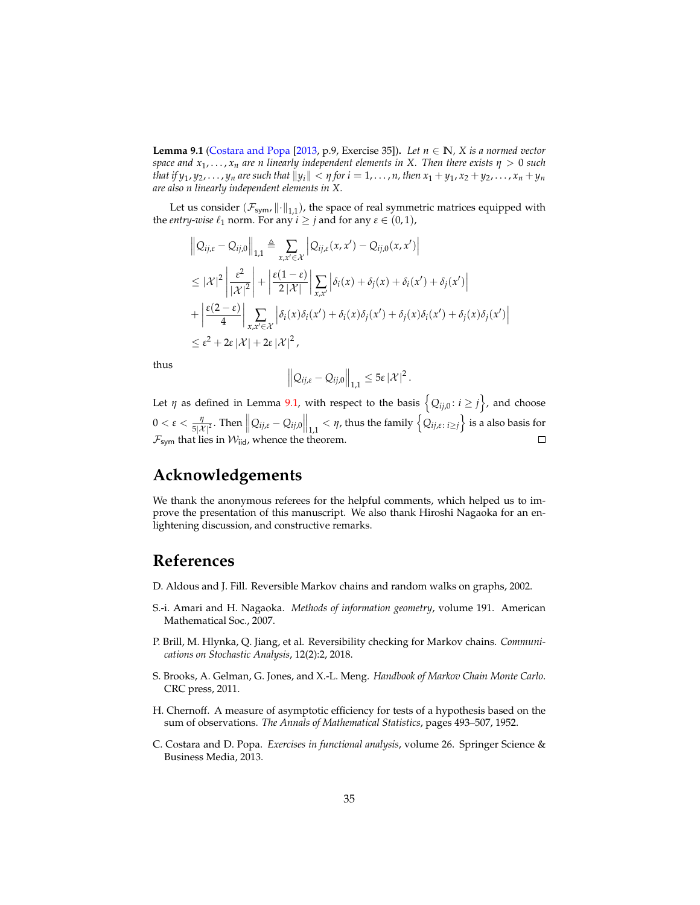<span id="page-34-5"></span>**Lemma 9.1** [\(Costara and Popa](#page-34-6) [\[2013,](#page-34-6) p.9, Exercise 35]). Let  $n \in \mathbb{N}$ , X is a normed vector *space and x*<sup>1</sup> , . . . , *x<sup>n</sup> are n linearly independent elements in X. Then there exists η* > 0 *such* that if  $y_1, y_2, \ldots, y_n$  are such that  $||y_i|| < \eta$  for  $i = 1, \ldots, n$ , then  $x_1 + y_1, x_2 + y_2, \ldots, x_n + y_n$ *are also n linearly independent elements in X.*

Let us consider  $(\mathcal{F}_{sym}$ ,  $\lVert \cdot \rVert_{1,1})$ , the space of real symmetric matrices equipped with the *entry-wise*  $\ell_1$  norm. For any  $i \ge j$  and for any  $\varepsilon \in (0,1)$ ,

$$
\|Q_{ij,\varepsilon} - Q_{ij,0}\|_{1,1} \triangleq \sum_{x,x' \in \mathcal{X}} \left|Q_{ij,\varepsilon}(x,x') - Q_{ij,0}(x,x')\right|
$$
  
\n
$$
\leq |\mathcal{X}|^2 \left|\frac{\varepsilon^2}{|\mathcal{X}|^2}\right| + \left|\frac{\varepsilon(1-\varepsilon)}{2|\mathcal{X}|}\right| \sum_{x,x'} \left|\delta_i(x) + \delta_j(x) + \delta_i(x') + \delta_j(x')\right|
$$
  
\n
$$
+ \left|\frac{\varepsilon(2-\varepsilon)}{4}\right| \sum_{x,x' \in \mathcal{X}} \left|\delta_i(x)\delta_i(x') + \delta_i(x)\delta_j(x') + \delta_j(x)\delta_i(x') + \delta_j(x)\delta_j(x')\right|
$$
  
\n
$$
\leq \varepsilon^2 + 2\varepsilon |\mathcal{X}| + 2\varepsilon |\mathcal{X}|^2,
$$

thus

$$
\left\|Q_{ij,\varepsilon}-Q_{ij,0}\right\|_{1,1}\leq 5\varepsilon\left|\mathcal{X}\right|^2
$$

.

Let  $\eta$  as defined in Lemma [9.1,](#page-34-5) with respect to the basis  $\left\{Q_{ij,0} \colon i \geq j\right\}$ , and choose  $\frac{\eta}{5|\mathcal{X}|^2}.$  Then  $\left\|Q_{ij,\varepsilon}-Q_{ij,0}\right\|_{1,1}<\eta$ , thus the family  $\left\{Q_{ij,\varepsilon\colon i\geq j}\right\}$  is a also basis for  $0 < \varepsilon < \frac{\eta}{5! \lambda}$  $\mathcal{F}_{sym}$  that lies in  $\mathcal{W}_{iid}$ , whence the theorem.  $\Box$ 

## **Acknowledgements**

We thank the anonymous referees for the helpful comments, which helped us to improve the presentation of this manuscript. We also thank Hiroshi Nagaoka for an enlightening discussion, and constructive remarks.

## **References**

- <span id="page-34-1"></span>D. Aldous and J. Fill. Reversible Markov chains and random walks on graphs, 2002.
- <span id="page-34-2"></span>S.-i. Amari and H. Nagaoka. *Methods of information geometry*, volume 191. American Mathematical Soc., 2007.
- <span id="page-34-4"></span>P. Brill, M. Hlynka, Q. Jiang, et al. Reversibility checking for Markov chains. *Communications on Stochastic Analysis*, 12(2):2, 2018.
- <span id="page-34-0"></span>S. Brooks, A. Gelman, G. Jones, and X.-L. Meng. *Handbook of Markov Chain Monte Carlo*. CRC press, 2011.
- <span id="page-34-3"></span>H. Chernoff. A measure of asymptotic efficiency for tests of a hypothesis based on the sum of observations. *The Annals of Mathematical Statistics*, pages 493–507, 1952.
- <span id="page-34-6"></span>C. Costara and D. Popa. *Exercises in functional analysis*, volume 26. Springer Science & Business Media, 2013.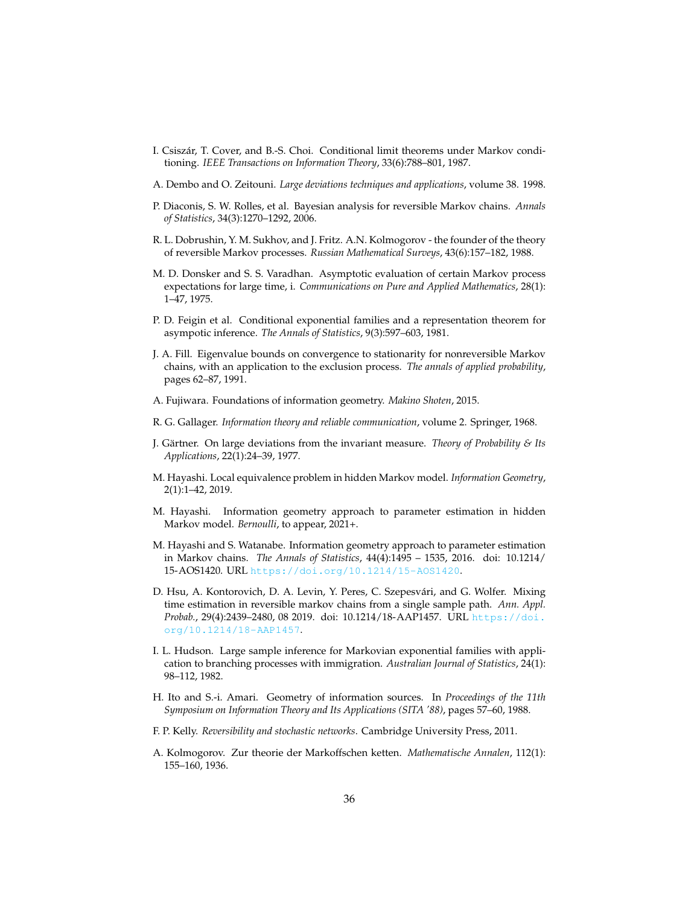- <span id="page-35-7"></span>I. Csiszar, T. Cover, and B.-S. Choi. Conditional limit theorems under Markov condi- ´ tioning. *IEEE Transactions on Information Theory*, 33(6):788–801, 1987.
- <span id="page-35-6"></span>A. Dembo and O. Zeitouni. *Large deviations techniques and applications*, volume 38. 1998.
- <span id="page-35-15"></span>P. Diaconis, S. W. Rolles, et al. Bayesian analysis for reversible Markov chains. *Annals of Statistics*, 34(3):1270–1292, 2006.
- <span id="page-35-0"></span>R. L. Dobrushin, Y. M. Sukhov, and J. Fritz. A.N. Kolmogorov - the founder of the theory of reversible Markov processes. *Russian Mathematical Surveys*, 43(6):157–182, 1988.
- <span id="page-35-4"></span>M. D. Donsker and S. S. Varadhan. Asymptotic evaluation of certain Markov process expectations for large time, i. *Communications on Pure and Applied Mathematics*, 28(1): 1–47, 1975.
- <span id="page-35-12"></span>P. D. Feigin et al. Conditional exponential families and a representation theorem for asympotic inference. *The Annals of Statistics*, 9(3):597–603, 1981.
- <span id="page-35-17"></span>J. A. Fill. Eigenvalue bounds on convergence to stationarity for nonreversible Markov chains, with an application to the exclusion process. *The annals of applied probability*, pages 62–87, 1991.
- <span id="page-35-11"></span>A. Fujiwara. Foundations of information geometry. *Makino Shoten*, 2015.
- <span id="page-35-14"></span>R. G. Gallager. *Information theory and reliable communication*, volume 2. Springer, 1968.
- <span id="page-35-5"></span>J. Gartner. On large deviations from the invariant measure. ¨ *Theory of Probability & Its Applications*, 22(1):24–39, 1977.
- <span id="page-35-9"></span>M. Hayashi. Local equivalence problem in hidden Markov model. *Information Geometry*, 2(1):1–42, 2019.
- <span id="page-35-10"></span>M. Hayashi. Information geometry approach to parameter estimation in hidden Markov model. *Bernoulli*, to appear, 2021+.
- <span id="page-35-3"></span>M. Hayashi and S. Watanabe. Information geometry approach to parameter estimation in Markov chains. *The Annals of Statistics*, 44(4):1495 – 1535, 2016. doi: 10.1214/ 15-AOS1420. URL <https://doi.org/10.1214/15-AOS1420>.
- <span id="page-35-16"></span>D. Hsu, A. Kontorovich, D. A. Levin, Y. Peres, C. Szepesvári, and G. Wolfer. Mixing time estimation in reversible markov chains from a single sample path. *Ann. Appl. Probab.*, 29(4):2439–2480, 08 2019. doi: 10.1214/18-AAP1457. URL [https://doi.](https://doi.org/10.1214/18-AAP1457) [org/10.1214/18-AAP1457](https://doi.org/10.1214/18-AAP1457).
- <span id="page-35-13"></span>I. L. Hudson. Large sample inference for Markovian exponential families with application to branching processes with immigration. *Australian Journal of Statistics*, 24(1): 98–112, 1982.
- <span id="page-35-8"></span>H. Ito and S.-i. Amari. Geometry of information sources. In *Proceedings of the 11th Symposium on Information Theory and Its Applications (SITA '88)*, pages 57–60, 1988.
- <span id="page-35-2"></span>F. P. Kelly. *Reversibility and stochastic networks*. Cambridge University Press, 2011.
- <span id="page-35-1"></span>A. Kolmogorov. Zur theorie der Markoffschen ketten. *Mathematische Annalen*, 112(1): 155–160, 1936.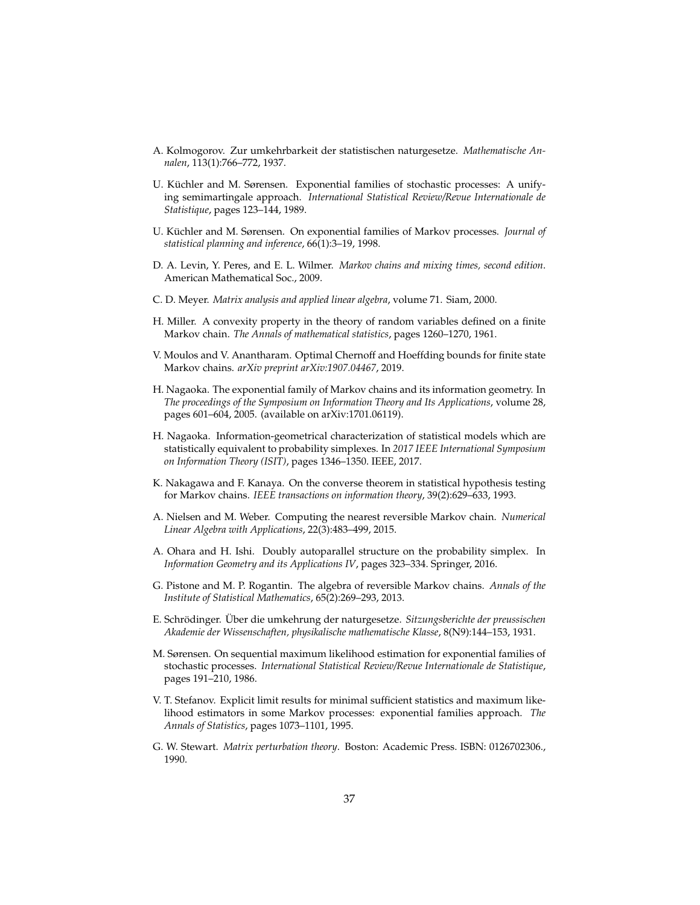- <span id="page-36-1"></span>A. Kolmogorov. Zur umkehrbarkeit der statistischen naturgesetze. *Mathematische Annalen*, 113(1):766–772, 1937.
- <span id="page-36-10"></span>U. Küchler and M. Sørensen. Exponential families of stochastic processes: A unifying semimartingale approach. *International Statistical Review/Revue Internationale de Statistique*, pages 123–144, 1989.
- <span id="page-36-8"></span>U. Küchler and M. Sørensen. On exponential families of Markov processes. *Journal of statistical planning and inference*, 66(1):3–19, 1998.
- <span id="page-36-2"></span>D. A. Levin, Y. Peres, and E. L. Wilmer. *Markov chains and mixing times, second edition*. American Mathematical Soc., 2009.
- <span id="page-36-12"></span>C. D. Meyer. *Matrix analysis and applied linear algebra*, volume 71. Siam, 2000.
- <span id="page-36-4"></span>H. Miller. A convexity property in the theory of random variables defined on a finite Markov chain. *The Annals of mathematical statistics*, pages 1260–1270, 1961.
- <span id="page-36-7"></span>V. Moulos and V. Anantharam. Optimal Chernoff and Hoeffding bounds for finite state Markov chains. *arXiv preprint arXiv:1907.04467*, 2019.
- <span id="page-36-6"></span>H. Nagaoka. The exponential family of Markov chains and its information geometry. In *The proceedings of the Symposium on Information Theory and Its Applications*, volume 28, pages 601–604, 2005. (available on arXiv:1701.06119).
- <span id="page-36-16"></span>H. Nagaoka. Information-geometrical characterization of statistical models which are statistically equivalent to probability simplexes. In *2017 IEEE International Symposium on Information Theory (ISIT)*, pages 1346–1350. IEEE, 2017.
- <span id="page-36-5"></span>K. Nakagawa and F. Kanaya. On the converse theorem in statistical hypothesis testing for Markov chains. *IEEE transactions on information theory*, 39(2):629–633, 1993.
- <span id="page-36-15"></span>A. Nielsen and M. Weber. Computing the nearest reversible Markov chain. *Numerical Linear Algebra with Applications*, 22(3):483–499, 2015.
- <span id="page-36-13"></span>A. Ohara and H. Ishi. Doubly autoparallel structure on the probability simplex. In *Information Geometry and its Applications IV*, pages 323–334. Springer, 2016.
- <span id="page-36-3"></span>G. Pistone and M. P. Rogantin. The algebra of reversible Markov chains. *Annals of the Institute of Statistical Mathematics*, 65(2):269–293, 2013.
- <span id="page-36-0"></span>E. Schrodinger. ¨ Uber die umkehrung der naturgesetze. ¨ *Sitzungsberichte der preussischen Akademie der Wissenschaften, physikalische mathematische Klasse*, 8(N9):144–153, 1931.
- <span id="page-36-11"></span>M. Sørensen. On sequential maximum likelihood estimation for exponential families of stochastic processes. *International Statistical Review/Revue Internationale de Statistique*, pages 191–210, 1986.
- <span id="page-36-9"></span>V. T. Stefanov. Explicit limit results for minimal sufficient statistics and maximum likelihood estimators in some Markov processes: exponential families approach. *The Annals of Statistics*, pages 1073–1101, 1995.
- <span id="page-36-14"></span>G. W. Stewart. *Matrix perturbation theory*. Boston: Academic Press. ISBN: 0126702306., 1990.